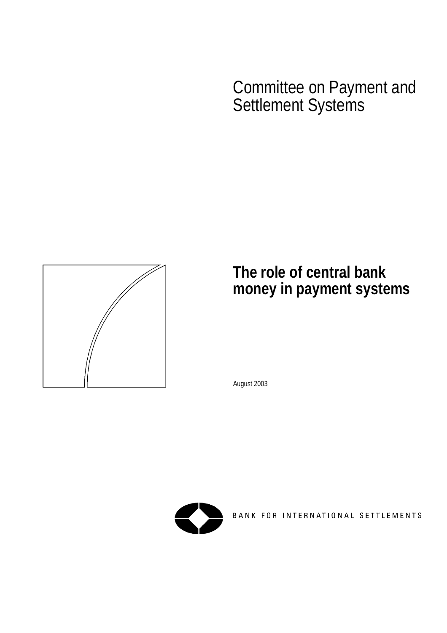# Committee on Payment and Settlement Systems



# **The role of central bank money in payment systems**

August 2003



BANK FOR INTERNATIONAL SETTLEMENTS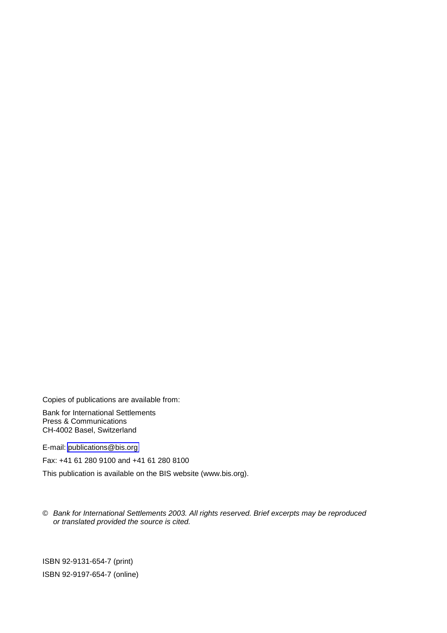Copies of publications are available from:

Bank for International Settlements Press & Communications CH-4002 Basel, Switzerland

E-mail: [publications@bis.org](mailto:publications@bis.org) 

Fax: +41 61 280 9100 and +41 61 280 8100

This publication is available on the BIS website (www.bis.org).

© *Bank for International Settlements 2003. All rights reserved. Brief excerpts may be reproduced or translated provided the source is cited.* 

ISBN 92-9131-654-7 (print) ISBN 92-9197-654-7 (online)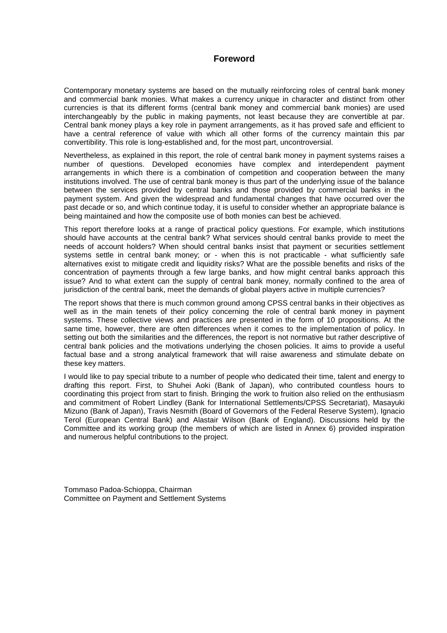# **Foreword**

Contemporary monetary systems are based on the mutually reinforcing roles of central bank money and commercial bank monies. What makes a currency unique in character and distinct from other currencies is that its different forms (central bank money and commercial bank monies) are used interchangeably by the public in making payments, not least because they are convertible at par. Central bank money plays a key role in payment arrangements, as it has proved safe and efficient to have a central reference of value with which all other forms of the currency maintain this par convertibility. This role is long-established and, for the most part, uncontroversial.

Nevertheless, as explained in this report, the role of central bank money in payment systems raises a number of questions. Developed economies have complex and interdependent payment arrangements in which there is a combination of competition and cooperation between the many institutions involved. The use of central bank money is thus part of the underlying issue of the balance between the services provided by central banks and those provided by commercial banks in the payment system. And given the widespread and fundamental changes that have occurred over the past decade or so, and which continue today, it is useful to consider whether an appropriate balance is being maintained and how the composite use of both monies can best be achieved.

This report therefore looks at a range of practical policy questions. For example, which institutions should have accounts at the central bank? What services should central banks provide to meet the needs of account holders? When should central banks insist that payment or securities settlement systems settle in central bank money; or - when this is not practicable - what sufficiently safe alternatives exist to mitigate credit and liquidity risks? What are the possible benefits and risks of the concentration of payments through a few large banks, and how might central banks approach this issue? And to what extent can the supply of central bank money, normally confined to the area of jurisdiction of the central bank, meet the demands of global players active in multiple currencies?

The report shows that there is much common ground among CPSS central banks in their objectives as well as in the main tenets of their policy concerning the role of central bank money in payment systems. These collective views and practices are presented in the form of 10 propositions. At the same time, however, there are often differences when it comes to the implementation of policy. In setting out both the similarities and the differences, the report is not normative but rather descriptive of central bank policies and the motivations underlying the chosen policies. It aims to provide a useful factual base and a strong analytical framework that will raise awareness and stimulate debate on these key matters.

I would like to pay special tribute to a number of people who dedicated their time, talent and energy to drafting this report. First, to Shuhei Aoki (Bank of Japan), who contributed countless hours to coordinating this project from start to finish. Bringing the work to fruition also relied on the enthusiasm and commitment of Robert Lindley (Bank for International Settlements/CPSS Secretariat), Masayuki Mizuno (Bank of Japan), Travis Nesmith (Board of Governors of the Federal Reserve System), Ignacio Terol (European Central Bank) and Alastair Wilson (Bank of England). Discussions held by the Committee and its working group (the members of which are listed in Annex 6) provided inspiration and numerous helpful contributions to the project.

Tommaso Padoa-Schioppa, Chairman Committee on Payment and Settlement Systems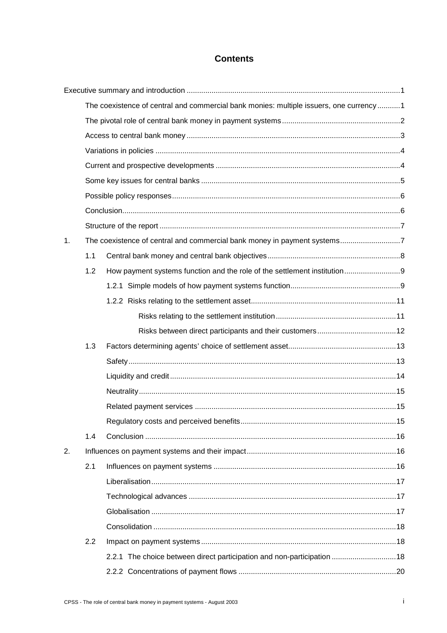# **Contents**

|    |     | The coexistence of central and commercial bank monies: multiple issuers, one currency 1 |  |
|----|-----|-----------------------------------------------------------------------------------------|--|
|    |     |                                                                                         |  |
|    |     |                                                                                         |  |
|    |     |                                                                                         |  |
|    |     |                                                                                         |  |
|    |     |                                                                                         |  |
|    |     |                                                                                         |  |
|    |     |                                                                                         |  |
|    |     |                                                                                         |  |
| 1. |     | The coexistence of central and commercial bank money in payment systems7                |  |
|    | 1.1 |                                                                                         |  |
|    | 1.2 |                                                                                         |  |
|    |     |                                                                                         |  |
|    |     |                                                                                         |  |
|    |     |                                                                                         |  |
|    |     |                                                                                         |  |
|    | 1.3 |                                                                                         |  |
|    |     |                                                                                         |  |
|    |     |                                                                                         |  |
|    |     |                                                                                         |  |
|    |     |                                                                                         |  |
|    |     |                                                                                         |  |
|    | 1.4 |                                                                                         |  |
| 2. |     |                                                                                         |  |
|    | 2.1 |                                                                                         |  |
|    |     |                                                                                         |  |
|    |     |                                                                                         |  |
|    |     |                                                                                         |  |
|    |     |                                                                                         |  |
|    | 2.2 |                                                                                         |  |
|    |     | 2.2.1 The choice between direct participation and non-participation  18                 |  |
|    |     |                                                                                         |  |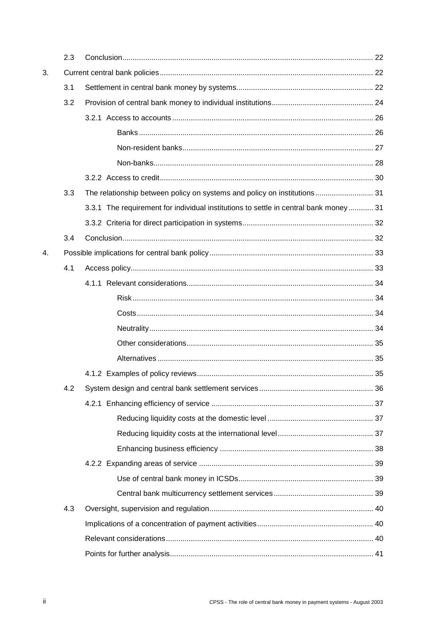|    | 2.3 |                                                                                      |    |
|----|-----|--------------------------------------------------------------------------------------|----|
| 3. |     |                                                                                      |    |
|    | 3.1 |                                                                                      |    |
|    | 3.2 |                                                                                      |    |
|    |     |                                                                                      |    |
|    |     |                                                                                      |    |
|    |     |                                                                                      |    |
|    |     |                                                                                      |    |
|    |     |                                                                                      |    |
|    | 3.3 | The relationship between policy on systems and policy on institutions 31             |    |
|    |     | 3.3.1 The requirement for individual institutions to settle in central bank money 31 |    |
|    |     |                                                                                      |    |
|    | 3.4 |                                                                                      |    |
| 4. |     |                                                                                      |    |
|    | 4.1 |                                                                                      |    |
|    |     |                                                                                      |    |
|    |     |                                                                                      |    |
|    |     |                                                                                      |    |
|    |     |                                                                                      |    |
|    |     |                                                                                      |    |
|    |     |                                                                                      |    |
|    |     |                                                                                      |    |
|    | 4.2 | System design and central bank settlement services                                   | 36 |
|    |     |                                                                                      |    |
|    |     |                                                                                      |    |
|    |     |                                                                                      |    |
|    |     |                                                                                      |    |
|    |     |                                                                                      |    |
|    |     |                                                                                      |    |
|    |     |                                                                                      |    |
|    | 4.3 |                                                                                      |    |
|    |     |                                                                                      |    |
|    |     |                                                                                      |    |
|    |     |                                                                                      |    |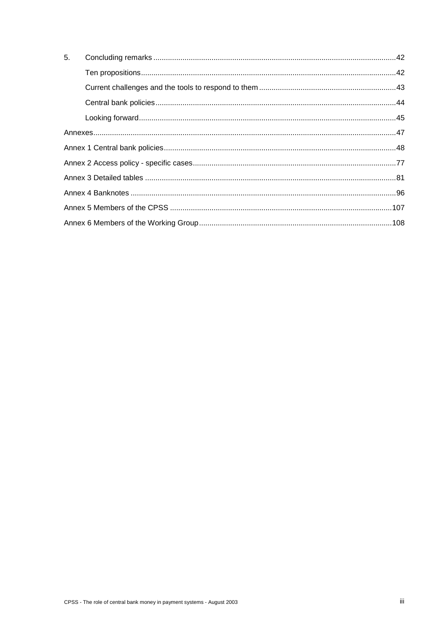| 5. |  |  |
|----|--|--|
|    |  |  |
|    |  |  |
|    |  |  |
|    |  |  |
|    |  |  |
|    |  |  |
|    |  |  |
|    |  |  |
|    |  |  |
|    |  |  |
|    |  |  |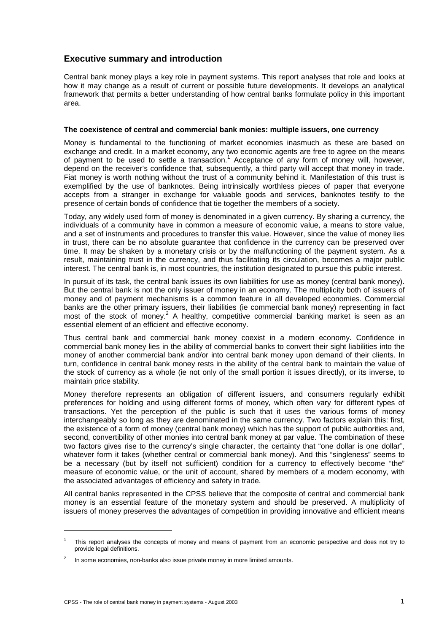# **Executive summary and introduction**

Central bank money plays a key role in payment systems. This report analyses that role and looks at how it may change as a result of current or possible future developments. It develops an analytical framework that permits a better understanding of how central banks formulate policy in this important area.

#### **The coexistence of central and commercial bank monies: multiple issuers, one currency**

Money is fundamental to the functioning of market economies inasmuch as these are based on exchange and credit. In a market economy, any two economic agents are free to agree on the means of payment to be used to settle a transaction.<sup>1</sup> Acceptance of any form of money will, however, depend on the receiver's confidence that, subsequently, a third party will accept that money in trade. Fiat money is worth nothing without the trust of a community behind it. Manifestation of this trust is exemplified by the use of banknotes. Being intrinsically worthless pieces of paper that everyone accepts from a stranger in exchange for valuable goods and services, banknotes testify to the presence of certain bonds of confidence that tie together the members of a society.

Today, any widely used form of money is denominated in a given currency. By sharing a currency, the individuals of a community have in common a measure of economic value, a means to store value, and a set of instruments and procedures to transfer this value. However, since the value of money lies in trust, there can be no absolute guarantee that confidence in the currency can be preserved over time. It may be shaken by a monetary crisis or by the malfunctioning of the payment system. As a result, maintaining trust in the currency, and thus facilitating its circulation, becomes a major public interest. The central bank is, in most countries, the institution designated to pursue this public interest.

In pursuit of its task, the central bank issues its own liabilities for use as money (central bank money). But the central bank is not the only issuer of money in an economy. The multiplicity both of issuers of money and of payment mechanisms is a common feature in all developed economies. Commercial banks are the other primary issuers, their liabilities (ie commercial bank money) representing in fact most of the stock of money.<sup>2</sup> A healthy, competitive commercial banking market is seen as an essential element of an efficient and effective economy.

Thus central bank and commercial bank money coexist in a modern economy. Confidence in commercial bank money lies in the ability of commercial banks to convert their sight liabilities into the money of another commercial bank and/or into central bank money upon demand of their clients. In turn, confidence in central bank money rests in the ability of the central bank to maintain the value of the stock of currency as a whole (ie not only of the small portion it issues directly), or its inverse, to maintain price stability.

Money therefore represents an obligation of different issuers, and consumers regularly exhibit preferences for holding and using different forms of money, which often vary for different types of transactions. Yet the perception of the public is such that it uses the various forms of money interchangeably so long as they are denominated in the same currency. Two factors explain this: first, the existence of a form of money (central bank money) which has the support of public authorities and, second, convertibility of other monies into central bank money at par value. The combination of these two factors gives rise to the currency's single character, the certainty that "one dollar is one dollar", whatever form it takes (whether central or commercial bank money). And this "singleness" seems to be a necessary (but by itself not sufficient) condition for a currency to effectively become "the" measure of economic value, or the unit of account, shared by members of a modern economy, with the associated advantages of efficiency and safety in trade.

All central banks represented in the CPSS believe that the composite of central and commercial bank money is an essential feature of the monetary system and should be preserved. A multiplicity of issuers of money preserves the advantages of competition in providing innovative and efficient means

 $\overline{a}$ 

<sup>1</sup> This report analyses the concepts of money and means of payment from an economic perspective and does not try to provide legal definitions.

 $\overline{2}$ In some economies, non-banks also issue private money in more limited amounts.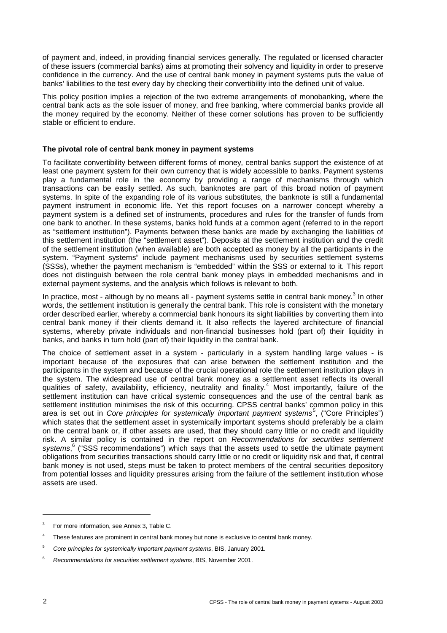of payment and, indeed, in providing financial services generally. The regulated or licensed character of these issuers (commercial banks) aims at promoting their solvency and liquidity in order to preserve confidence in the currency. And the use of central bank money in payment systems puts the value of banks' liabilities to the test every day by checking their convertibility into the defined unit of value.

This policy position implies a rejection of the two extreme arrangements of monobanking, where the central bank acts as the sole issuer of money, and free banking, where commercial banks provide all the money required by the economy. Neither of these corner solutions has proven to be sufficiently stable or efficient to endure.

## **The pivotal role of central bank money in payment systems**

To facilitate convertibility between different forms of money, central banks support the existence of at least one payment system for their own currency that is widely accessible to banks. Payment systems play a fundamental role in the economy by providing a range of mechanisms through which transactions can be easily settled. As such, banknotes are part of this broad notion of payment systems. In spite of the expanding role of its various substitutes, the banknote is still a fundamental payment instrument in economic life. Yet this report focuses on a narrower concept whereby a payment system is a defined set of instruments, procedures and rules for the transfer of funds from one bank to another. In these systems, banks hold funds at a common agent (referred to in the report as "settlement institution"). Payments between these banks are made by exchanging the liabilities of this settlement institution (the "settlement asset"). Deposits at the settlement institution and the credit of the settlement institution (when available) are both accepted as money by all the participants in the system. "Payment systems" include payment mechanisms used by securities settlement systems (SSSs), whether the payment mechanism is "embedded" within the SSS or external to it. This report does not distinguish between the role central bank money plays in embedded mechanisms and in external payment systems, and the analysis which follows is relevant to both.

In practice, most - although by no means all - payment systems settle in central bank money.<sup>3</sup> In other words, the settlement institution is generally the central bank. This role is consistent with the monetary order described earlier, whereby a commercial bank honours its sight liabilities by converting them into central bank money if their clients demand it. It also reflects the layered architecture of financial systems, whereby private individuals and non-financial businesses hold (part of) their liquidity in banks, and banks in turn hold (part of) their liquidity in the central bank.

The choice of settlement asset in a system - particularly in a system handling large values - is important because of the exposures that can arise between the settlement institution and the participants in the system and because of the crucial operational role the settlement institution plays in the system. The widespread use of central bank money as a settlement asset reflects its overall qualities of safety, availability, efficiency, neutrality and finality.<sup>4</sup> Most importantly, failure of the settlement institution can have critical systemic consequences and the use of the central bank as settlement institution minimises the risk of this occurring. CPSS central banks' common policy in this area is set out in *Core principles for systemically important payment systems<sup>5</sup>, ("Core Principles")* which states that the settlement asset in systemically important systems should preferably be a claim on the central bank or, if other assets are used, that they should carry little or no credit and liquidity risk. A similar policy is contained in the report on *Recommendations for securities settlement*  systems,<sup>6</sup> ("SSS recommendations") which says that the assets used to settle the ultimate payment obligations from securities transactions should carry little or no credit or liquidity risk and that, if central bank money is not used, steps must be taken to protect members of the central securities depository from potential losses and liquidity pressures arising from the failure of the settlement institution whose assets are used.

<sup>3</sup> For more information, see Annex 3, Table C.

<sup>4</sup> These features are prominent in central bank money but none is exclusive to central bank money.

<sup>5</sup> *Core principles for systemically important payment systems*, BIS, January 2001.

<sup>6</sup> *Recommendations for securities settlement systems*, BIS, November 2001.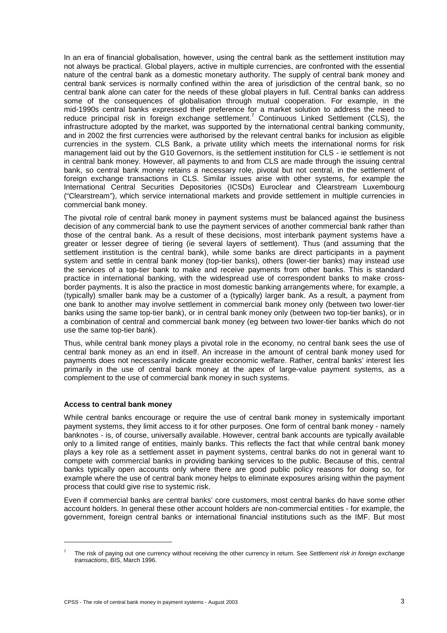In an era of financial globalisation, however, using the central bank as the settlement institution may not always be practical. Global players, active in multiple currencies, are confronted with the essential nature of the central bank as a domestic monetary authority. The supply of central bank money and central bank services is normally confined within the area of jurisdiction of the central bank, so no central bank alone can cater for the needs of these global players in full. Central banks can address some of the consequences of globalisation through mutual cooperation. For example, in the mid-1990s central banks expressed their preference for a market solution to address the need to reduce principal risk in foreign exchange settlement.<sup>7</sup> Continuous Linked Settlement (CLS), the infrastructure adopted by the market, was supported by the international central banking community, and in 2002 the first currencies were authorised by the relevant central banks for inclusion as eligible currencies in the system. CLS Bank, a private utility which meets the international norms for risk management laid out by the G10 Governors, is the settlement institution for CLS - ie settlement is not in central bank money. However, all payments to and from CLS are made through the issuing central bank, so central bank money retains a necessary role, pivotal but not central, in the settlement of foreign exchange transactions in CLS. Similar issues arise with other systems, for example the International Central Securities Depositories (ICSDs) Euroclear and Clearstream Luxembourg ("Clearstream"), which service international markets and provide settlement in multiple currencies in commercial bank money.

The pivotal role of central bank money in payment systems must be balanced against the business decision of any commercial bank to use the payment services of another commercial bank rather than those of the central bank. As a result of these decisions, most interbank payment systems have a greater or lesser degree of tiering (ie several layers of settlement). Thus (and assuming that the settlement institution is the central bank), while some banks are direct participants in a payment system and settle in central bank money (top-tier banks), others (lower-tier banks) may instead use the services of a top-tier bank to make and receive payments from other banks. This is standard practice in international banking, with the widespread use of correspondent banks to make crossborder payments. It is also the practice in most domestic banking arrangements where, for example, a (typically) smaller bank may be a customer of a (typically) larger bank. As a result, a payment from one bank to another may involve settlement in commercial bank money only (between two lower-tier banks using the same top-tier bank), or in central bank money only (between two top-tier banks), or in a combination of central and commercial bank money (eg between two lower-tier banks which do not use the same top-tier bank).

Thus, while central bank money plays a pivotal role in the economy, no central bank sees the use of central bank money as an end in itself. An increase in the amount of central bank money used for payments does not necessarily indicate greater economic welfare. Rather, central banks' interest lies primarily in the use of central bank money at the apex of large-value payment systems, as a complement to the use of commercial bank money in such systems.

# **Access to central bank money**

l

While central banks encourage or require the use of central bank money in systemically important payment systems, they limit access to it for other purposes. One form of central bank money - namely banknotes - is, of course, universally available. However, central bank accounts are typically available only to a limited range of entities, mainly banks. This reflects the fact that while central bank money plays a key role as a settlement asset in payment systems, central banks do not in general want to compete with commercial banks in providing banking services to the public. Because of this, central banks typically open accounts only where there are good public policy reasons for doing so, for example where the use of central bank money helps to eliminate exposures arising within the payment process that could give rise to systemic risk.

Even if commercial banks are central banks' core customers, most central banks do have some other account holders. In general these other account holders are non-commercial entities - for example, the government, foreign central banks or international financial institutions such as the IMF. But most

<sup>7</sup> The risk of paying out one currency without receiving the other currency in return. See *Settlement risk in foreign exchange transactions*, BIS, March 1996.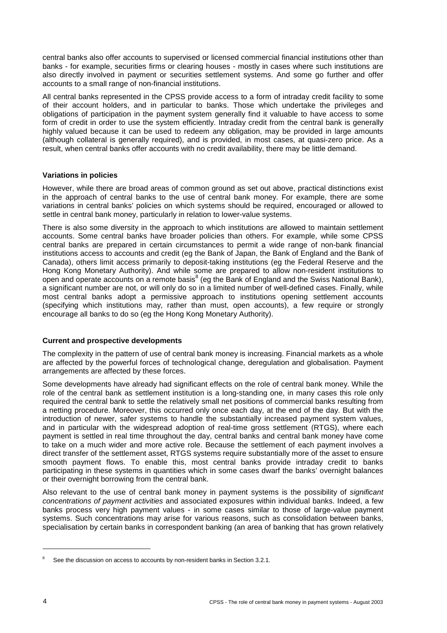central banks also offer accounts to supervised or licensed commercial financial institutions other than banks - for example, securities firms or clearing houses - mostly in cases where such institutions are also directly involved in payment or securities settlement systems. And some go further and offer accounts to a small range of non-financial institutions.

All central banks represented in the CPSS provide access to a form of intraday credit facility to some of their account holders, and in particular to banks. Those which undertake the privileges and obligations of participation in the payment system generally find it valuable to have access to some form of credit in order to use the system efficiently. Intraday credit from the central bank is generally highly valued because it can be used to redeem any obligation, may be provided in large amounts (although collateral is generally required), and is provided, in most cases, at quasi-zero price. As a result, when central banks offer accounts with no credit availability, there may be little demand.

## **Variations in policies**

However, while there are broad areas of common ground as set out above, practical distinctions exist in the approach of central banks to the use of central bank money. For example, there are some variations in central banks' policies on which systems should be required, encouraged or allowed to settle in central bank money, particularly in relation to lower-value systems.

There is also some diversity in the approach to which institutions are allowed to maintain settlement accounts. Some central banks have broader policies than others. For example, while some CPSS central banks are prepared in certain circumstances to permit a wide range of non-bank financial institutions access to accounts and credit (eg the Bank of Japan, the Bank of England and the Bank of Canada), others limit access primarily to deposit-taking institutions (eg the Federal Reserve and the Hong Kong Monetary Authority). And while some are prepared to allow non-resident institutions to open and operate accounts on a remote basis $^8$  (eg the Bank of England and the Swiss National Bank), a significant number are not, or will only do so in a limited number of well-defined cases. Finally, while most central banks adopt a permissive approach to institutions opening settlement accounts (specifying which institutions may, rather than must, open accounts), a few require or strongly encourage all banks to do so (eg the Hong Kong Monetary Authority).

# **Current and prospective developments**

The complexity in the pattern of use of central bank money is increasing. Financial markets as a whole are affected by the powerful forces of technological change, deregulation and globalisation. Payment arrangements are affected by these forces.

Some developments have already had significant effects on the role of central bank money. While the role of the central bank as settlement institution is a long-standing one, in many cases this role only required the central bank to settle the relatively small net positions of commercial banks resulting from a netting procedure. Moreover, this occurred only once each day, at the end of the day. But with the introduction of newer, safer systems to handle the substantially increased payment system values, and in particular with the widespread adoption of real-time gross settlement (RTGS), where each payment is settled in real time throughout the day, central banks and central bank money have come to take on a much wider and more active role. Because the settlement of each payment involves a direct transfer of the settlement asset, RTGS systems require substantially more of the asset to ensure smooth payment flows. To enable this, most central banks provide intraday credit to banks participating in these systems in quantities which in some cases dwarf the banks' overnight balances or their overnight borrowing from the central bank.

Also relevant to the use of central bank money in payment systems is the possibility of *significant concentrations of payment activities* and associated exposures within individual banks. Indeed, a few banks process very high payment values - in some cases similar to those of large-value payment systems. Such concentrations may arise for various reasons, such as consolidation between banks, specialisation by certain banks in correspondent banking (an area of banking that has grown relatively

<sup>8</sup> See the discussion on access to accounts by non-resident banks in Section 3.2.1.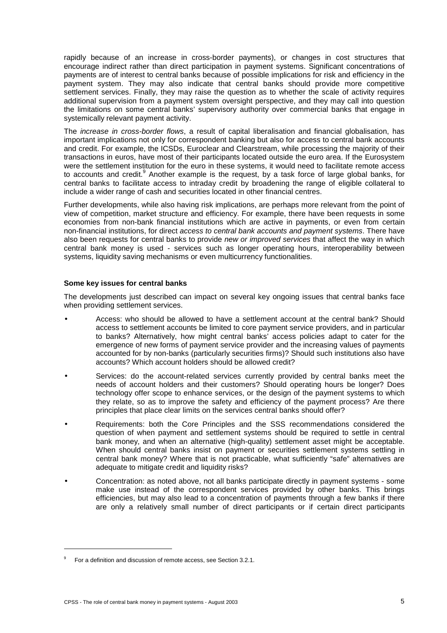rapidly because of an increase in cross-border payments), or changes in cost structures that encourage indirect rather than direct participation in payment systems. Significant concentrations of payments are of interest to central banks because of possible implications for risk and efficiency in the payment system. They may also indicate that central banks should provide more competitive settlement services. Finally, they may raise the question as to whether the scale of activity requires additional supervision from a payment system oversight perspective, and they may call into question the limitations on some central banks' supervisory authority over commercial banks that engage in systemically relevant payment activity.

The *increase in cross-border flows*, a result of capital liberalisation and financial globalisation, has important implications not only for correspondent banking but also for access to central bank accounts and credit. For example, the ICSDs, Euroclear and Clearstream, while processing the majority of their transactions in euros, have most of their participants located outside the euro area. If the Eurosystem were the settlement institution for the euro in these systems, it would need to facilitate remote access to accounts and credit.<sup>9</sup> Another example is the request, by a task force of large global banks, for central banks to facilitate access to intraday credit by broadening the range of eligible collateral to include a wider range of cash and securities located in other financial centres.

Further developments, while also having risk implications, are perhaps more relevant from the point of view of competition, market structure and efficiency. For example, there have been requests in some economies from non-bank financial institutions which are active in payments, or even from certain non-financial institutions, for direct *access to central bank accounts and payment systems*. There have also been requests for central banks to provide *new or improved services* that affect the way in which central bank money is used - services such as longer operating hours, interoperability between systems, liquidity saving mechanisms or even multicurrency functionalities.

## **Some key issues for central banks**

The developments just described can impact on several key ongoing issues that central banks face when providing settlement services.

- Access: who should be allowed to have a settlement account at the central bank? Should access to settlement accounts be limited to core payment service providers, and in particular to banks? Alternatively, how might central banks' access policies adapt to cater for the emergence of new forms of payment service provider and the increasing values of payments accounted for by non-banks (particularly securities firms)? Should such institutions also have accounts? Which account holders should be allowed credit?
- Services: do the account-related services currently provided by central banks meet the needs of account holders and their customers? Should operating hours be longer? Does technology offer scope to enhance services, or the design of the payment systems to which they relate, so as to improve the safety and efficiency of the payment process? Are there principles that place clear limits on the services central banks should offer?
- Requirements: both the Core Principles and the SSS recommendations considered the question of when payment and settlement systems should be required to settle in central bank money, and when an alternative (high-quality) settlement asset might be acceptable. When should central banks insist on payment or securities settlement systems settling in central bank money? Where that is not practicable, what sufficiently "safe" alternatives are adequate to mitigate credit and liquidity risks?
- Concentration: as noted above, not all banks participate directly in payment systems some make use instead of the correspondent services provided by other banks. This brings efficiencies, but may also lead to a concentration of payments through a few banks if there are only a relatively small number of direct participants or if certain direct participants

 $\overline{a}$ 

<sup>9</sup> For a definition and discussion of remote access, see Section 3.2.1.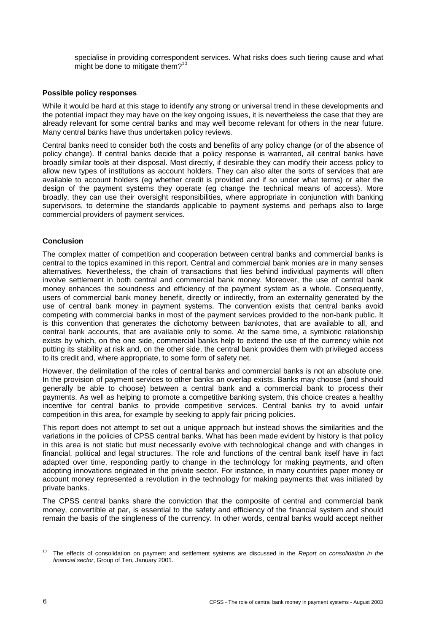specialise in providing correspondent services. What risks does such tiering cause and what might be done to mitigate them? $10<sup>10</sup>$ 

#### **Possible policy responses**

While it would be hard at this stage to identify any strong or universal trend in these developments and the potential impact they may have on the key ongoing issues, it is nevertheless the case that they are already relevant for some central banks and may well become relevant for others in the near future. Many central banks have thus undertaken policy reviews.

Central banks need to consider both the costs and benefits of any policy change (or of the absence of policy change). If central banks decide that a policy response is warranted, all central banks have broadly similar tools at their disposal. Most directly, if desirable they can modify their access policy to allow new types of institutions as account holders. They can also alter the sorts of services that are available to account holders (eg whether credit is provided and if so under what terms) or alter the design of the payment systems they operate (eg change the technical means of access). More broadly, they can use their oversight responsibilities, where appropriate in conjunction with banking supervisors, to determine the standards applicable to payment systems and perhaps also to large commercial providers of payment services.

## **Conclusion**

The complex matter of competition and cooperation between central banks and commercial banks is central to the topics examined in this report. Central and commercial bank monies are in many senses alternatives. Nevertheless, the chain of transactions that lies behind individual payments will often involve settlement in both central and commercial bank money. Moreover, the use of central bank money enhances the soundness and efficiency of the payment system as a whole. Consequently, users of commercial bank money benefit, directly or indirectly, from an externality generated by the use of central bank money in payment systems. The convention exists that central banks avoid competing with commercial banks in most of the payment services provided to the non-bank public. It is this convention that generates the dichotomy between banknotes, that are available to all, and central bank accounts, that are available only to some. At the same time, a symbiotic relationship exists by which, on the one side, commercial banks help to extend the use of the currency while not putting its stability at risk and, on the other side, the central bank provides them with privileged access to its credit and, where appropriate, to some form of safety net.

However, the delimitation of the roles of central banks and commercial banks is not an absolute one. In the provision of payment services to other banks an overlap exists. Banks may choose (and should generally be able to choose) between a central bank and a commercial bank to process their payments. As well as helping to promote a competitive banking system, this choice creates a healthy incentive for central banks to provide competitive services. Central banks try to avoid unfair competition in this area, for example by seeking to apply fair pricing policies.

This report does not attempt to set out a unique approach but instead shows the similarities and the variations in the policies of CPSS central banks. What has been made evident by history is that policy in this area is not static but must necessarily evolve with technological change and with changes in financial, political and legal structures. The role and functions of the central bank itself have in fact adapted over time, responding partly to change in the technology for making payments, and often adopting innovations originated in the private sector. For instance, in many countries paper money or account money represented a revolution in the technology for making payments that was initiated by private banks.

The CPSS central banks share the conviction that the composite of central and commercial bank money, convertible at par, is essential to the safety and efficiency of the financial system and should remain the basis of the singleness of the currency. In other words, central banks would accept neither

<sup>10</sup> The effects of consolidation on payment and settlement systems are discussed in the *Report on consolidation in the financial sector*, Group of Ten, January 2001.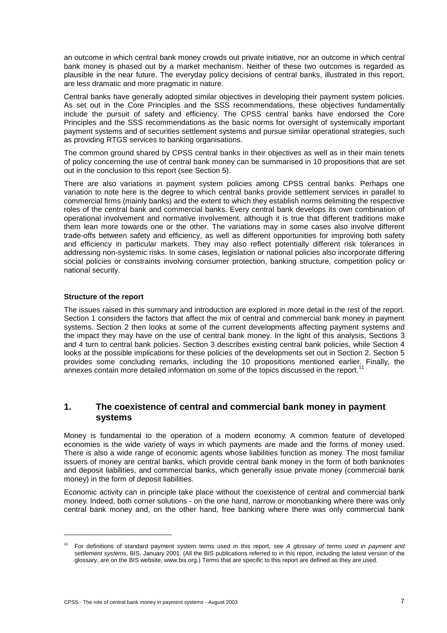an outcome in which central bank money crowds out private initiative, nor an outcome in which central bank money is phased out by a market mechanism. Neither of these two outcomes is regarded as plausible in the near future. The everyday policy decisions of central banks, illustrated in this report, are less dramatic and more pragmatic in nature.

Central banks have generally adopted similar objectives in developing their payment system policies. As set out in the Core Principles and the SSS recommendations, these objectives fundamentally include the pursuit of safety and efficiency. The CPSS central banks have endorsed the Core Principles and the SSS recommendations as the basic norms for oversight of systemically important payment systems and of securities settlement systems and pursue similar operational strategies, such as providing RTGS services to banking organisations.

The common ground shared by CPSS central banks in their objectives as well as in their main tenets of policy concerning the use of central bank money can be summarised in 10 propositions that are set out in the conclusion to this report (see Section 5).

There are also variations in payment system policies among CPSS central banks. Perhaps one variation to note here is the degree to which central banks provide settlement services in parallel to commercial firms (mainly banks) and the extent to which they establish norms delimiting the respective roles of the central bank and commercial banks. Every central bank develops its own combination of operational involvement and normative involvement, although it is true that different traditions make them lean more towards one or the other. The variations may in some cases also involve different trade-offs between safety and efficiency, as well as different opportunities for improving both safety and efficiency in particular markets. They may also reflect potentially different risk tolerances in addressing non-systemic risks. In some cases, legislation or national policies also incorporate differing social policies or constraints involving consumer protection, banking structure, competition policy or national security.

## **Structure of the report**

 $\overline{a}$ 

The issues raised in this summary and introduction are explored in more detail in the rest of the report. Section 1 considers the factors that affect the mix of central and commercial bank money in payment systems. Section 2 then looks at some of the current developments affecting payment systems and the impact they may have on the use of central bank money. In the light of this analysis, Sections 3 and 4 turn to central bank policies. Section 3 describes existing central bank policies, while Section 4 looks at the possible implications for these policies of the developments set out in Section 2. Section 5 provides some concluding remarks, including the 10 propositions mentioned earlier. Finally, the annexes contain more detailed information on some of the topics discussed in the report.<sup>11</sup>

# **1. The coexistence of central and commercial bank money in payment systems**

Money is fundamental to the operation of a modern economy. A common feature of developed economies is the wide variety of ways in which payments are made and the forms of money used. There is also a wide range of economic agents whose liabilities function as money. The most familiar issuers of money are central banks, which provide central bank money in the form of both banknotes and deposit liabilities, and commercial banks, which generally issue private money (commercial bank money) in the form of deposit liabilities.

Economic activity can in principle take place without the coexistence of central and commercial bank money. Indeed, both corner solutions - on the one hand, narrow or monobanking where there was only central bank money and, on the other hand, free banking where there was only commercial bank

<sup>11</sup> For definitions of standard payment system terms used in this report, see *A glossary of terms used in payment and settlement systems*, BIS, January 2001. (All the BIS publications referred to in this report, including the latest version of the glossary, are on the BIS website, www.bis.org.) Terms that are specific to this report are defined as they are used.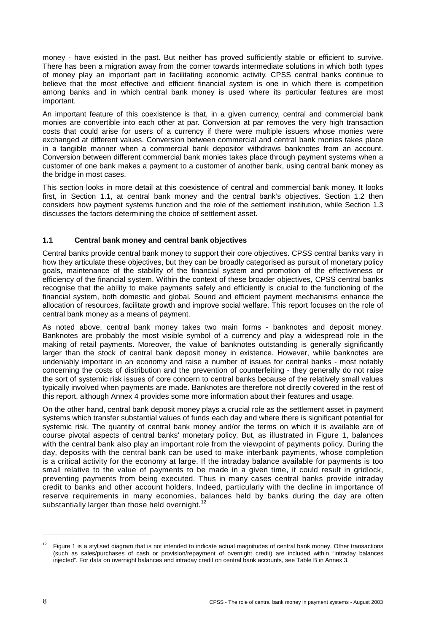money - have existed in the past. But neither has proved sufficiently stable or efficient to survive. There has been a migration away from the corner towards intermediate solutions in which both types of money play an important part in facilitating economic activity. CPSS central banks continue to believe that the most effective and efficient financial system is one in which there is competition among banks and in which central bank money is used where its particular features are most important.

An important feature of this coexistence is that, in a given currency, central and commercial bank monies are convertible into each other at par. Conversion at par removes the very high transaction costs that could arise for users of a currency if there were multiple issuers whose monies were exchanged at different values. Conversion between commercial and central bank monies takes place in a tangible manner when a commercial bank depositor withdraws banknotes from an account. Conversion between different commercial bank monies takes place through payment systems when a customer of one bank makes a payment to a customer of another bank, using central bank money as the bridge in most cases.

This section looks in more detail at this coexistence of central and commercial bank money. It looks first, in Section 1.1, at central bank money and the central bank's objectives. Section 1.2 then considers how payment systems function and the role of the settlement institution, while Section 1.3 discusses the factors determining the choice of settlement asset.

# **1.1 Central bank money and central bank objectives**

Central banks provide central bank money to support their core objectives. CPSS central banks vary in how they articulate these objectives, but they can be broadly categorised as pursuit of monetary policy goals, maintenance of the stability of the financial system and promotion of the effectiveness or efficiency of the financial system. Within the context of these broader objectives, CPSS central banks recognise that the ability to make payments safely and efficiently is crucial to the functioning of the financial system, both domestic and global. Sound and efficient payment mechanisms enhance the allocation of resources, facilitate growth and improve social welfare. This report focuses on the role of central bank money as a means of payment.

As noted above, central bank money takes two main forms - banknotes and deposit money. Banknotes are probably the most visible symbol of a currency and play a widespread role in the making of retail payments. Moreover, the value of banknotes outstanding is generally significantly larger than the stock of central bank deposit money in existence. However, while banknotes are undeniably important in an economy and raise a number of issues for central banks - most notably concerning the costs of distribution and the prevention of counterfeiting - they generally do not raise the sort of systemic risk issues of core concern to central banks because of the relatively small values typically involved when payments are made. Banknotes are therefore not directly covered in the rest of this report, although Annex 4 provides some more information about their features and usage.

On the other hand, central bank deposit money plays a crucial role as the settlement asset in payment systems which transfer substantial values of funds each day and where there is significant potential for systemic risk. The quantity of central bank money and/or the terms on which it is available are of course pivotal aspects of central banks' monetary policy. But, as illustrated in Figure 1, balances with the central bank also play an important role from the viewpoint of payments policy. During the day, deposits with the central bank can be used to make interbank payments, whose completion is a critical activity for the economy at large. If the intraday balance available for payments is too small relative to the value of payments to be made in a given time, it could result in gridlock, preventing payments from being executed. Thus in many cases central banks provide intraday credit to banks and other account holders. Indeed, particularly with the decline in importance of reserve requirements in many economies, balances held by banks during the day are often substantially larger than those held overnight.<sup>12</sup>

Figure 1 is a stylised diagram that is not intended to indicate actual magnitudes of central bank money. Other transactions (such as sales/purchases of cash or provision/repayment of overnight credit) are included within "intraday balances injected". For data on overnight balances and intraday credit on central bank accounts, see Table B in Annex 3.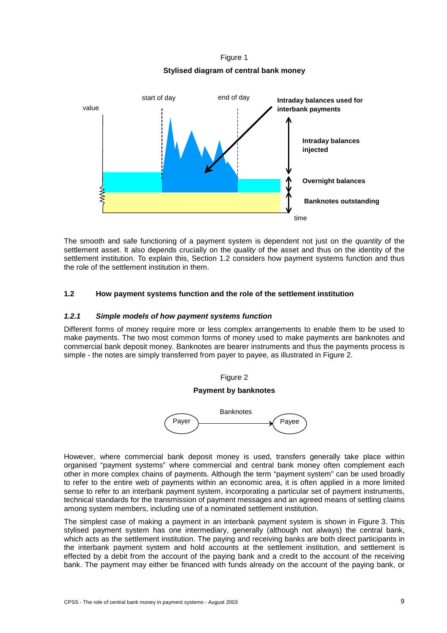Figure 1 **Stylised diagram of central bank money** 



The smooth and safe functioning of a payment system is dependent not just on the *quantity* of the settlement asset. It also depends crucially on the *quality* of the asset and thus on the identity of the settlement institution. To explain this, Section 1.2 considers how payment systems function and thus the role of the settlement institution in them.

# **1.2 How payment systems function and the role of the settlement institution**

# *1.2.1 Simple models of how payment systems function*

Different forms of money require more or less complex arrangements to enable them to be used to make payments. The two most common forms of money used to make payments are banknotes and commercial bank deposit money. Banknotes are bearer instruments and thus the payments process is simple - the notes are simply transferred from payer to payee, as illustrated in Figure 2.



However, where commercial bank deposit money is used, transfers generally take place within organised "payment systems" where commercial and central bank money often complement each other in more complex chains of payments. Although the term "payment system" can be used broadly to refer to the entire web of payments within an economic area, it is often applied in a more limited sense to refer to an interbank payment system, incorporating a particular set of payment instruments, technical standards for the transmission of payment messages and an agreed means of settling claims among system members, including use of a nominated settlement institution.

The simplest case of making a payment in an interbank payment system is shown in Figure 3. This stylised payment system has one intermediary, generally (although not always) the central bank, which acts as the settlement institution. The paying and receiving banks are both direct participants in the interbank payment system and hold accounts at the settlement institution, and settlement is effected by a debit from the account of the paying bank and a credit to the account of the receiving bank. The payment may either be financed with funds already on the account of the paying bank, or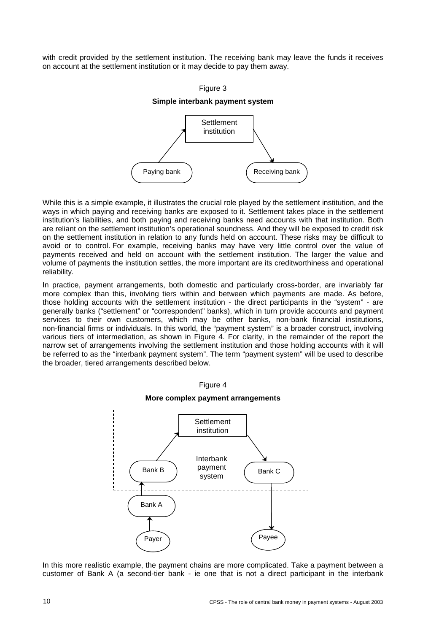with credit provided by the settlement institution. The receiving bank may leave the funds it receives on account at the settlement institution or it may decide to pay them away.



While this is a simple example, it illustrates the crucial role played by the settlement institution, and the ways in which paying and receiving banks are exposed to it. Settlement takes place in the settlement institution's liabilities, and both paying and receiving banks need accounts with that institution. Both are reliant on the settlement institution's operational soundness. And they will be exposed to credit risk on the settlement institution in relation to any funds held on account. These risks may be difficult to avoid or to control. For example, receiving banks may have very little control over the value of payments received and held on account with the settlement institution. The larger the value and volume of payments the institution settles, the more important are its creditworthiness and operational reliability.

In practice, payment arrangements, both domestic and particularly cross-border, are invariably far more complex than this, involving tiers within and between which payments are made. As before, those holding accounts with the settlement institution - the direct participants in the "system" - are generally banks ("settlement" or "correspondent" banks), which in turn provide accounts and payment services to their own customers, which may be other banks, non-bank financial institutions, non-financial firms or individuals. In this world, the "payment system" is a broader construct, involving various tiers of intermediation, as shown in Figure 4. For clarity, in the remainder of the report the narrow set of arrangements involving the settlement institution and those holding accounts with it will be referred to as the "interbank payment system". The term "payment system" will be used to describe the broader, tiered arrangements described below.



In this more realistic example, the payment chains are more complicated. Take a payment between a customer of Bank A (a second-tier bank - ie one that is not a direct participant in the interbank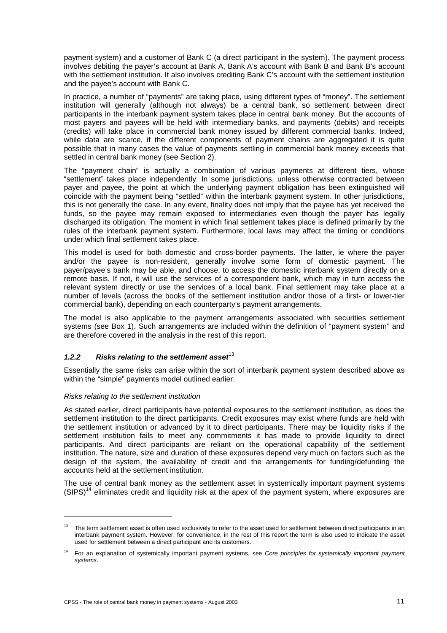payment system) and a customer of Bank C (a direct participant in the system). The payment process involves debiting the payer's account at Bank A, Bank A's account with Bank B and Bank B's account with the settlement institution. It also involves crediting Bank C's account with the settlement institution and the payee's account with Bank C.

In practice, a number of "payments" are taking place, using different types of "money". The settlement institution will generally (although not always) be a central bank, so settlement between direct participants in the interbank payment system takes place in central bank money. But the accounts of most payers and payees will be held with intermediary banks, and payments (debits) and receipts (credits) will take place in commercial bank money issued by different commercial banks. Indeed, while data are scarce, if the different components of payment chains are aggregated it is quite possible that in many cases the value of payments settling in commercial bank money exceeds that settled in central bank money (see Section 2).

The "payment chain" is actually a combination of various payments at different tiers, whose "settlement" takes place independently. In some jurisdictions, unless otherwise contracted between payer and payee, the point at which the underlying payment obligation has been extinguished will coincide with the payment being "settled" within the interbank payment system. In other jurisdictions, this is not generally the case. In any event, finality does not imply that the payee has yet received the funds, so the payee may remain exposed to intermediaries even though the payer has legally discharged its obligation. The moment in which final settlement takes place is defined primarily by the rules of the interbank payment system. Furthermore, local laws may affect the timing or conditions under which final settlement takes place.

This model is used for both domestic and cross-border payments. The latter, ie where the payer and/or the payee is non-resident, generally involve some form of domestic payment. The payer/payee's bank may be able, and choose, to access the domestic interbank system directly on a remote basis. If not, it will use the services of a correspondent bank, which may in turn access the relevant system directly or use the services of a local bank. Final settlement may take place at a number of levels (across the books of the settlement institution and/or those of a first- or lower-tier commercial bank), depending on each counterparty's payment arrangements.

The model is also applicable to the payment arrangements associated with securities settlement systems (see Box 1). Such arrangements are included within the definition of "payment system" and are therefore covered in the analysis in the rest of this report.

# 1.2.2 Risks relating to the settlement asset<sup>13</sup>

Essentially the same risks can arise within the sort of interbank payment system described above as within the "simple" payments model outlined earlier.

# *Risks relating to the settlement institution*

 $\overline{a}$ 

As stated earlier, direct participants have potential exposures to the settlement institution, as does the settlement institution to the direct participants. Credit exposures may exist where funds are held with the settlement institution or advanced by it to direct participants. There may be liquidity risks if the settlement institution fails to meet any commitments it has made to provide liquidity to direct participants. And direct participants are reliant on the operational capability of the settlement institution. The nature, size and duration of these exposures depend very much on factors such as the design of the system, the availability of credit and the arrangements for funding/defunding the accounts held at the settlement institution.

The use of central bank money as the settlement asset in systemically important payment systems  $(SIPS)^{14}$  eliminates credit and liquidity risk at the apex of the payment system, where exposures are

<sup>&</sup>lt;sup>13</sup> The term settlement asset is often used exclusively to refer to the asset used for settlement between direct participants in an interbank payment system. However, for convenience, in the rest of this report the term is also used to indicate the asset used for settlement between a direct participant and its customers.

<sup>14</sup> For an explanation of systemically important payment systems, see *Core principles for systemically important payment systems*.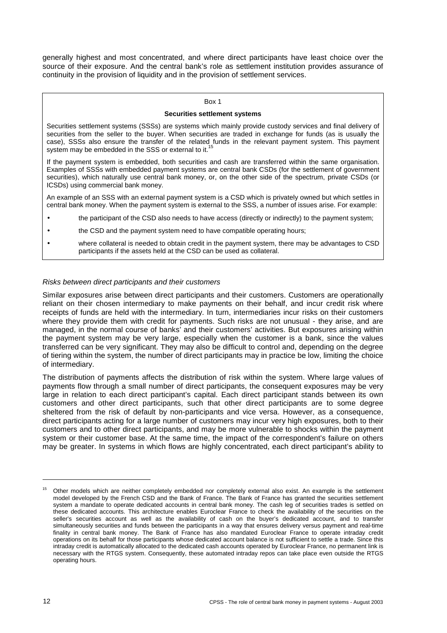generally highest and most concentrated, and where direct participants have least choice over the source of their exposure. And the central bank's role as settlement institution provides assurance of continuity in the provision of liquidity and in the provision of settlement services.

#### Box 1

#### **Securities settlement systems**

Securities settlement systems (SSSs) are systems which mainly provide custody services and final delivery of securities from the seller to the buyer. When securities are traded in exchange for funds (as is usually the case), SSSs also ensure the transfer of the related funds in the relevant payment system. This payment system may be embedded in the SSS or external to it.

If the payment system is embedded, both securities and cash are transferred within the same organisation. Examples of SSSs with embedded payment systems are central bank CSDs (for the settlement of government securities), which naturally use central bank money, or, on the other side of the spectrum, private CSDs (or ICSDs) using commercial bank money.

An example of an SSS with an external payment system is a CSD which is privately owned but which settles in central bank money. When the payment system is external to the SSS, a number of issues arise. For example:

- the participant of the CSD also needs to have access (directly or indirectly) to the payment system;
- the CSD and the payment system need to have compatible operating hours;
- where collateral is needed to obtain credit in the payment system, there may be advantages to CSD participants if the assets held at the CSD can be used as collateral.

#### *Risks between direct participants and their customers*

Similar exposures arise between direct participants and their customers. Customers are operationally reliant on their chosen intermediary to make payments on their behalf, and incur credit risk where receipts of funds are held with the intermediary. In turn, intermediaries incur risks on their customers where they provide them with credit for payments. Such risks are not unusual - they arise, and are managed, in the normal course of banks' and their customers' activities. But exposures arising within the payment system may be very large, especially when the customer is a bank, since the values transferred can be very significant. They may also be difficult to control and, depending on the degree of tiering within the system, the number of direct participants may in practice be low, limiting the choice of intermediary.

The distribution of payments affects the distribution of risk within the system. Where large values of payments flow through a small number of direct participants, the consequent exposures may be very large in relation to each direct participant's capital. Each direct participant stands between its own customers and other direct participants, such that other direct participants are to some degree sheltered from the risk of default by non-participants and vice versa. However, as a consequence, direct participants acting for a large number of customers may incur very high exposures, both to their customers and to other direct participants, and may be more vulnerable to shocks within the payment system or their customer base. At the same time, the impact of the correspondent's failure on others may be greater. In systems in which flows are highly concentrated, each direct participant's ability to

Other models which are neither completely embedded nor completely external also exist. An example is the settlement model developed by the French CSD and the Bank of France. The Bank of France has granted the securities settlement system a mandate to operate dedicated accounts in central bank money. The cash leg of securities trades is settled on these dedicated accounts. This architecture enables Euroclear France to check the availability of the securities on the seller's securities account as well as the availability of cash on the buyer's dedicated account, and to transfer simultaneously securities and funds between the participants in a way that ensures delivery versus payment and real-time finality in central bank money. The Bank of France has also mandated Euroclear France to operate intraday credit operations on its behalf for those participants whose dedicated account balance is not sufficient to settle a trade. Since this intraday credit is automatically allocated to the dedicated cash accounts operated by Euroclear France, no permanent link is necessary with the RTGS system. Consequently, these automated intraday repos can take place even outside the RTGS operating hours.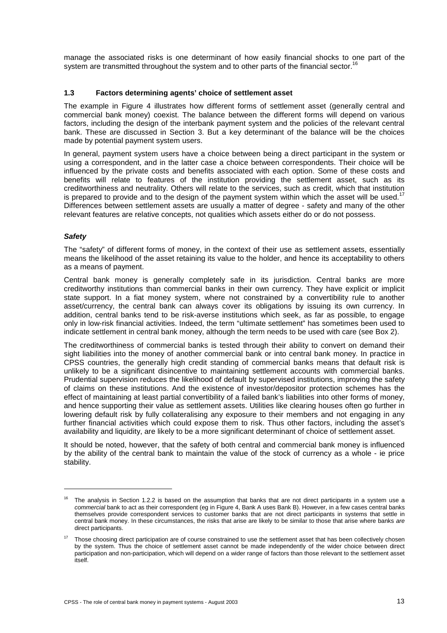manage the associated risks is one determinant of how easily financial shocks to one part of the system are transmitted throughout the system and to other parts of the financial sector.<sup>16</sup>

## **1.3 Factors determining agents' choice of settlement asset**

The example in Figure 4 illustrates how different forms of settlement asset (generally central and commercial bank money) coexist. The balance between the different forms will depend on various factors, including the design of the interbank payment system and the policies of the relevant central bank. These are discussed in Section 3. But a key determinant of the balance will be the choices made by potential payment system users.

In general, payment system users have a choice between being a direct participant in the system or using a correspondent, and in the latter case a choice between correspondents. Their choice will be influenced by the private costs and benefits associated with each option. Some of these costs and benefits will relate to features of the institution providing the settlement asset, such as its creditworthiness and neutrality. Others will relate to the services, such as credit, which that institution is prepared to provide and to the design of the payment system within which the asset will be used.<sup>17</sup> Differences between settlement assets are usually a matter of degree - safety and many of the other relevant features are relative concepts, not qualities which assets either do or do not possess.

## *Safety*

l

The "safety" of different forms of money, in the context of their use as settlement assets, essentially means the likelihood of the asset retaining its value to the holder, and hence its acceptability to others as a means of payment.

Central bank money is generally completely safe in its jurisdiction. Central banks are more creditworthy institutions than commercial banks in their own currency. They have explicit or implicit state support. In a fiat money system, where not constrained by a convertibility rule to another asset/currency, the central bank can always cover its obligations by issuing its own currency. In addition, central banks tend to be risk-averse institutions which seek, as far as possible, to engage only in low-risk financial activities. Indeed, the term "ultimate settlement" has sometimes been used to indicate settlement in central bank money, although the term needs to be used with care (see Box 2).

The creditworthiness of commercial banks is tested through their ability to convert on demand their sight liabilities into the money of another commercial bank or into central bank money. In practice in CPSS countries, the generally high credit standing of commercial banks means that default risk is unlikely to be a significant disincentive to maintaining settlement accounts with commercial banks. Prudential supervision reduces the likelihood of default by supervised institutions, improving the safety of claims on these institutions. And the existence of investor/depositor protection schemes has the effect of maintaining at least partial convertibility of a failed bank's liabilities into other forms of money, and hence supporting their value as settlement assets. Utilities like clearing houses often go further in lowering default risk by fully collateralising any exposure to their members and not engaging in any further financial activities which could expose them to risk. Thus other factors, including the asset's availability and liquidity, are likely to be a more significant determinant of choice of settlement asset.

It should be noted, however, that the safety of both central and commercial bank money is influenced by the ability of the central bank to maintain the value of the stock of currency as a whole - ie price stability.

The analysis in Section 1.2.2 is based on the assumption that banks that are not direct participants in a system use a *commercial* bank to act as their correspondent (eg in Figure 4, Bank A uses Bank B). However, in a few cases central banks themselves provide correspondent services to customer banks that are not direct participants in systems that settle in central bank money. In these circumstances, the risks that arise are likely to be similar to those that arise where banks *are*  direct participants.

<sup>17</sup> Those choosing direct participation are of course constrained to use the settlement asset that has been collectively chosen by the system. Thus the choice of settlement asset cannot be made independently of the wider choice between direct participation and non-participation, which will depend on a wider range of factors than those relevant to the settlement asset itself.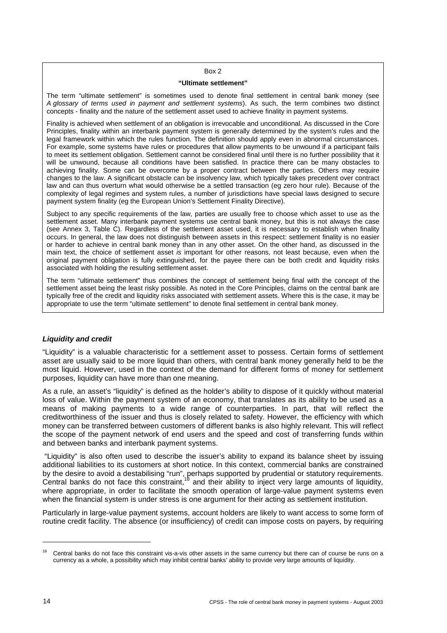#### Box 2

#### **"Ultimate settlement"**

The term "ultimate settlement" is sometimes used to denote final settlement in central bank money (see *A glossary of terms used in payment and settlement systems*). As such, the term combines two distinct concepts - finality and the nature of the settlement asset used to achieve finality in payment systems.

Finality is achieved when settlement of an obligation is irrevocable and unconditional. As discussed in the Core Principles, finality within an interbank payment system is generally determined by the system's rules and the legal framework within which the rules function. The definition should apply even in abnormal circumstances. For example, some systems have rules or procedures that allow payments to be unwound if a participant fails to meet its settlement obligation. Settlement cannot be considered final until there is no further possibility that it will be unwound, because all conditions have been satisfied. In practice there can be many obstacles to achieving finality. Some can be overcome by a proper contract between the parties. Others may require changes to the law. A significant obstacle can be insolvency law, which typically takes precedent over contract law and can thus overturn what would otherwise be a settled transaction (eg zero hour rule). Because of the complexity of legal regimes and system rules, a number of jurisdictions have special laws designed to secure payment system finality (eg the European Union's Settlement Finality Directive).

Subject to any specific requirements of the law, parties are usually free to choose which asset to use as the settlement asset. Many interbank payment systems use central bank money, but this is not always the case (see Annex 3, Table C). Regardless of the settlement asset used, it is necessary to establish when finality occurs. In general, the law does not distinguish between assets in this respect: settlement finality is no easier or harder to achieve in central bank money than in any other asset. On the other hand, as discussed in the main text, the choice of settlement asset *is* important for other reasons, not least because, even when the original payment obligation is fully extinguished, for the payee there can be both credit and liquidity risks associated with holding the resulting settlement asset.

The term "ultimate settlement" thus combines the concept of settlement being final with the concept of the settlement asset being the least risky possible. As noted in the Core Principles, claims on the central bank are typically free of the credit and liquidity risks associated with settlement assets. Where this is the case, it may be appropriate to use the term "ultimate settlement" to denote final settlement in central bank money.

# *Liquidity and credit*

"Liquidity" is a valuable characteristic for a settlement asset to possess. Certain forms of settlement asset are usually said to be more liquid than others, with central bank money generally held to be the most liquid. However, used in the context of the demand for different forms of money for settlement purposes, liquidity can have more than one meaning.

As a rule, an asset's "liquidity" is defined as the holder's ability to dispose of it quickly without material loss of value. Within the payment system of an economy, that translates as its ability to be used as a means of making payments to a wide range of counterparties. In part, that will reflect the creditworthiness of the issuer and thus is closely related to safety. However, the efficiency with which money can be transferred between customers of different banks is also highly relevant. This will reflect the scope of the payment network of end users and the speed and cost of transferring funds within and between banks and interbank payment systems.

 "Liquidity" is also often used to describe the issuer's ability to expand its balance sheet by issuing additional liabilities to its customers at short notice. In this context, commercial banks are constrained by the desire to avoid a destabilising "run", perhaps supported by prudential or statutory requirements. Central banks do not face this constraint,<sup>18</sup> and their ability to inject very large amounts of liquidity, where appropriate, in order to facilitate the smooth operation of large-value payment systems even when the financial system is under stress is one argument for their acting as settlement institution.

Particularly in large-value payment systems, account holders are likely to want access to some form of routine credit facility. The absence (or insufficiency) of credit can impose costs on payers, by requiring

<sup>&</sup>lt;sup>18</sup> Central banks do not face this constraint vis-a-vis other assets in the same currency but there can of course be runs on a currency as a whole, a possibility which may inhibit central banks' ability to provide very large amounts of liquidity.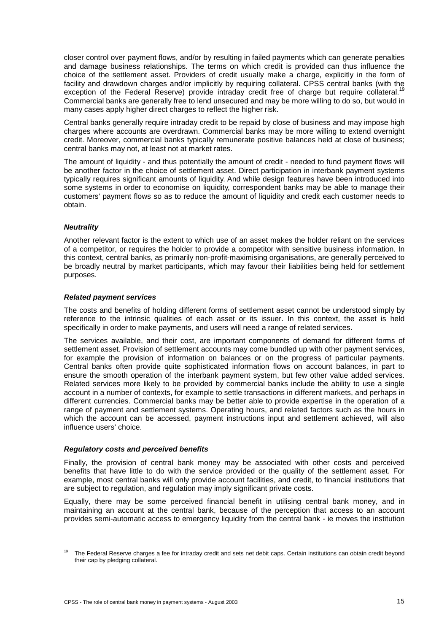closer control over payment flows, and/or by resulting in failed payments which can generate penalties and damage business relationships. The terms on which credit is provided can thus influence the choice of the settlement asset. Providers of credit usually make a charge, explicitly in the form of facility and drawdown charges and/or implicitly by requiring collateral. CPSS central banks (with the exception of the Federal Reserve) provide intraday credit free of charge but require collateral.<sup>19</sup> Commercial banks are generally free to lend unsecured and may be more willing to do so, but would in many cases apply higher direct charges to reflect the higher risk.

Central banks generally require intraday credit to be repaid by close of business and may impose high charges where accounts are overdrawn. Commercial banks may be more willing to extend overnight credit. Moreover, commercial banks typically remunerate positive balances held at close of business; central banks may not, at least not at market rates.

The amount of liquidity - and thus potentially the amount of credit - needed to fund payment flows will be another factor in the choice of settlement asset. Direct participation in interbank payment systems typically requires significant amounts of liquidity. And while design features have been introduced into some systems in order to economise on liquidity, correspondent banks may be able to manage their customers' payment flows so as to reduce the amount of liquidity and credit each customer needs to obtain.

## *Neutrality*

l

Another relevant factor is the extent to which use of an asset makes the holder reliant on the services of a competitor, or requires the holder to provide a competitor with sensitive business information. In this context, central banks, as primarily non-profit-maximising organisations, are generally perceived to be broadly neutral by market participants, which may favour their liabilities being held for settlement purposes.

## *Related payment services*

The costs and benefits of holding different forms of settlement asset cannot be understood simply by reference to the intrinsic qualities of each asset or its issuer. In this context, the asset is held specifically in order to make payments, and users will need a range of related services.

The services available, and their cost, are important components of demand for different forms of settlement asset. Provision of settlement accounts may come bundled up with other payment services, for example the provision of information on balances or on the progress of particular payments. Central banks often provide quite sophisticated information flows on account balances, in part to ensure the smooth operation of the interbank payment system, but few other value added services. Related services more likely to be provided by commercial banks include the ability to use a single account in a number of contexts, for example to settle transactions in different markets, and perhaps in different currencies. Commercial banks may be better able to provide expertise in the operation of a range of payment and settlement systems. Operating hours, and related factors such as the hours in which the account can be accessed, payment instructions input and settlement achieved, will also influence users' choice.

#### *Regulatory costs and perceived benefits*

Finally, the provision of central bank money may be associated with other costs and perceived benefits that have little to do with the service provided or the quality of the settlement asset. For example, most central banks will only provide account facilities, and credit, to financial institutions that are subject to regulation, and regulation may imply significant private costs.

Equally, there may be some perceived financial benefit in utilising central bank money, and in maintaining an account at the central bank, because of the perception that access to an account provides semi-automatic access to emergency liquidity from the central bank - ie moves the institution

<sup>19</sup> The Federal Reserve charges a fee for intraday credit and sets net debit caps. Certain institutions can obtain credit beyond their cap by pledging collateral.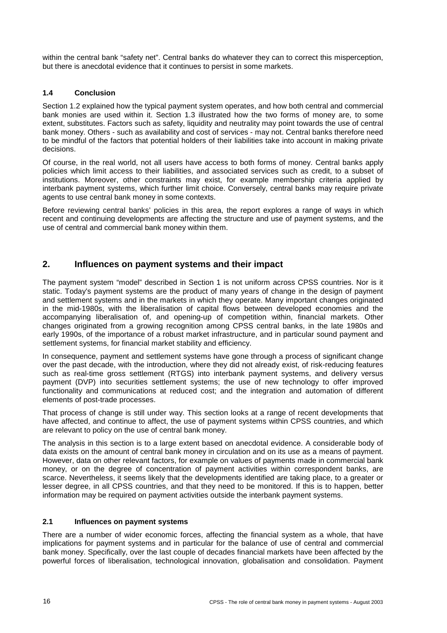within the central bank "safety net". Central banks do whatever they can to correct this misperception, but there is anecdotal evidence that it continues to persist in some markets.

# **1.4 Conclusion**

Section 1.2 explained how the typical payment system operates, and how both central and commercial bank monies are used within it. Section 1.3 illustrated how the two forms of money are, to some extent, substitutes. Factors such as safety, liquidity and neutrality may point towards the use of central bank money. Others - such as availability and cost of services - may not. Central banks therefore need to be mindful of the factors that potential holders of their liabilities take into account in making private decisions.

Of course, in the real world, not all users have access to both forms of money. Central banks apply policies which limit access to their liabilities, and associated services such as credit, to a subset of institutions. Moreover, other constraints may exist, for example membership criteria applied by interbank payment systems, which further limit choice. Conversely, central banks may require private agents to use central bank money in some contexts.

Before reviewing central banks' policies in this area, the report explores a range of ways in which recent and continuing developments are affecting the structure and use of payment systems, and the use of central and commercial bank money within them.

# **2. Influences on payment systems and their impact**

The payment system "model" described in Section 1 is not uniform across CPSS countries. Nor is it static. Today's payment systems are the product of many years of change in the design of payment and settlement systems and in the markets in which they operate. Many important changes originated in the mid-1980s, with the liberalisation of capital flows between developed economies and the accompanying liberalisation of, and opening-up of competition within, financial markets. Other changes originated from a growing recognition among CPSS central banks, in the late 1980s and early 1990s, of the importance of a robust market infrastructure, and in particular sound payment and settlement systems, for financial market stability and efficiency.

In consequence, payment and settlement systems have gone through a process of significant change over the past decade, with the introduction, where they did not already exist, of risk-reducing features such as real-time gross settlement (RTGS) into interbank payment systems, and delivery versus payment (DVP) into securities settlement systems; the use of new technology to offer improved functionality and communications at reduced cost; and the integration and automation of different elements of post-trade processes.

That process of change is still under way. This section looks at a range of recent developments that have affected, and continue to affect, the use of payment systems within CPSS countries, and which are relevant to policy on the use of central bank money.

The analysis in this section is to a large extent based on anecdotal evidence. A considerable body of data exists on the amount of central bank money in circulation and on its use as a means of payment. However, data on other relevant factors, for example on values of payments made in commercial bank money, or on the degree of concentration of payment activities within correspondent banks, are scarce. Nevertheless, it seems likely that the developments identified are taking place, to a greater or lesser degree, in all CPSS countries, and that they need to be monitored. If this is to happen, better information may be required on payment activities outside the interbank payment systems.

# **2.1 Influences on payment systems**

There are a number of wider economic forces, affecting the financial system as a whole, that have implications for payment systems and in particular for the balance of use of central and commercial bank money. Specifically, over the last couple of decades financial markets have been affected by the powerful forces of liberalisation, technological innovation, globalisation and consolidation. Payment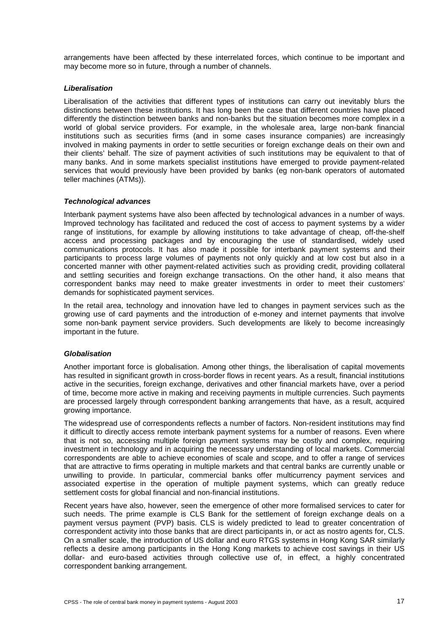arrangements have been affected by these interrelated forces, which continue to be important and may become more so in future, through a number of channels.

#### *Liberalisation*

Liberalisation of the activities that different types of institutions can carry out inevitably blurs the distinctions between these institutions. It has long been the case that different countries have placed differently the distinction between banks and non-banks but the situation becomes more complex in a world of global service providers. For example, in the wholesale area, large non-bank financial institutions such as securities firms (and in some cases insurance companies) are increasingly involved in making payments in order to settle securities or foreign exchange deals on their own and their clients' behalf. The size of payment activities of such institutions may be equivalent to that of many banks. And in some markets specialist institutions have emerged to provide payment-related services that would previously have been provided by banks (eg non-bank operators of automated teller machines (ATMs)).

## *Technological advances*

Interbank payment systems have also been affected by technological advances in a number of ways. Improved technology has facilitated and reduced the cost of access to payment systems by a wider range of institutions, for example by allowing institutions to take advantage of cheap, off-the-shelf access and processing packages and by encouraging the use of standardised, widely used communications protocols. It has also made it possible for interbank payment systems and their participants to process large volumes of payments not only quickly and at low cost but also in a concerted manner with other payment-related activities such as providing credit, providing collateral and settling securities and foreign exchange transactions. On the other hand, it also means that correspondent banks may need to make greater investments in order to meet their customers' demands for sophisticated payment services.

In the retail area, technology and innovation have led to changes in payment services such as the growing use of card payments and the introduction of e-money and internet payments that involve some non-bank payment service providers. Such developments are likely to become increasingly important in the future.

#### *Globalisation*

Another important force is globalisation. Among other things, the liberalisation of capital movements has resulted in significant growth in cross-border flows in recent years. As a result, financial institutions active in the securities, foreign exchange, derivatives and other financial markets have, over a period of time, become more active in making and receiving payments in multiple currencies. Such payments are processed largely through correspondent banking arrangements that have, as a result, acquired growing importance.

The widespread use of correspondents reflects a number of factors. Non-resident institutions may find it difficult to directly access remote interbank payment systems for a number of reasons. Even where that is not so, accessing multiple foreign payment systems may be costly and complex, requiring investment in technology and in acquiring the necessary understanding of local markets. Commercial correspondents are able to achieve economies of scale and scope, and to offer a range of services that are attractive to firms operating in multiple markets and that central banks are currently unable or unwilling to provide. In particular, commercial banks offer multicurrency payment services and associated expertise in the operation of multiple payment systems, which can greatly reduce settlement costs for global financial and non-financial institutions.

Recent years have also, however, seen the emergence of other more formalised services to cater for such needs. The prime example is CLS Bank for the settlement of foreign exchange deals on a payment versus payment (PVP) basis. CLS is widely predicted to lead to greater concentration of correspondent activity into those banks that are direct participants in, or act as nostro agents for, CLS. On a smaller scale, the introduction of US dollar and euro RTGS systems in Hong Kong SAR similarly reflects a desire among participants in the Hong Kong markets to achieve cost savings in their US dollar- and euro-based activities through collective use of, in effect, a highly concentrated correspondent banking arrangement.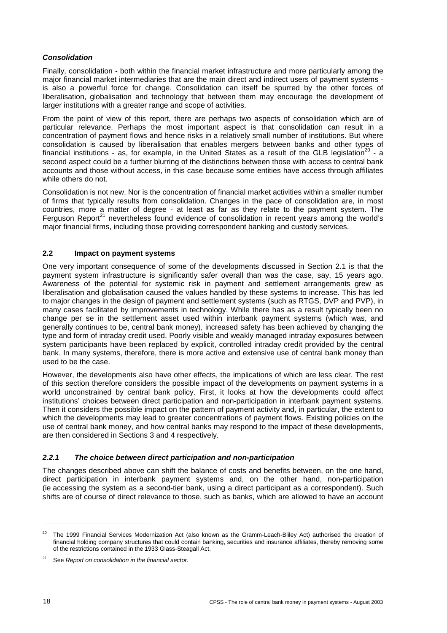# *Consolidation*

Finally, consolidation - both within the financial market infrastructure and more particularly among the major financial market intermediaries that are the main direct and indirect users of payment systems is also a powerful force for change. Consolidation can itself be spurred by the other forces of liberalisation, globalisation and technology that between them may encourage the development of larger institutions with a greater range and scope of activities.

From the point of view of this report, there are perhaps two aspects of consolidation which are of particular relevance. Perhaps the most important aspect is that consolidation can result in a concentration of payment flows and hence risks in a relatively small number of institutions. But where consolidation is caused by liberalisation that enables mergers between banks and other types of financial institutions - as, for example, in the United States as a result of the GLB legislation<sup>20</sup> - a second aspect could be a further blurring of the distinctions between those with access to central bank accounts and those without access, in this case because some entities have access through affiliates while others do not.

Consolidation is not new. Nor is the concentration of financial market activities within a smaller number of firms that typically results from consolidation. Changes in the pace of consolidation are, in most countries, more a matter of degree - at least as far as they relate to the payment system. The Ferguson Report $21$  nevertheless found evidence of consolidation in recent years among the world's major financial firms, including those providing correspondent banking and custody services.

# **2.2 Impact on payment systems**

One very important consequence of some of the developments discussed in Section 2.1 is that the payment system infrastructure is significantly safer overall than was the case, say, 15 years ago. Awareness of the potential for systemic risk in payment and settlement arrangements grew as liberalisation and globalisation caused the values handled by these systems to increase. This has led to major changes in the design of payment and settlement systems (such as RTGS, DVP and PVP), in many cases facilitated by improvements in technology. While there has as a result typically been no change per se in the settlement asset used within interbank payment systems (which was, and generally continues to be, central bank money), increased safety has been achieved by changing the type and form of intraday credit used. Poorly visible and weakly managed intraday exposures between system participants have been replaced by explicit, controlled intraday credit provided by the central bank. In many systems, therefore, there is more active and extensive use of central bank money than used to be the case.

However, the developments also have other effects, the implications of which are less clear. The rest of this section therefore considers the possible impact of the developments on payment systems in a world unconstrained by central bank policy. First, it looks at how the developments could affect institutions' choices between direct participation and non-participation in interbank payment systems. Then it considers the possible impact on the pattern of payment activity and, in particular, the extent to which the developments may lead to greater concentrations of payment flows. Existing policies on the use of central bank money, and how central banks may respond to the impact of these developments, are then considered in Sections 3 and 4 respectively.

# *2.2.1 The choice between direct participation and non-participation*

The changes described above can shift the balance of costs and benefits between, on the one hand, direct participation in interbank payment systems and, on the other hand, non-participation (ie accessing the system as a second-tier bank, using a direct participant as a correspondent). Such shifts are of course of direct relevance to those, such as banks, which are allowed to have an account

<sup>&</sup>lt;sup>20</sup> The 1999 Financial Services Modernization Act (also known as the Gramm-Leach-Bliley Act) authorised the creation of financial holding company structures that could contain banking, securities and insurance affiliates, thereby removing some of the restrictions contained in the 1933 Glass-Steagall Act.

<sup>21</sup> See *Report on consolidation in the financial sector*.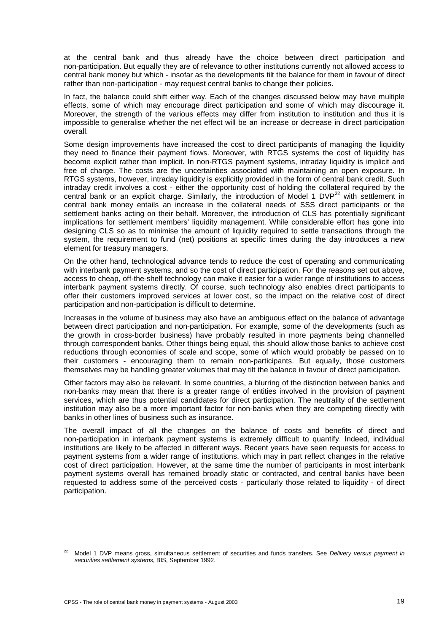at the central bank and thus already have the choice between direct participation and non-participation. But equally they are of relevance to other institutions currently not allowed access to central bank money but which - insofar as the developments tilt the balance for them in favour of direct rather than non-participation - may request central banks to change their policies.

In fact, the balance could shift either way. Each of the changes discussed below may have multiple effects, some of which may encourage direct participation and some of which may discourage it. Moreover, the strength of the various effects may differ from institution to institution and thus it is impossible to generalise whether the net effect will be an increase or decrease in direct participation overall.

Some design improvements have increased the cost to direct participants of managing the liquidity they need to finance their payment flows. Moreover, with RTGS systems the cost of liquidity has become explicit rather than implicit. In non-RTGS payment systems, intraday liquidity is implicit and free of charge. The costs are the uncertainties associated with maintaining an open exposure. In RTGS systems, however, intraday liquidity is explicitly provided in the form of central bank credit. Such intraday credit involves a cost - either the opportunity cost of holding the collateral required by the central bank or an explicit charge. Similarly, the introduction of Model 1 DVP $^{22}$  with settlement in central bank money entails an increase in the collateral needs of SSS direct participants or the settlement banks acting on their behalf. Moreover, the introduction of CLS has potentially significant implications for settlement members' liquidity management. While considerable effort has gone into designing CLS so as to minimise the amount of liquidity required to settle transactions through the system, the requirement to fund (net) positions at specific times during the day introduces a new element for treasury managers.

On the other hand, technological advance tends to reduce the cost of operating and communicating with interbank payment systems, and so the cost of direct participation. For the reasons set out above, access to cheap, off-the-shelf technology can make it easier for a wider range of institutions to access interbank payment systems directly. Of course, such technology also enables direct participants to offer their customers improved services at lower cost, so the impact on the relative cost of direct participation and non-participation is difficult to determine.

Increases in the volume of business may also have an ambiguous effect on the balance of advantage between direct participation and non-participation. For example, some of the developments (such as the growth in cross-border business) have probably resulted in more payments being channelled through correspondent banks. Other things being equal, this should allow those banks to achieve cost reductions through economies of scale and scope, some of which would probably be passed on to their customers - encouraging them to remain non-participants. But equally, those customers themselves may be handling greater volumes that may tilt the balance in favour of direct participation.

Other factors may also be relevant. In some countries, a blurring of the distinction between banks and non-banks may mean that there is a greater range of entities involved in the provision of payment services, which are thus potential candidates for direct participation. The neutrality of the settlement institution may also be a more important factor for non-banks when they are competing directly with banks in other lines of business such as insurance.

The overall impact of all the changes on the balance of costs and benefits of direct and non-participation in interbank payment systems is extremely difficult to quantify. Indeed, individual institutions are likely to be affected in different ways. Recent years have seen requests for access to payment systems from a wider range of institutions, which may in part reflect changes in the relative cost of direct participation. However, at the same time the number of participants in most interbank payment systems overall has remained broadly static or contracted, and central banks have been requested to address some of the perceived costs - particularly those related to liquidity - of direct participation.

<sup>22</sup> Model 1 DVP means gross, simultaneous settlement of securities and funds transfers. See *Delivery versus payment in securities settlement systems*, BIS, September 1992.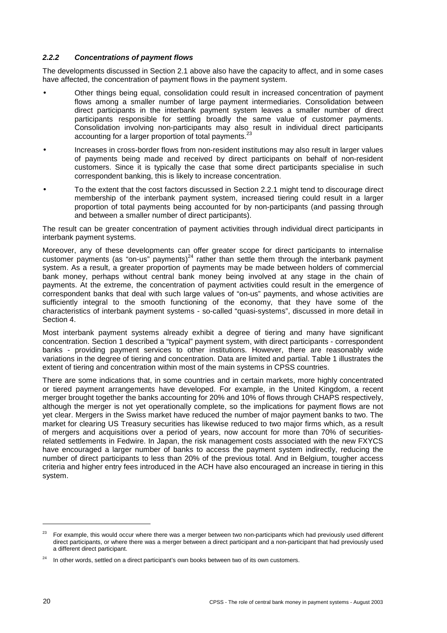# *2.2.2 Concentrations of payment flows*

The developments discussed in Section 2.1 above also have the capacity to affect, and in some cases have affected, the concentration of payment flows in the payment system.

- Other things being equal, consolidation could result in increased concentration of payment flows among a smaller number of large payment intermediaries. Consolidation between direct participants in the interbank payment system leaves a smaller number of direct participants responsible for settling broadly the same value of customer payments. Consolidation involving non-participants may also result in individual direct participants accounting for a larger proportion of total payments.<sup>23</sup>
- Increases in cross-border flows from non-resident institutions may also result in larger values of payments being made and received by direct participants on behalf of non-resident customers. Since it is typically the case that some direct participants specialise in such correspondent banking, this is likely to increase concentration.
- To the extent that the cost factors discussed in Section 2.2.1 might tend to discourage direct membership of the interbank payment system, increased tiering could result in a larger proportion of total payments being accounted for by non-participants (and passing through and between a smaller number of direct participants).

The result can be greater concentration of payment activities through individual direct participants in interbank payment systems.

Moreover, any of these developments can offer greater scope for direct participants to internalise customer payments (as "on-us" payments)<sup>24</sup> rather than settle them through the interbank payment system. As a result, a greater proportion of payments may be made between holders of commercial bank money, perhaps without central bank money being involved at any stage in the chain of payments. At the extreme, the concentration of payment activities could result in the emergence of correspondent banks that deal with such large values of "on-us" payments, and whose activities are sufficiently integral to the smooth functioning of the economy, that they have some of the characteristics of interbank payment systems - so-called "quasi-systems", discussed in more detail in Section 4.

Most interbank payment systems already exhibit a degree of tiering and many have significant concentration. Section 1 described a "typical" payment system, with direct participants - correspondent banks - providing payment services to other institutions. However, there are reasonably wide variations in the degree of tiering and concentration. Data are limited and partial. Table 1 illustrates the extent of tiering and concentration within most of the main systems in CPSS countries.

There are some indications that, in some countries and in certain markets, more highly concentrated or tiered payment arrangements have developed. For example, in the United Kingdom, a recent merger brought together the banks accounting for 20% and 10% of flows through CHAPS respectively, although the merger is not yet operationally complete, so the implications for payment flows are not yet clear. Mergers in the Swiss market have reduced the number of major payment banks to two. The market for clearing US Treasury securities has likewise reduced to two major firms which, as a result of mergers and acquisitions over a period of years, now account for more than 70% of securitiesrelated settlements in Fedwire. In Japan, the risk management costs associated with the new FXYCS have encouraged a larger number of banks to access the payment system indirectly, reducing the number of direct participants to less than 20% of the previous total. And in Belgium, tougher access criteria and higher entry fees introduced in the ACH have also encouraged an increase in tiering in this system.

<sup>&</sup>lt;sup>23</sup> For example, this would occur where there was a merger between two non-participants which had previously used different direct participants, or where there was a merger between a direct participant and a non-participant that had previously used a different direct participant.

 $24$  In other words, settled on a direct participant's own books between two of its own customers.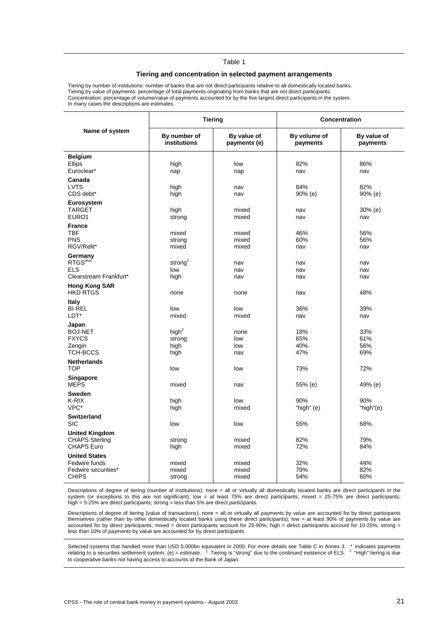#### Table 1

## **Tiering and concentration in selected payment arrangements**

Tiering by number of institutions: number of banks that are not direct participants relative to all domestically located banks. Tiering by value of payments: percentage of total payments originating from banks that are not direct participants. Concentration: percentage of volume/value of payments accounted for by the five largest direct participants in the system. In many cases the descriptions are estimates.

|                                                |                              | <b>Tiering</b>              | Concentration            |                         |
|------------------------------------------------|------------------------------|-----------------------------|--------------------------|-------------------------|
| Name of system                                 | By number of<br>institutions | By value of<br>payments (e) | By volume of<br>payments | By value of<br>payments |
| <b>Belgium</b>                                 |                              |                             |                          |                         |
| <b>Ellips</b><br>Euroclear*                    | high<br>nap                  | low<br>nap                  | 82%<br>nav               | 86%<br>nav              |
| Canada                                         |                              |                             |                          |                         |
| <b>LVTS</b><br>CDS debt*                       | high<br>high                 | nav<br>nav                  | 84%<br>90% (e)           | 82%<br>90% (e)          |
| Eurosystem                                     |                              |                             |                          |                         |
| <b>TARGET</b><br>EURO1                         | high<br>strong               | mixed<br>mixed              | nav<br>nav               | 30% (e)<br>nav          |
| <b>France</b>                                  |                              |                             |                          |                         |
| <b>TBF</b>                                     | mixed                        | mixed                       | 46%                      | 56%                     |
| <b>PNS</b><br>RGV/Relit*                       | strong<br>mixed              | mixed<br>mixed              | 60%<br>nav               | 56%<br>nav              |
| Germany                                        |                              |                             |                          |                         |
| RTGS <sup>plus</sup>                           | strong <sup>1</sup>          | nav                         | nav                      | nav                     |
| <b>ELS</b>                                     | low                          | nav                         | nav                      | nav                     |
| Clearstream Frankfurt*<br><b>Hong Kong SAR</b> | high                         | nav                         | nav                      | nav                     |
| <b>HKD RTGS</b>                                | none                         | none                        | nav                      | 48%                     |
| Italy                                          |                              |                             |                          |                         |
| <b>BI-REL</b>                                  | low                          | low                         | 36%                      | 39%                     |
| LDT*<br>Japan                                  | mixed                        | mixed                       | nav                      | nav                     |
| <b>BOJ-NET</b>                                 | high <sup>2</sup>            | none                        | 18%                      | 33%                     |
| <b>FXYCS</b>                                   | strong                       | low                         | 65%                      | 61%                     |
| Zengin<br>TCH-BCCS                             | high<br>high                 | low<br>nav                  | 40%<br>47%               | 56%<br>69%              |
| <b>Netherlands</b>                             |                              |                             |                          |                         |
| <b>TOP</b>                                     | low                          | low                         | 73%                      | 72%                     |
| Singapore<br><b>MEPS</b>                       | mixed                        | nav                         | 55% (e)                  | 49% (e)                 |
| Sweden                                         |                              |                             |                          |                         |
| K-RIX                                          | high                         | low                         | 90%                      | 90%                     |
| VPC*<br><b>Switzerland</b>                     | high                         | mixed                       | "high" $(e)$             | "high" $(e)$            |
| SIC                                            | low                          | low                         | 55%                      | 68%                     |
| <b>United Kingdom</b>                          |                              |                             |                          |                         |
| <b>CHAPS Sterling</b><br><b>CHAPS Euro</b>     | strong<br>high               | mixed<br>mixed              | 82%<br>72%               | 79%<br>84%              |
| <b>United States</b>                           |                              |                             |                          |                         |
| Fedwire funds                                  | mixed                        | mixed                       | 32%                      | 44%                     |
| Fedwire securities*                            | mixed                        | mixed                       | 79%                      | 82%                     |
| <b>CHIPS</b>                                   | strong                       | mixed                       | 54%                      | 60%                     |

Descriptions of degree of tiering (number of institutions): none = all or virtually all domestically located banks are direct participants in the system (or exceptions to this are not significant); low = at least 75% are direct participants; mixed = 25-75% are direct participants; high = 5-25% are direct participants; strong = less than 5% are direct participants.

Descriptions of degree of tiering (value of transactions): none = all or virtually all payments by value are accounted for by direct participants themselves (rather than by other domestically located banks using these direct participants); low = at least 90% of payments by value are accounted for by direct participants; mixed = direct participants account for 25-90%; high = direct participants account for 10-25%; strong = less than 10% of payments by value are accounted for by direct participants.

Selected systems that handled more than USD 5,000bn equivalent in 2000. For more details see Table C in Annex 3. \* indicates payments<br>relating to a securities settlement system. (e) = estimate. 1 Tiering is "strong" due t to cooperative banks not having access to accounts at the Bank of Japan.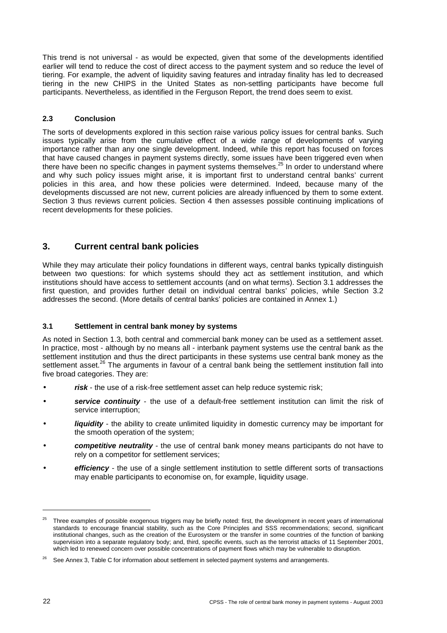This trend is not universal - as would be expected, given that some of the developments identified earlier will tend to reduce the cost of direct access to the payment system and so reduce the level of tiering. For example, the advent of liquidity saving features and intraday finality has led to decreased tiering in the new CHIPS in the United States as non-settling participants have become full participants. Nevertheless, as identified in the Ferguson Report, the trend does seem to exist.

# **2.3 Conclusion**

The sorts of developments explored in this section raise various policy issues for central banks. Such issues typically arise from the cumulative effect of a wide range of developments of varying importance rather than any one single development. Indeed, while this report has focused on forces that have caused changes in payment systems directly, some issues have been triggered even when there have been no specific changes in payment systems themselves.<sup>25</sup> In order to understand where and why such policy issues might arise, it is important first to understand central banks' current policies in this area, and how these policies were determined. Indeed, because many of the developments discussed are not new, current policies are already influenced by them to some extent. Section 3 thus reviews current policies. Section 4 then assesses possible continuing implications of recent developments for these policies.

# **3. Current central bank policies**

While they may articulate their policy foundations in different ways, central banks typically distinguish between two questions: for which systems should they act as settlement institution, and which institutions should have access to settlement accounts (and on what terms). Section 3.1 addresses the first question, and provides further detail on individual central banks' policies, while Section 3.2 addresses the second. (More details of central banks' policies are contained in Annex 1.)

# **3.1 Settlement in central bank money by systems**

As noted in Section 1.3, both central and commercial bank money can be used as a settlement asset. In practice, most - although by no means all - interbank payment systems use the central bank as the settlement institution and thus the direct participants in these systems use central bank money as the settlement asset.<sup>26</sup> The arguments in favour of a central bank being the settlement institution fall into five broad categories. They are:

- *risk* the use of a risk-free settlement asset can help reduce systemic risk;
- *service continuity* the use of a default-free settlement institution can limit the risk of service interruption;
- *liquidity* the ability to create unlimited liquidity in domestic currency may be important for the smooth operation of the system;
- *competitive neutrality* the use of central bank money means participants do not have to rely on a competitor for settlement services;
- *efficiency* the use of a single settlement institution to settle different sorts of transactions may enable participants to economise on, for example, liquidity usage.

<sup>&</sup>lt;sup>25</sup> Three examples of possible exogenous triggers may be briefly noted: first, the development in recent years of international standards to encourage financial stability, such as the Core Principles and SSS recommendations; second, significant institutional changes, such as the creation of the Eurosystem or the transfer in some countries of the function of banking supervision into a separate regulatory body; and, third, specific events, such as the terrorist attacks of 11 September 2001, which led to renewed concern over possible concentrations of payment flows which may be vulnerable to disruption.

<sup>&</sup>lt;sup>26</sup> See Annex 3, Table C for information about settlement in selected payment systems and arrangements.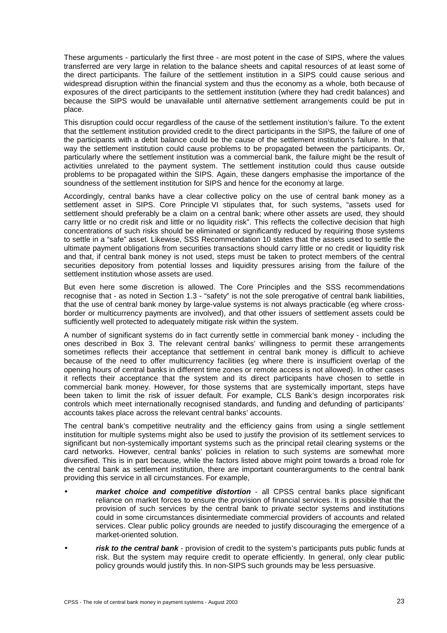These arguments - particularly the first three - are most potent in the case of SIPS, where the values transferred are very large in relation to the balance sheets and capital resources of at least some of the direct participants. The failure of the settlement institution in a SIPS could cause serious and widespread disruption within the financial system and thus the economy as a whole, both because of exposures of the direct participants to the settlement institution (where they had credit balances) and because the SIPS would be unavailable until alternative settlement arrangements could be put in place.

This disruption could occur regardless of the cause of the settlement institution's failure. To the extent that the settlement institution provided credit to the direct participants in the SIPS, the failure of one of the participants with a debit balance could be the cause of the settlement institution's failure. In that way the settlement institution could cause problems to be propagated between the participants. Or, particularly where the settlement institution was a commercial bank, the failure might be the result of activities unrelated to the payment system. The settlement institution could thus cause outside problems to be propagated within the SIPS. Again, these dangers emphasise the importance of the soundness of the settlement institution for SIPS and hence for the economy at large.

Accordingly, central banks have a clear collective policy on the use of central bank money as a settlement asset in SIPS. Core Principle VI stipulates that, for such systems, "assets used for settlement should preferably be a claim on a central bank; where other assets are used, they should carry little or no credit risk and little or no liquidity risk". This reflects the collective decision that high concentrations of such risks should be eliminated or significantly reduced by requiring those systems to settle in a "safe" asset. Likewise, SSS Recommendation 10 states that the assets used to settle the ultimate payment obligations from securities transactions should carry little or no credit or liquidity risk and that, if central bank money is not used, steps must be taken to protect members of the central securities depository from potential losses and liquidity pressures arising from the failure of the settlement institution whose assets are used.

But even here some discretion is allowed. The Core Principles and the SSS recommendations recognise that - as noted in Section 1.3 - "safety" is not the sole prerogative of central bank liabilities, that the use of central bank money by large-value systems is not always practicable (eg where crossborder or multicurrency payments are involved), and that other issuers of settlement assets could be sufficiently well protected to adequately mitigate risk within the system.

A number of significant systems do in fact currently settle in commercial bank money - including the ones described in Box 3. The relevant central banks' willingness to permit these arrangements sometimes reflects their acceptance that settlement in central bank money is difficult to achieve because of the need to offer multicurrency facilities (eg where there is insufficient overlap of the opening hours of central banks in different time zones or remote access is not allowed). In other cases it reflects their acceptance that the system and its direct participants have chosen to settle in commercial bank money. However, for those systems that are systemically important, steps have been taken to limit the risk of issuer default. For example, CLS Bank's design incorporates risk controls which meet internationally recognised standards, and funding and defunding of participants' accounts takes place across the relevant central banks' accounts.

The central bank's competitive neutrality and the efficiency gains from using a single settlement institution for multiple systems might also be used to justify the provision of its settlement services to significant but non-systemically important systems such as the principal retail clearing systems or the card networks. However, central banks' policies in relation to such systems are somewhat more diversified. This is in part because, while the factors listed above might point towards a broad role for the central bank as settlement institution, there are important counterarguments to the central bank providing this service in all circumstances. For example,

- *market choice and competitive distortion* all CPSS central banks place significant reliance on market forces to ensure the provision of financial services. It is possible that the provision of such services by the central bank to private sector systems and institutions could in some circumstances disintermediate commercial providers of accounts and related services. Clear public policy grounds are needed to justify discouraging the emergence of a market-oriented solution.
- *risk to the central bank* provision of credit to the system's participants puts public funds at risk. But the system may require credit to operate efficiently. In general, only clear public policy grounds would justify this. In non-SIPS such grounds may be less persuasive.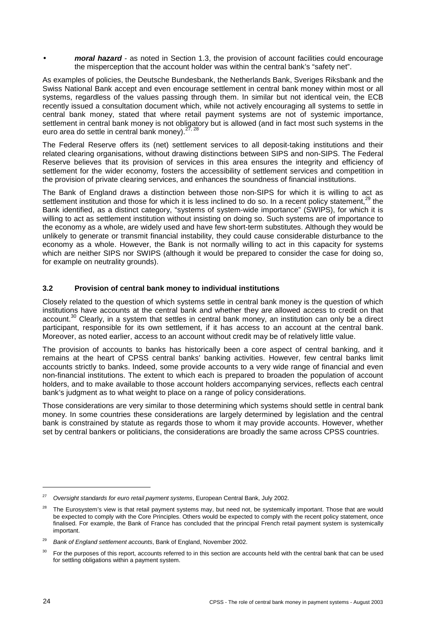• *moral hazard* - as noted in Section 1.3, the provision of account facilities could encourage the misperception that the account holder was within the central bank's "safety net".

As examples of policies, the Deutsche Bundesbank, the Netherlands Bank, Sveriges Riksbank and the Swiss National Bank accept and even encourage settlement in central bank money within most or all systems, regardless of the values passing through them. In similar but not identical vein, the ECB recently issued a consultation document which, while not actively encouraging all systems to settle in central bank money, stated that where retail payment systems are not of systemic importance, settlement in central bank money is not obligatory but is allowed (and in fact most such systems in the euro area do settle in central bank money). $27,28$ 

The Federal Reserve offers its (net) settlement services to all deposit-taking institutions and their related clearing organisations, without drawing distinctions between SIPS and non-SIPS. The Federal Reserve believes that its provision of services in this area ensures the integrity and efficiency of settlement for the wider economy, fosters the accessibility of settlement services and competition in the provision of private clearing services, and enhances the soundness of financial institutions.

The Bank of England draws a distinction between those non-SIPS for which it is willing to act as settlement institution and those for which it is less inclined to do so. In a recent policy statement,<sup>29</sup> the Bank identified, as a distinct category, "systems of system-wide importance" (SWIPS), for which it is willing to act as settlement institution without insisting on doing so. Such systems are of importance to the economy as a whole, are widely used and have few short-term substitutes. Although they would be unlikely to generate or transmit financial instability, they could cause considerable disturbance to the economy as a whole. However, the Bank is not normally willing to act in this capacity for systems which are neither SIPS nor SWIPS (although it would be prepared to consider the case for doing so, for example on neutrality grounds).

# **3.2 Provision of central bank money to individual institutions**

Closely related to the question of which systems settle in central bank money is the question of which institutions have accounts at the central bank and whether they are allowed access to credit on that account.<sup>30</sup> Clearly, in a system that settles in central bank money, an institution can only be a direct participant, responsible for its own settlement, if it has access to an account at the central bank. Moreover, as noted earlier, access to an account without credit may be of relatively little value.

The provision of accounts to banks has historically been a core aspect of central banking, and it remains at the heart of CPSS central banks' banking activities. However, few central banks limit accounts strictly to banks. Indeed, some provide accounts to a very wide range of financial and even non-financial institutions. The extent to which each is prepared to broaden the population of account holders, and to make available to those account holders accompanying services, reflects each central bank's judgment as to what weight to place on a range of policy considerations.

Those considerations are very similar to those determining which systems should settle in central bank money. In some countries these considerations are largely determined by legislation and the central bank is constrained by statute as regards those to whom it may provide accounts. However, whether set by central bankers or politicians, the considerations are broadly the same across CPSS countries.

<sup>27</sup> *Oversight standards for euro retail payment systems*, European Central Bank, July 2002.

<sup>&</sup>lt;sup>28</sup> The Eurosystem's view is that retail payment systems may, but need not, be systemically important. Those that are would be expected to comply with the Core Principles. Others would be expected to comply with the recent policy statement, once finalised. For example, the Bank of France has concluded that the principal French retail payment system is systemically important.

<sup>29</sup> *Bank of England settlement accounts*, Bank of England, November 2002.

<sup>30</sup> For the purposes of this report, accounts referred to in this section are accounts held with the central bank that can be used for settling obligations within a payment system.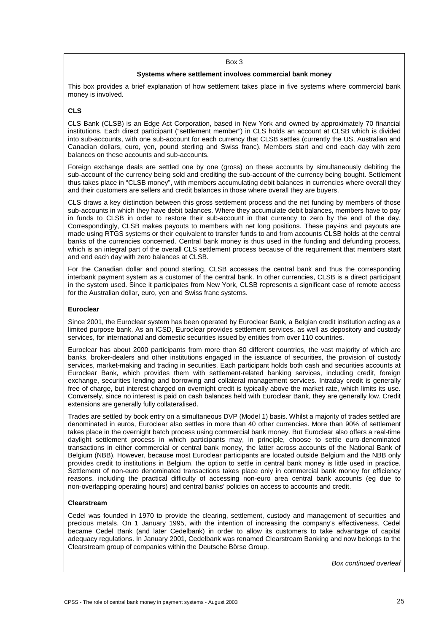#### Box 3

#### **Systems where settlement involves commercial bank money**

This box provides a brief explanation of how settlement takes place in five systems where commercial bank money is involved.

## **CLS**

CLS Bank (CLSB) is an Edge Act Corporation, based in New York and owned by approximately 70 financial institutions. Each direct participant ("settlement member") in CLS holds an account at CLSB which is divided into sub-accounts, with one sub-account for each currency that CLSB settles (currently the US, Australian and Canadian dollars, euro, yen, pound sterling and Swiss franc). Members start and end each day with zero balances on these accounts and sub-accounts.

Foreign exchange deals are settled one by one (gross) on these accounts by simultaneously debiting the sub-account of the currency being sold and crediting the sub-account of the currency being bought. Settlement thus takes place in "CLSB money", with members accumulating debit balances in currencies where overall they and their customers are sellers and credit balances in those where overall they are buyers.

CLS draws a key distinction between this gross settlement process and the net funding by members of those sub-accounts in which they have debit balances. Where they accumulate debit balances, members have to pay in funds to CLSB in order to restore their sub-account in that currency to zero by the end of the day. Correspondingly, CLSB makes payouts to members with net long positions. These pay-ins and payouts are made using RTGS systems or their equivalent to transfer funds to and from accounts CLSB holds at the central banks of the currencies concerned. Central bank money is thus used in the funding and defunding process, which is an integral part of the overall CLS settlement process because of the requirement that members start and end each day with zero balances at CLSB.

For the Canadian dollar and pound sterling, CLSB accesses the central bank and thus the corresponding interbank payment system as a customer of the central bank. In other currencies, CLSB is a direct participant in the system used. Since it participates from New York, CLSB represents a significant case of remote access for the Australian dollar, euro, yen and Swiss franc systems.

#### **Euroclear**

Since 2001, the Euroclear system has been operated by Euroclear Bank, a Belgian credit institution acting as a limited purpose bank. As an ICSD, Euroclear provides settlement services, as well as depository and custody services, for international and domestic securities issued by entities from over 110 countries.

Euroclear has about 2000 participants from more than 80 different countries, the vast majority of which are banks, broker-dealers and other institutions engaged in the issuance of securities, the provision of custody services, market-making and trading in securities. Each participant holds both cash and securities accounts at Euroclear Bank, which provides them with settlement-related banking services, including credit, foreign exchange, securities lending and borrowing and collateral management services. Intraday credit is generally free of charge, but interest charged on overnight credit is typically above the market rate, which limits its use. Conversely, since no interest is paid on cash balances held with Euroclear Bank, they are generally low. Credit extensions are generally fully collateralised.

Trades are settled by book entry on a simultaneous DVP (Model 1) basis. Whilst a majority of trades settled are denominated in euros, Euroclear also settles in more than 40 other currencies. More than 90% of settlement takes place in the overnight batch process using commercial bank money. But Euroclear also offers a real-time daylight settlement process in which participants may, in principle, choose to settle euro-denominated transactions in either commercial or central bank money, the latter across accounts of the National Bank of Belgium (NBB). However, because most Euroclear participants are located outside Belgium and the NBB only provides credit to institutions in Belgium, the option to settle in central bank money is little used in practice. Settlement of non-euro denominated transactions takes place only in commercial bank money for efficiency reasons, including the practical difficulty of accessing non-euro area central bank accounts (eg due to non-overlapping operating hours) and central banks' policies on access to accounts and credit.

#### **Clearstream**

Cedel was founded in 1970 to provide the clearing, settlement, custody and management of securities and precious metals. On 1 January 1995, with the intention of increasing the company's effectiveness, Cedel became Cedel Bank (and later Cedelbank) in order to allow its customers to take advantage of capital adequacy requiations. In January 2001, Cedelbank was renamed Clearstream Banking and now belongs to the Clearstream group of companies within the Deutsche Börse Group.

*Box continued overleaf*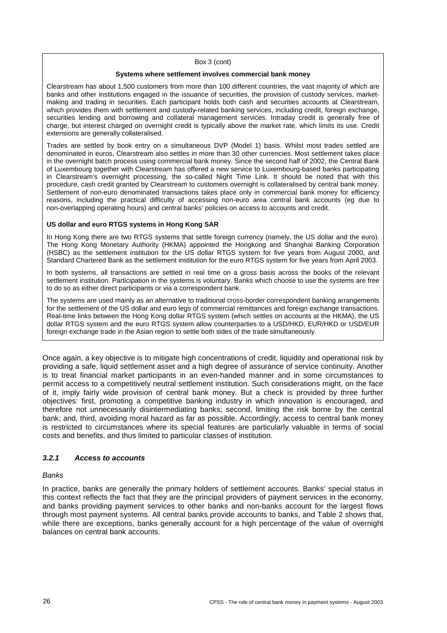#### Box 3 (cont)

#### **Systems where settlement involves commercial bank money**

Clearstream has about 1,500 customers from more than 100 different countries, the vast majority of which are banks and other institutions engaged in the issuance of securities, the provision of custody services, marketmaking and trading in securities. Each participant holds both cash and securities accounts at Clearstream, which provides them with settlement and custody-related banking services, including credit, foreign exchange, securities lending and borrowing and collateral management services. Intraday credit is generally free of charge, but interest charged on overnight credit is typically above the market rate, which limits its use. Credit extensions are generally collateralised.

Trades are settled by book entry on a simultaneous DVP (Model 1) basis. Whilst most trades settled are denominated in euros, Clearstream also settles in more than 30 other currencies. Most settlement takes place in the overnight batch process using commercial bank money. Since the second half of 2002, the Central Bank of Luxembourg together with Clearstream has offered a new service to Luxembourg-based banks participating in Clearstream's overnight processing, the so-called Night Time Link. It should be noted that with this procedure, cash credit granted by Clearstream to customers overnight is collateralised by central bank money. Settlement of non-euro denominated transactions takes place only in commercial bank money for efficiency reasons, including the practical difficulty of accessing non-euro area central bank accounts (eg due to non-overlapping operating hours) and central banks' policies on access to accounts and credit.

#### **US dollar and euro RTGS systems in Hong Kong SAR**

In Hong Kong there are two RTGS systems that settle foreign currency (namely, the US dollar and the euro). The Hong Kong Monetary Authority (HKMA) appointed the Hongkong and Shanghai Banking Corporation (HSBC) as the settlement institution for the US dollar RTGS system for five years from August 2000, and Standard Chartered Bank as the settlement institution for the euro RTGS system for five years from April 2003.

In both systems, all transactions are settled in real time on a gross basis across the books of the relevant settlement institution. Participation in the systems is voluntary. Banks which choose to use the systems are free to do so as either direct participants or via a correspondent bank.

The systems are used mainly as an alternative to traditional cross-border correspondent banking arrangements for the settlement of the US dollar and euro legs of commercial remittances and foreign exchange transactions. Real-time links between the Hong Kong dollar RTGS system (which settles on accounts at the HKMA), the US dollar RTGS system and the euro RTGS system allow counterparties to a USD/HKD, EUR/HKD or USD/EUR foreign exchange trade in the Asian region to settle both sides of the trade simultaneously.

Once again, a key objective is to mitigate high concentrations of credit, liquidity and operational risk by providing a safe, liquid settlement asset and a high degree of assurance of service continuity. Another is to treat financial market participants in an even-handed manner and in some circumstances to permit access to a competitively neutral settlement institution. Such considerations might, on the face of it, imply fairly wide provision of central bank money. But a check is provided by three further objectives: first, promoting a competitive banking industry in which innovation is encouraged, and therefore not unnecessarily disintermediating banks; second, limiting the risk borne by the central bank; and, third, avoiding moral hazard as far as possible. Accordingly, access to central bank money is restricted to circumstances where its special features are particularly valuable in terms of social costs and benefits, and thus limited to particular classes of institution.

#### *3.2.1 Access to accounts*

#### *Banks*

In practice, banks are generally the primary holders of settlement accounts. Banks' special status in this context reflects the fact that they are the principal providers of payment services in the economy, and banks providing payment services to other banks and non-banks account for the largest flows through most payment systems. All central banks provide accounts to banks, and Table 2 shows that, while there are exceptions, banks generally account for a high percentage of the value of overnight balances on central bank accounts.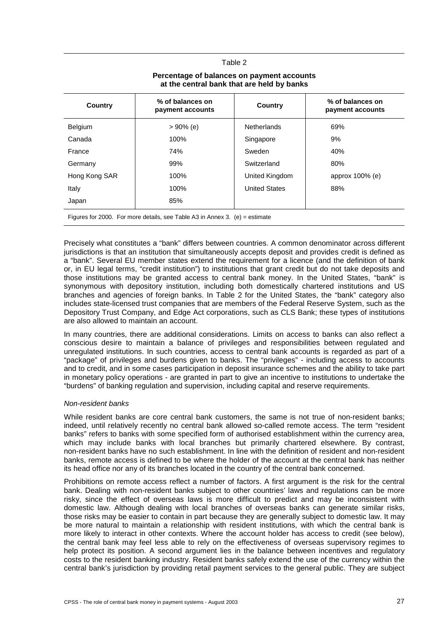#### Table 2

# **Percentage of balances on payment accounts at the central bank that are held by banks**

| <b>Country</b> | % of balances on<br>payment accounts                                        | <b>Country</b>       | % of balances on<br>payment accounts |
|----------------|-----------------------------------------------------------------------------|----------------------|--------------------------------------|
| Belgium        | $>90\%$ (e)                                                                 | <b>Netherlands</b>   | 69%                                  |
| Canada         | 100%                                                                        | Singapore            | 9%                                   |
| France         | 74%                                                                         | Sweden               | 40%                                  |
| Germany        | 99%                                                                         | Switzerland          | 80%                                  |
| Hong Kong SAR  | 100%                                                                        | United Kingdom       | approx 100% (e)                      |
| Italy          | 100%                                                                        | <b>United States</b> | 88%                                  |
| Japan          | 85%                                                                         |                      |                                      |
|                | Figures for 2000. For more details, see Table A3 in Annex 3. (e) = estimate |                      |                                      |

Precisely what constitutes a "bank" differs between countries. A common denominator across different jurisdictions is that an institution that simultaneously accepts deposit and provides credit is defined as a "bank". Several EU member states extend the requirement for a licence (and the definition of bank or, in EU legal terms, "credit institution") to institutions that grant credit but do not take deposits and those institutions may be granted access to central bank money. In the United States, "bank" is synonymous with depository institution, including both domestically chartered institutions and US branches and agencies of foreign banks. In Table 2 for the United States, the "bank" category also includes state-licensed trust companies that are members of the Federal Reserve System, such as the Depository Trust Company, and Edge Act corporations, such as CLS Bank; these types of institutions are also allowed to maintain an account.

In many countries, there are additional considerations. Limits on access to banks can also reflect a conscious desire to maintain a balance of privileges and responsibilities between regulated and unregulated institutions. In such countries, access to central bank accounts is regarded as part of a "package" of privileges and burdens given to banks. The "privileges" - including access to accounts and to credit, and in some cases participation in deposit insurance schemes and the ability to take part in monetary policy operations - are granted in part to give an incentive to institutions to undertake the "burdens" of banking regulation and supervision, including capital and reserve requirements.

#### *Non-resident banks*

While resident banks are core central bank customers, the same is not true of non-resident banks; indeed, until relatively recently no central bank allowed so-called remote access. The term "resident banks" refers to banks with some specified form of authorised establishment within the currency area, which may include banks with local branches but primarily chartered elsewhere. By contrast, non-resident banks have no such establishment. In line with the definition of resident and non-resident banks, remote access is defined to be where the holder of the account at the central bank has neither its head office nor any of its branches located in the country of the central bank concerned.

Prohibitions on remote access reflect a number of factors. A first argument is the risk for the central bank. Dealing with non-resident banks subject to other countries' laws and regulations can be more risky, since the effect of overseas laws is more difficult to predict and may be inconsistent with domestic law. Although dealing with local branches of overseas banks can generate similar risks, those risks may be easier to contain in part because they are generally subject to domestic law. It may be more natural to maintain a relationship with resident institutions, with which the central bank is more likely to interact in other contexts. Where the account holder has access to credit (see below), the central bank may feel less able to rely on the effectiveness of overseas supervisory regimes to help protect its position. A second argument lies in the balance between incentives and regulatory costs to the resident banking industry. Resident banks safely extend the use of the currency within the central bank's jurisdiction by providing retail payment services to the general public. They are subject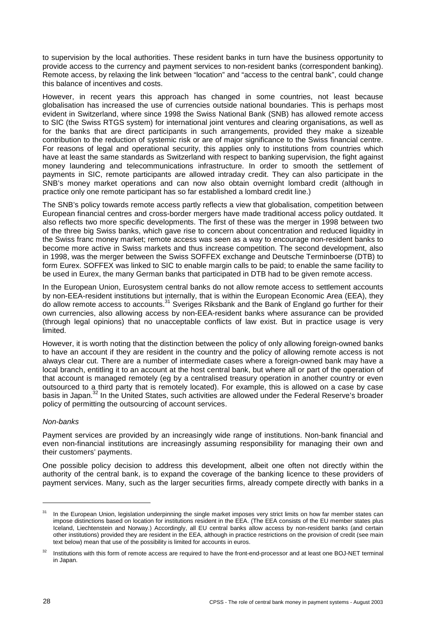to supervision by the local authorities. These resident banks in turn have the business opportunity to provide access to the currency and payment services to non-resident banks (correspondent banking). Remote access, by relaxing the link between "location" and "access to the central bank", could change this balance of incentives and costs.

However, in recent years this approach has changed in some countries, not least because globalisation has increased the use of currencies outside national boundaries. This is perhaps most evident in Switzerland, where since 1998 the Swiss National Bank (SNB) has allowed remote access to SIC (the Swiss RTGS system) for international joint ventures and clearing organisations, as well as for the banks that are direct participants in such arrangements, provided they make a sizeable contribution to the reduction of systemic risk or are of major significance to the Swiss financial centre. For reasons of legal and operational security, this applies only to institutions from countries which have at least the same standards as Switzerland with respect to banking supervision, the fight against money laundering and telecommunications infrastructure. In order to smooth the settlement of payments in SIC, remote participants are allowed intraday credit. They can also participate in the SNB's money market operations and can now also obtain overnight lombard credit (although in practice only one remote participant has so far established a lombard credit line.)

The SNB's policy towards remote access partly reflects a view that globalisation, competition between European financial centres and cross-border mergers have made traditional access policy outdated. It also reflects two more specific developments. The first of these was the merger in 1998 between two of the three big Swiss banks, which gave rise to concern about concentration and reduced liquidity in the Swiss franc money market; remote access was seen as a way to encourage non-resident banks to become more active in Swiss markets and thus increase competition. The second development, also in 1998, was the merger between the Swiss SOFFEX exchange and Deutsche Terminboerse (DTB) to form Eurex. SOFFEX was linked to SIC to enable margin calls to be paid; to enable the same facility to be used in Eurex, the many German banks that participated in DTB had to be given remote access.

In the European Union, Eurosystem central banks do not allow remote access to settlement accounts by non-EEA-resident institutions but internally, that is within the European Economic Area (EEA), they do allow remote access to accounts.<sup>31</sup> Sveriges Riksbank and the Bank of England go further for their own currencies, also allowing access by non-EEA-resident banks where assurance can be provided (through legal opinions) that no unacceptable conflicts of law exist. But in practice usage is very limited.

However, it is worth noting that the distinction between the policy of only allowing foreign-owned banks to have an account if they are resident in the country and the policy of allowing remote access is not always clear cut. There are a number of intermediate cases where a foreign-owned bank may have a local branch, entitling it to an account at the host central bank, but where all or part of the operation of that account is managed remotely (eg by a centralised treasury operation in another country or even outsourced to a third party that is remotely located). For example, this is allowed on a case by case basis in Japan.<sup>32</sup> In the United States, such activities are allowed under the Federal Reserve's broader policy of permitting the outsourcing of account services.

#### *Non-banks*

Payment services are provided by an increasingly wide range of institutions. Non-bank financial and even non-financial institutions are increasingly assuming responsibility for managing their own and their customers' payments.

One possible policy decision to address this development, albeit one often not directly within the authority of the central bank, is to expand the coverage of the banking licence to these providers of payment services. Many, such as the larger securities firms, already compete directly with banks in a

<sup>&</sup>lt;sup>31</sup> In the European Union, legislation underpinning the single market imposes very strict limits on how far member states can impose distinctions based on location for institutions resident in the EEA. (The EEA consists of the EU member states plus Iceland, Liechtenstein and Norway.) Accordingly, all EU central banks allow access by non-resident banks (and certain other institutions) provided they are resident in the EEA, although in practice restrictions on the provision of credit (see main text below) mean that use of the possibility is limited for accounts in euros.

Institutions with this form of remote access are required to have the front-end-processor and at least one BOJ-NET terminal in Japan.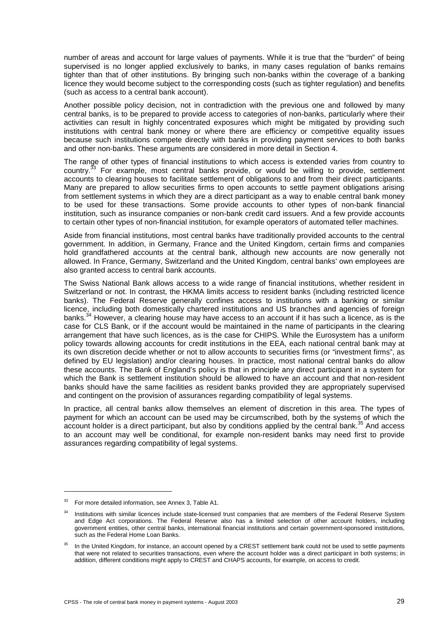number of areas and account for large values of payments. While it is true that the "burden" of being supervised is no longer applied exclusively to banks, in many cases regulation of banks remains tighter than that of other institutions. By bringing such non-banks within the coverage of a banking licence they would become subject to the corresponding costs (such as tighter regulation) and benefits (such as access to a central bank account).

Another possible policy decision, not in contradiction with the previous one and followed by many central banks, is to be prepared to provide access to categories of non-banks, particularly where their activities can result in highly concentrated exposures which might be mitigated by providing such institutions with central bank money or where there are efficiency or competitive equality issues because such institutions compete directly with banks in providing payment services to both banks and other non-banks. These arguments are considered in more detail in Section 4.

The range of other types of financial institutions to which access is extended varies from country to country.<sup>33</sup> For example, most central banks provide, or would be willing to provide, settlement accounts to clearing houses to facilitate settlement of obligations to and from their direct participants. Many are prepared to allow securities firms to open accounts to settle payment obligations arising from settlement systems in which they are a direct participant as a way to enable central bank money to be used for these transactions. Some provide accounts to other types of non-bank financial institution, such as insurance companies or non-bank credit card issuers. And a few provide accounts to certain other types of non-financial institution, for example operators of automated teller machines.

Aside from financial institutions, most central banks have traditionally provided accounts to the central government. In addition, in Germany, France and the United Kingdom, certain firms and companies hold grandfathered accounts at the central bank, although new accounts are now generally not allowed. In France, Germany, Switzerland and the United Kingdom, central banks' own employees are also granted access to central bank accounts.

The Swiss National Bank allows access to a wide range of financial institutions, whether resident in Switzerland or not. In contrast, the HKMA limits access to resident banks (including restricted licence banks). The Federal Reserve generally confines access to institutions with a banking or similar licence, including both domestically chartered institutions and US branches and agencies of foreign banks.34 However, a clearing house may have access to an account if it has such a licence, as is the case for CLS Bank, or if the account would be maintained in the name of participants in the clearing arrangement that have such licences, as is the case for CHIPS. While the Eurosystem has a uniform policy towards allowing accounts for credit institutions in the EEA, each national central bank may at its own discretion decide whether or not to allow accounts to securities firms (or "investment firms", as defined by EU legislation) and/or clearing houses. In practice, most national central banks do allow these accounts. The Bank of England's policy is that in principle any direct participant in a system for which the Bank is settlement institution should be allowed to have an account and that non-resident banks should have the same facilities as resident banks provided they are appropriately supervised and contingent on the provision of assurances regarding compatibility of legal systems.

In practice, all central banks allow themselves an element of discretion in this area. The types of payment for which an account can be used may be circumscribed, both by the systems of which the  $\frac{1}{2}$  account holder is a direct participant, but also by conditions applied by the central bank.<sup>35</sup> And access to an account may well be conditional, for example non-resident banks may need first to provide assurances regarding compatibility of legal systems.

 $\overline{a}$ 

<sup>&</sup>lt;sup>33</sup> For more detailed information, see Annex 3, Table A1.

Institutions with similar licences include state-licensed trust companies that are members of the Federal Reserve System and Edge Act corporations. The Federal Reserve also has a limited selection of other account holders, including government entities, other central banks, international financial institutions and certain government-sponsored institutions, such as the Federal Home Loan Banks.

In the United Kingdom, for instance, an account opened by a CREST settlement bank could not be used to settle payments that were not related to securities transactions, even where the account holder was a direct participant in both systems; in addition, different conditions might apply to CREST and CHAPS accounts, for example, on access to credit.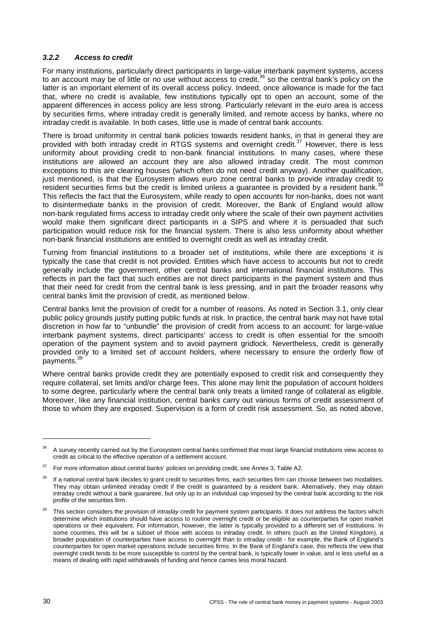#### *3.2.2 Access to credit*

For many institutions, particularly direct participants in large-value interbank payment systems, access to an account may be of little or no use without access to credit,<sup>36</sup> so the central bank's policy on the latter is an important element of its overall access policy. Indeed, once allowance is made for the fact that, where no credit is available, few institutions typically opt to open an account, some of the apparent differences in access policy are less strong. Particularly relevant in the euro area is access by securities firms, where intraday credit is generally limited, and remote access by banks, where no intraday credit is available. In both cases, little use is made of central bank accounts.

There is broad uniformity in central bank policies towards resident banks, in that in general they are provided with both intraday credit in RTGS systems and overnight credit.<sup>37</sup> However, there is less uniformity about providing credit to non-bank financial institutions. In many cases, where these institutions are allowed an account they are also allowed intraday credit. The most common exceptions to this are clearing houses (which often do not need credit anyway). Another qualification, just mentioned, is that the Eurosystem allows euro zone central banks to provide intraday credit to resident securities firms but the credit is limited unless a quarantee is provided by a resident bank.<sup>38</sup> This reflects the fact that the Eurosystem, while ready to open accounts for non-banks, does not want to disintermediate banks in the provision of credit. Moreover, the Bank of England would allow non-bank regulated firms access to intraday credit only where the scale of their own payment activities would make them significant direct participants in a SIPS and where it is persuaded that such participation would reduce risk for the financial system. There is also less uniformity about whether non-bank financial institutions are entitled to overnight credit as well as intraday credit.

Turning from financial institutions to a broader set of institutions, while there are exceptions it is typically the case that credit is not provided. Entities which have access to accounts but not to credit generally include the government, other central banks and international financial institutions. This reflects in part the fact that such entities are not direct participants in the payment system and thus that their need for credit from the central bank is less pressing, and in part the broader reasons why central banks limit the provision of credit, as mentioned below.

Central banks limit the provision of credit for a number of reasons. As noted in Section 3.1, only clear public policy grounds justify putting public funds at risk. In practice, the central bank may not have total discretion in how far to "unbundle" the provision of credit from access to an account: for large-value interbank payment systems, direct participants' access to credit is often essential for the smooth operation of the payment system and to avoid payment gridlock. Nevertheless, credit is generally provided only to a limited set of account holders, where necessary to ensure the orderly flow of payments.<sup>3</sup>

Where central banks provide credit they are potentially exposed to credit risk and consequently they require collateral, set limits and/or charge fees. This alone may limit the population of account holders to some degree, particularly where the central bank only treats a limited range of collateral as eligible. Moreover, like any financial institution, central banks carry out various forms of credit assessment of those to whom they are exposed. Supervision is a form of credit risk assessment. So, as noted above,

<sup>36</sup> A survey recently carried out by the Eurosystem central banks confirmed that most large financial institutions view access to credit as critical to the effective operation of a settlement account.

 $37$  For more information about central banks' policies on providing credit, see Annex 3, Table A2.

<sup>&</sup>lt;sup>38</sup> If a national central bank decides to grant credit to securities firms, each securities firm can choose between two modalities. They may obtain unlimited intraday credit if the credit is guaranteed by a resident bank. Alternatively, they may obtain intraday credit without a bank guarantee, but only up to an individual cap imposed by the central bank according to the risk profile of the securities firm.

<sup>39</sup> This section considers the provision of *intraday* credit for payment system participants. It does not address the factors which determine which institutions should have access to routine overnight credit or be eligible as counterparties for open market operations or their equivalent. For information, however, the latter is typically provided to a different set of institutions. In some countries, this will be a subset of those with access to intraday credit. In others (such as the United Kingdom), a broader population of counterparties have access to overnight than to intraday credit - for example, the Bank of England's counterparties for open market operations include securities firms. In the Bank of England's case, this reflects the view that overnight credit tends to be more susceptible to control by the central bank, is typically lower in value, and is less useful as a means of dealing with rapid withdrawals of funding and hence carries less moral hazard.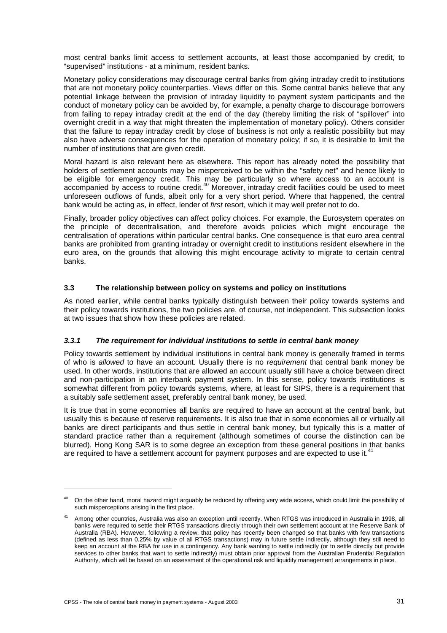most central banks limit access to settlement accounts, at least those accompanied by credit, to "supervised" institutions - at a minimum, resident banks.

Monetary policy considerations may discourage central banks from giving intraday credit to institutions that are not monetary policy counterparties. Views differ on this. Some central banks believe that any potential linkage between the provision of intraday liquidity to payment system participants and the conduct of monetary policy can be avoided by, for example, a penalty charge to discourage borrowers from failing to repay intraday credit at the end of the day (thereby limiting the risk of "spillover" into overnight credit in a way that might threaten the implementation of monetary policy). Others consider that the failure to repay intraday credit by close of business is not only a realistic possibility but may also have adverse consequences for the operation of monetary policy; if so, it is desirable to limit the number of institutions that are given credit.

Moral hazard is also relevant here as elsewhere. This report has already noted the possibility that holders of settlement accounts may be misperceived to be within the "safety net" and hence likely to be eligible for emergency credit. This may be particularly so where access to an account is accompanied by access to routine credit.<sup>40</sup> Moreover, intraday credit facilities could be used to meet unforeseen outflows of funds, albeit only for a very short period. Where that happened, the central bank would be acting as, in effect, lender of *first* resort, which it may well prefer not to do.

Finally, broader policy objectives can affect policy choices. For example, the Eurosystem operates on the principle of decentralisation, and therefore avoids policies which might encourage the centralisation of operations within particular central banks. One consequence is that euro area central banks are prohibited from granting intraday or overnight credit to institutions resident elsewhere in the euro area, on the grounds that allowing this might encourage activity to migrate to certain central banks.

## **3.3 The relationship between policy on systems and policy on institutions**

As noted earlier, while central banks typically distinguish between their policy towards systems and their policy towards institutions, the two policies are, of course, not independent. This subsection looks at two issues that show how these policies are related.

## *3.3.1 The requirement for individual institutions to settle in central bank money*

Policy towards settlement by individual institutions in central bank money is generally framed in terms of who is *allowed* to have an account. Usually there is no *requirement* that central bank money be used. In other words, institutions that are allowed an account usually still have a choice between direct and non-participation in an interbank payment system. In this sense, policy towards institutions is somewhat different from policy towards systems, where, at least for SIPS, there is a requirement that a suitably safe settlement asset, preferably central bank money, be used.

It is true that in some economies all banks are required to have an account at the central bank, but usually this is because of reserve requirements. It is also true that in some economies all or virtually all banks are direct participants and thus settle in central bank money, but typically this is a matter of standard practice rather than a requirement (although sometimes of course the distinction can be blurred). Hong Kong SAR is to some degree an exception from these general positions in that banks are required to have a settlement account for payment purposes and are expected to use it.<sup>4</sup>

<sup>40</sup> On the other hand, moral hazard might arguably be reduced by offering very wide access, which could limit the possibility of such misperceptions arising in the first place.

<sup>41</sup> Among other countries, Australia was also an exception until recently. When RTGS was introduced in Australia in 1998, all banks were required to settle their RTGS transactions directly through their own settlement account at the Reserve Bank of Australia (RBA). However, following a review, that policy has recently been changed so that banks with few transactions (defined as less than 0.25% by value of all RTGS transactions) may in future settle indirectly, although they still need to keep an account at the RBA for use in a contingency. Any bank wanting to settle indirectly (or to settle directly but provide services to other banks that want to settle indirectly) must obtain prior approval from the Australian Prudential Regulation Authority, which will be based on an assessment of the operational risk and liquidity management arrangements in place.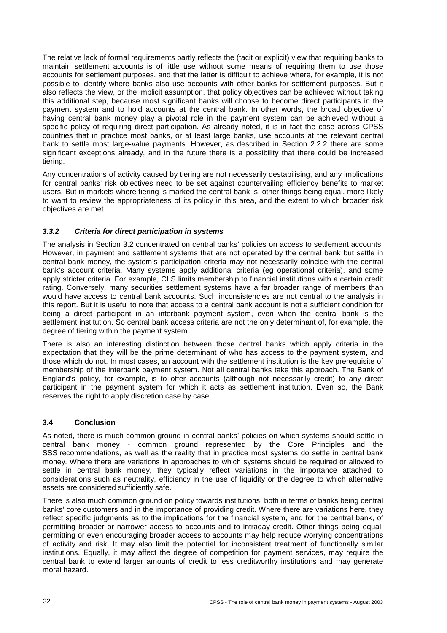The relative lack of formal requirements partly reflects the (tacit or explicit) view that requiring banks to maintain settlement accounts is of little use without some means of requiring them to use those accounts for settlement purposes, and that the latter is difficult to achieve where, for example, it is not possible to identify where banks also use accounts with other banks for settlement purposes. But it also reflects the view, or the implicit assumption, that policy objectives can be achieved without taking this additional step, because most significant banks will choose to become direct participants in the payment system and to hold accounts at the central bank. In other words, the broad objective of having central bank money play a pivotal role in the payment system can be achieved without a specific policy of requiring direct participation. As already noted, it is in fact the case across CPSS countries that in practice most banks, or at least large banks, use accounts at the relevant central bank to settle most large-value payments. However, as described in Section 2.2.2 there are some significant exceptions already, and in the future there is a possibility that there could be increased tiering.

Any concentrations of activity caused by tiering are not necessarily destabilising, and any implications for central banks' risk objectives need to be set against countervailing efficiency benefits to market users. But in markets where tiering is marked the central bank is, other things being equal, more likely to want to review the appropriateness of its policy in this area, and the extent to which broader risk objectives are met.

## *3.3.2 Criteria for direct participation in systems*

The analysis in Section 3.2 concentrated on central banks' policies on access to settlement accounts. However, in payment and settlement systems that are not operated by the central bank but settle in central bank money, the system's participation criteria may not necessarily coincide with the central bank's account criteria. Many systems apply additional criteria (eg operational criteria), and some apply stricter criteria. For example, CLS limits membership to financial institutions with a certain credit rating. Conversely, many securities settlement systems have a far broader range of members than would have access to central bank accounts. Such inconsistencies are not central to the analysis in this report. But it is useful to note that access to a central bank account is not a sufficient condition for being a direct participant in an interbank payment system, even when the central bank is the settlement institution. So central bank access criteria are not the only determinant of, for example, the degree of tiering within the payment system.

There is also an interesting distinction between those central banks which apply criteria in the expectation that they will be the prime determinant of who has access to the payment system, and those which do not. In most cases, an account with the settlement institution is the key prerequisite of membership of the interbank payment system. Not all central banks take this approach. The Bank of England's policy, for example, is to offer accounts (although not necessarily credit) to any direct participant in the payment system for which it acts as settlement institution. Even so, the Bank reserves the right to apply discretion case by case.

## **3.4 Conclusion**

As noted, there is much common ground in central banks' policies on which systems should settle in central bank money - common ground represented by the Core Principles and the SSS recommendations, as well as the reality that in practice most systems do settle in central bank money. Where there are variations in approaches to which systems should be required or allowed to settle in central bank money, they typically reflect variations in the importance attached to considerations such as neutrality, efficiency in the use of liquidity or the degree to which alternative assets are considered sufficiently safe.

There is also much common ground on policy towards institutions, both in terms of banks being central banks' core customers and in the importance of providing credit. Where there are variations here, they reflect specific judgments as to the implications for the financial system, and for the central bank, of permitting broader or narrower access to accounts and to intraday credit. Other things being equal, permitting or even encouraging broader access to accounts may help reduce worrying concentrations of activity and risk. It may also limit the potential for inconsistent treatment of functionally similar institutions. Equally, it may affect the degree of competition for payment services, may require the central bank to extend larger amounts of credit to less creditworthy institutions and may generate moral hazard.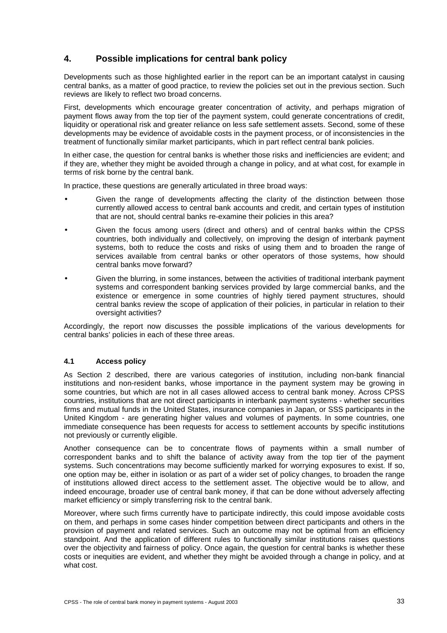# **4. Possible implications for central bank policy**

Developments such as those highlighted earlier in the report can be an important catalyst in causing central banks, as a matter of good practice, to review the policies set out in the previous section. Such reviews are likely to reflect two broad concerns.

First, developments which encourage greater concentration of activity, and perhaps migration of payment flows away from the top tier of the payment system, could generate concentrations of credit, liquidity or operational risk and greater reliance on less safe settlement assets. Second, some of these developments may be evidence of avoidable costs in the payment process, or of inconsistencies in the treatment of functionally similar market participants, which in part reflect central bank policies.

In either case, the question for central banks is whether those risks and inefficiencies are evident; and if they are, whether they might be avoided through a change in policy, and at what cost, for example in terms of risk borne by the central bank.

In practice, these questions are generally articulated in three broad ways:

- Given the range of developments affecting the clarity of the distinction between those currently allowed access to central bank accounts and credit, and certain types of institution that are not, should central banks re-examine their policies in this area?
- Given the focus among users (direct and others) and of central banks within the CPSS countries, both individually and collectively, on improving the design of interbank payment systems, both to reduce the costs and risks of using them and to broaden the range of services available from central banks or other operators of those systems, how should central banks move forward?
- Given the blurring, in some instances, between the activities of traditional interbank payment systems and correspondent banking services provided by large commercial banks, and the existence or emergence in some countries of highly tiered payment structures, should central banks review the scope of application of their policies, in particular in relation to their oversight activities?

Accordingly, the report now discusses the possible implications of the various developments for central banks' policies in each of these three areas.

## **4.1 Access policy**

As Section 2 described, there are various categories of institution, including non-bank financial institutions and non-resident banks, whose importance in the payment system may be growing in some countries, but which are not in all cases allowed access to central bank money. Across CPSS countries, institutions that are not direct participants in interbank payment systems - whether securities firms and mutual funds in the United States, insurance companies in Japan, or SSS participants in the United Kingdom - are generating higher values and volumes of payments. In some countries, one immediate consequence has been requests for access to settlement accounts by specific institutions not previously or currently eligible.

Another consequence can be to concentrate flows of payments within a small number of correspondent banks and to shift the balance of activity away from the top tier of the payment systems. Such concentrations may become sufficiently marked for worrying exposures to exist. If so, one option may be, either in isolation or as part of a wider set of policy changes, to broaden the range of institutions allowed direct access to the settlement asset. The objective would be to allow, and indeed encourage, broader use of central bank money, if that can be done without adversely affecting market efficiency or simply transferring risk to the central bank.

Moreover, where such firms currently have to participate indirectly, this could impose avoidable costs on them, and perhaps in some cases hinder competition between direct participants and others in the provision of payment and related services. Such an outcome may not be optimal from an efficiency standpoint. And the application of different rules to functionally similar institutions raises questions over the objectivity and fairness of policy. Once again, the question for central banks is whether these costs or inequities are evident, and whether they might be avoided through a change in policy, and at what cost.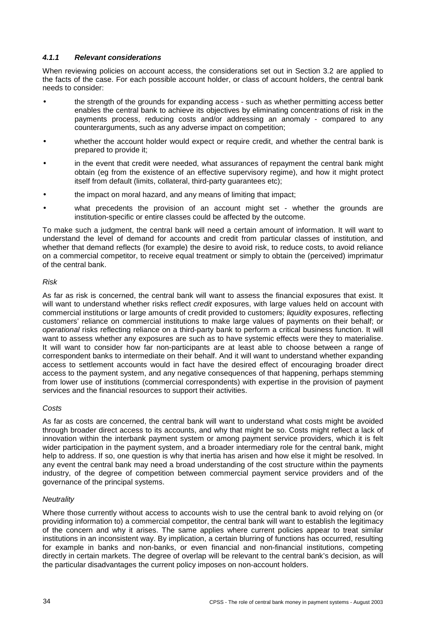### *4.1.1 Relevant considerations*

When reviewing policies on account access, the considerations set out in Section 3.2 are applied to the facts of the case. For each possible account holder, or class of account holders, the central bank needs to consider:

- the strength of the grounds for expanding access such as whether permitting access better enables the central bank to achieve its objectives by eliminating concentrations of risk in the payments process, reducing costs and/or addressing an anomaly - compared to any counterarguments, such as any adverse impact on competition;
- whether the account holder would expect or require credit, and whether the central bank is prepared to provide it;
- in the event that credit were needed, what assurances of repayment the central bank might obtain (eg from the existence of an effective supervisory regime), and how it might protect itself from default (limits, collateral, third-party guarantees etc);
- the impact on moral hazard, and any means of limiting that impact;
- what precedents the provision of an account might set whether the grounds are institution-specific or entire classes could be affected by the outcome.

To make such a judgment, the central bank will need a certain amount of information. It will want to understand the level of demand for accounts and credit from particular classes of institution, and whether that demand reflects (for example) the desire to avoid risk, to reduce costs, to avoid reliance on a commercial competitor, to receive equal treatment or simply to obtain the (perceived) imprimatur of the central bank.

#### *Risk*

As far as risk is concerned, the central bank will want to assess the financial exposures that exist. It will want to understand whether risks reflect *credit* exposures, with large values held on account with commercial institutions or large amounts of credit provided to customers; *liquidity* exposures, reflecting customers' reliance on commercial institutions to make large values of payments on their behalf; or *operational* risks reflecting reliance on a third-party bank to perform a critical business function. It will want to assess whether any exposures are such as to have systemic effects were they to materialise. It will want to consider how far non-participants are at least able to choose between a range of correspondent banks to intermediate on their behalf. And it will want to understand whether expanding access to settlement accounts would in fact have the desired effect of encouraging broader direct access to the payment system, and any negative consequences of that happening, perhaps stemming from lower use of institutions (commercial correspondents) with expertise in the provision of payment services and the financial resources to support their activities.

## *Costs*

As far as costs are concerned, the central bank will want to understand what costs might be avoided through broader direct access to its accounts, and why that might be so. Costs might reflect a lack of innovation within the interbank payment system or among payment service providers, which it is felt wider participation in the payment system, and a broader intermediary role for the central bank, might help to address. If so, one question is why that inertia has arisen and how else it might be resolved. In any event the central bank may need a broad understanding of the cost structure within the payments industry, of the degree of competition between commercial payment service providers and of the governance of the principal systems.

## *Neutrality*

Where those currently without access to accounts wish to use the central bank to avoid relying on (or providing information to) a commercial competitor, the central bank will want to establish the legitimacy of the concern and why it arises. The same applies where current policies appear to treat similar institutions in an inconsistent way. By implication, a certain blurring of functions has occurred, resulting for example in banks and non-banks, or even financial and non-financial institutions, competing directly in certain markets. The degree of overlap will be relevant to the central bank's decision, as will the particular disadvantages the current policy imposes on non-account holders.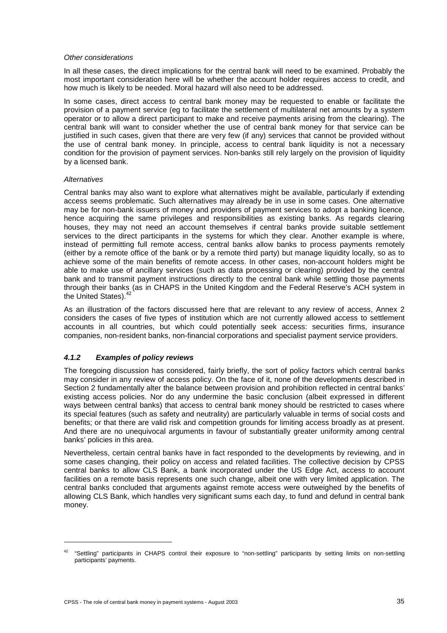#### *Other considerations*

In all these cases, the direct implications for the central bank will need to be examined. Probably the most important consideration here will be whether the account holder requires access to credit, and how much is likely to be needed. Moral hazard will also need to be addressed.

In some cases, direct access to central bank money may be requested to enable or facilitate the provision of a payment service (eg to facilitate the settlement of multilateral net amounts by a system operator or to allow a direct participant to make and receive payments arising from the clearing). The central bank will want to consider whether the use of central bank money for that service can be justified in such cases, given that there are very few (if any) services that cannot be provided without the use of central bank money. In principle, access to central bank liquidity is not a necessary condition for the provision of payment services. Non-banks still rely largely on the provision of liquidity by a licensed bank.

## *Alternatives*

l

Central banks may also want to explore what alternatives might be available, particularly if extending access seems problematic. Such alternatives may already be in use in some cases. One alternative may be for non-bank issuers of money and providers of payment services to adopt a banking licence, hence acquiring the same privileges and responsibilities as existing banks. As regards clearing houses, they may not need an account themselves if central banks provide suitable settlement services to the direct participants in the systems for which they clear. Another example is where, instead of permitting full remote access, central banks allow banks to process payments remotely (either by a remote office of the bank or by a remote third party) but manage liquidity locally, so as to achieve some of the main benefits of remote access. In other cases, non-account holders might be able to make use of ancillary services (such as data processing or clearing) provided by the central bank and to transmit payment instructions directly to the central bank while settling those payments through their banks (as in CHAPS in the United Kingdom and the Federal Reserve's ACH system in the United States).<sup>4</sup>

As an illustration of the factors discussed here that are relevant to any review of access, Annex 2 considers the cases of five types of institution which are not currently allowed access to settlement accounts in all countries, but which could potentially seek access: securities firms, insurance companies, non-resident banks, non-financial corporations and specialist payment service providers.

## *4.1.2 Examples of policy reviews*

The foregoing discussion has considered, fairly briefly, the sort of policy factors which central banks may consider in any review of access policy. On the face of it, none of the developments described in Section 2 fundamentally alter the balance between provision and prohibition reflected in central banks' existing access policies. Nor do any undermine the basic conclusion (albeit expressed in different ways between central banks) that access to central bank money should be restricted to cases where its special features (such as safety and neutrality) are particularly valuable in terms of social costs and benefits; or that there are valid risk and competition grounds for limiting access broadly as at present. And there are no unequivocal arguments in favour of substantially greater uniformity among central banks' policies in this area.

Nevertheless, certain central banks have in fact responded to the developments by reviewing, and in some cases changing, their policy on access and related facilities. The collective decision by CPSS central banks to allow CLS Bank, a bank incorporated under the US Edge Act, access to account facilities on a remote basis represents one such change, albeit one with very limited application. The central banks concluded that arguments against remote access were outweighed by the benefits of allowing CLS Bank, which handles very significant sums each day, to fund and defund in central bank money.

<sup>42 &</sup>quot;Settling" participants in CHAPS control their exposure to "non-settling" participants by setting limits on non-settling participants' payments.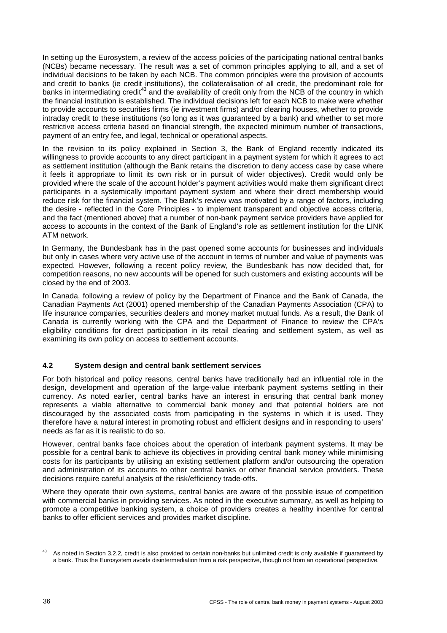In setting up the Eurosystem, a review of the access policies of the participating national central banks (NCBs) became necessary. The result was a set of common principles applying to all, and a set of individual decisions to be taken by each NCB. The common principles were the provision of accounts and credit to banks (ie credit institutions), the collateralisation of all credit, the predominant role for banks in intermediating credit<sup>43</sup> and the availability of credit only from the NCB of the country in which the financial institution is established. The individual decisions left for each NCB to make were whether to provide accounts to securities firms (ie investment firms) and/or clearing houses, whether to provide intraday credit to these institutions (so long as it was guaranteed by a bank) and whether to set more restrictive access criteria based on financial strength, the expected minimum number of transactions, payment of an entry fee, and legal, technical or operational aspects.

In the revision to its policy explained in Section 3, the Bank of England recently indicated its willingness to provide accounts to any direct participant in a payment system for which it agrees to act as settlement institution (although the Bank retains the discretion to deny access case by case where it feels it appropriate to limit its own risk or in pursuit of wider objectives). Credit would only be provided where the scale of the account holder's payment activities would make them significant direct participants in a systemically important payment system and where their direct membership would reduce risk for the financial system. The Bank's review was motivated by a range of factors, including the desire - reflected in the Core Principles - to implement transparent and objective access criteria, and the fact (mentioned above) that a number of non-bank payment service providers have applied for access to accounts in the context of the Bank of England's role as settlement institution for the LINK ATM network.

In Germany, the Bundesbank has in the past opened some accounts for businesses and individuals but only in cases where very active use of the account in terms of number and value of payments was expected. However, following a recent policy review, the Bundesbank has now decided that, for competition reasons, no new accounts will be opened for such customers and existing accounts will be closed by the end of 2003.

In Canada, following a review of policy by the Department of Finance and the Bank of Canada, the Canadian Payments Act (2001) opened membership of the Canadian Payments Association (CPA) to life insurance companies, securities dealers and money market mutual funds. As a result, the Bank of Canada is currently working with the CPA and the Department of Finance to review the CPA's eligibility conditions for direct participation in its retail clearing and settlement system, as well as examining its own policy on access to settlement accounts.

## **4.2 System design and central bank settlement services**

For both historical and policy reasons, central banks have traditionally had an influential role in the design, development and operation of the large-value interbank payment systems settling in their currency. As noted earlier, central banks have an interest in ensuring that central bank money represents a viable alternative to commercial bank money and that potential holders are not discouraged by the associated costs from participating in the systems in which it is used. They therefore have a natural interest in promoting robust and efficient designs and in responding to users' needs as far as it is realistic to do so.

However, central banks face choices about the operation of interbank payment systems. It may be possible for a central bank to achieve its objectives in providing central bank money while minimising costs for its participants by utilising an existing settlement platform and/or outsourcing the operation and administration of its accounts to other central banks or other financial service providers. These decisions require careful analysis of the risk/efficiency trade-offs.

Where they operate their own systems, central banks are aware of the possible issue of competition with commercial banks in providing services. As noted in the executive summary, as well as helping to promote a competitive banking system, a choice of providers creates a healthy incentive for central banks to offer efficient services and provides market discipline.

<sup>43</sup> As noted in Section 3.2.2, credit is also provided to certain non-banks but unlimited credit is only available if guaranteed by a bank. Thus the Eurosystem avoids disintermediation from a risk perspective, though not from an operational perspective.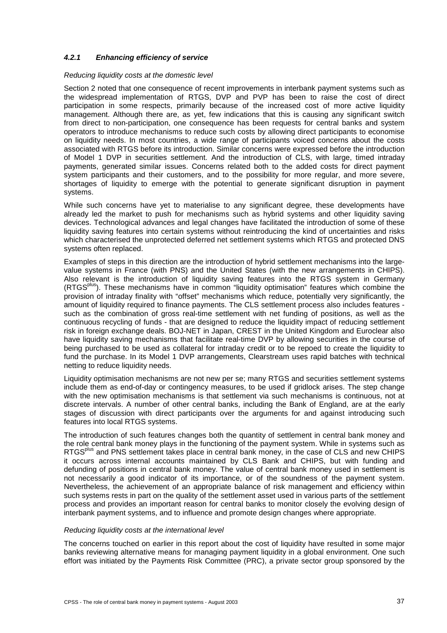## *4.2.1 Enhancing efficiency of service*

#### *Reducing liquidity costs at the domestic level*

Section 2 noted that one consequence of recent improvements in interbank payment systems such as the widespread implementation of RTGS, DVP and PVP has been to raise the cost of direct participation in some respects, primarily because of the increased cost of more active liquidity management. Although there are, as yet, few indications that this is causing any significant switch from direct to non-participation, one consequence has been requests for central banks and system operators to introduce mechanisms to reduce such costs by allowing direct participants to economise on liquidity needs. In most countries, a wide range of participants voiced concerns about the costs associated with RTGS before its introduction. Similar concerns were expressed before the introduction of Model 1 DVP in securities settlement. And the introduction of CLS, with large, timed intraday payments, generated similar issues. Concerns related both to the added costs for direct payment system participants and their customers, and to the possibility for more regular, and more severe, shortages of liquidity to emerge with the potential to generate significant disruption in payment systems.

While such concerns have yet to materialise to any significant degree, these developments have already led the market to push for mechanisms such as hybrid systems and other liquidity saving devices. Technological advances and legal changes have facilitated the introduction of some of these liquidity saving features into certain systems without reintroducing the kind of uncertainties and risks which characterised the unprotected deferred net settlement systems which RTGS and protected DNS systems often replaced.

Examples of steps in this direction are the introduction of hybrid settlement mechanisms into the largevalue systems in France (with PNS) and the United States (with the new arrangements in CHIPS). Also relevant is the introduction of liquidity saving features into the RTGS system in Germany (RTGSplus). These mechanisms have in common "liquidity optimisation" features which combine the provision of intraday finality with "offset" mechanisms which reduce, potentially very significantly, the amount of liquidity required to finance payments. The CLS settlement process also includes features such as the combination of gross real-time settlement with net funding of positions, as well as the continuous recycling of funds - that are designed to reduce the liquidity impact of reducing settlement risk in foreign exchange deals. BOJ-NET in Japan, CREST in the United Kingdom and Euroclear also have liquidity saving mechanisms that facilitate real-time DVP by allowing securities in the course of being purchased to be used as collateral for intraday credit or to be repoed to create the liquidity to fund the purchase. In its Model 1 DVP arrangements, Clearstream uses rapid batches with technical netting to reduce liquidity needs.

Liquidity optimisation mechanisms are not new per se; many RTGS and securities settlement systems include them as end-of-day or contingency measures, to be used if gridlock arises. The step change with the new optimisation mechanisms is that settlement via such mechanisms is continuous, not at discrete intervals. A number of other central banks, including the Bank of England, are at the early stages of discussion with direct participants over the arguments for and against introducing such features into local RTGS systems.

The introduction of such features changes both the quantity of settlement in central bank money and the role central bank money plays in the functioning of the payment system. While in systems such as RTGS<sup>plus</sup> and PNS settlement takes place in central bank money, in the case of CLS and new CHIPS it occurs across internal accounts maintained by CLS Bank and CHIPS, but with funding and defunding of positions in central bank money. The value of central bank money used in settlement is not necessarily a good indicator of its importance, or of the soundness of the payment system. Nevertheless, the achievement of an appropriate balance of risk management and efficiency within such systems rests in part on the quality of the settlement asset used in various parts of the settlement process and provides an important reason for central banks to monitor closely the evolving design of interbank payment systems, and to influence and promote design changes where appropriate.

### *Reducing liquidity costs at the international level*

The concerns touched on earlier in this report about the cost of liquidity have resulted in some major banks reviewing alternative means for managing payment liquidity in a global environment. One such effort was initiated by the Payments Risk Committee (PRC), a private sector group sponsored by the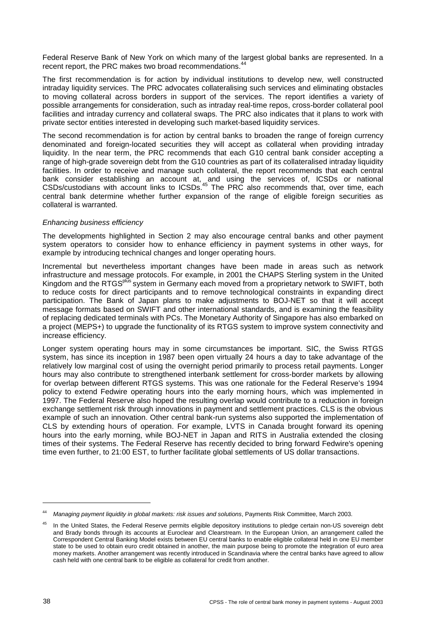Federal Reserve Bank of New York on which many of the largest global banks are represented. In a recent report, the PRC makes two broad recommendations.<sup>44</sup>

The first recommendation is for action by individual institutions to develop new, well constructed intraday liquidity services. The PRC advocates collateralising such services and eliminating obstacles to moving collateral across borders in support of the services. The report identifies a variety of possible arrangements for consideration, such as intraday real-time repos, cross-border collateral pool facilities and intraday currency and collateral swaps. The PRC also indicates that it plans to work with private sector entities interested in developing such market-based liquidity services.

The second recommendation is for action by central banks to broaden the range of foreign currency denominated and foreign-located securities they will accept as collateral when providing intraday liquidity. In the near term, the PRC recommends that each G10 central bank consider accepting a range of high-grade sovereign debt from the G10 countries as part of its collateralised intraday liquidity facilities. In order to receive and manage such collateral, the report recommends that each central bank consider establishing an account at, and using the services of, ICSDs or national CSDs/custodians with account links to ICSDs.<sup>45</sup> The PRC also recommends that, over time, each central bank determine whether further expansion of the range of eligible foreign securities as collateral is warranted.

#### *Enhancing business efficiency*

The developments highlighted in Section 2 may also encourage central banks and other payment system operators to consider how to enhance efficiency in payment systems in other ways, for example by introducing technical changes and longer operating hours.

Incremental but nevertheless important changes have been made in areas such as network infrastructure and message protocols. For example, in 2001 the CHAPS Sterling system in the United Kingdom and the RTGS<sup>plus</sup> system in Germany each moved from a proprietary network to SWIFT, both to reduce costs for direct participants and to remove technological constraints in expanding direct participation. The Bank of Japan plans to make adjustments to BOJ-NET so that it will accept message formats based on SWIFT and other international standards, and is examining the feasibility of replacing dedicated terminals with PCs. The Monetary Authority of Singapore has also embarked on a project (MEPS+) to upgrade the functionality of its RTGS system to improve system connectivity and increase efficiency.

Longer system operating hours may in some circumstances be important. SIC, the Swiss RTGS system, has since its inception in 1987 been open virtually 24 hours a day to take advantage of the relatively low marginal cost of using the overnight period primarily to process retail payments. Longer hours may also contribute to strengthened interbank settlement for cross-border markets by allowing for overlap between different RTGS systems. This was one rationale for the Federal Reserve's 1994 policy to extend Fedwire operating hours into the early morning hours, which was implemented in 1997. The Federal Reserve also hoped the resulting overlap would contribute to a reduction in foreign exchange settlement risk through innovations in payment and settlement practices. CLS is the obvious example of such an innovation. Other central bank-run systems also supported the implementation of CLS by extending hours of operation. For example, LVTS in Canada brought forward its opening hours into the early morning, while BOJ-NET in Japan and RITS in Australia extended the closing times of their systems. The Federal Reserve has recently decided to bring forward Fedwire's opening time even further, to 21:00 EST, to further facilitate global settlements of US dollar transactions.

<sup>44</sup> *Managing payment liquidity in global markets: risk issues and solutions*, Payments Risk Committee, March 2003.

In the United States, the Federal Reserve permits eligible depository institutions to pledge certain non-US sovereign debt and Brady bonds through its accounts at Euroclear and Clearstream. In the European Union, an arrangement called the Correspondent Central Banking Model exists between EU central banks to enable eligible collateral held in one EU member state to be used to obtain euro credit obtained in another, the main purpose being to promote the integration of euro area money markets. Another arrangement was recently introduced in Scandinavia where the central banks have agreed to allow cash held with one central bank to be eligible as collateral for credit from another.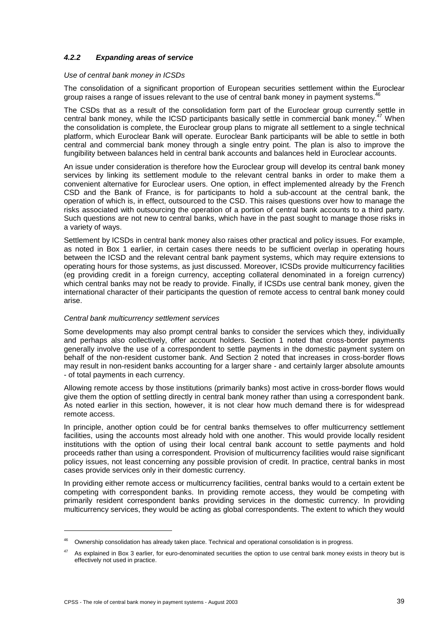## *4.2.2 Expanding areas of service*

#### *Use of central bank money in ICSDs*

The consolidation of a significant proportion of European securities settlement within the Euroclear group raises a range of issues relevant to the use of central bank money in payment systems.<sup>46</sup>

The CSDs that as a result of the consolidation form part of the Euroclear group currently settle in central bank money, while the ICSD participants basically settle in commercial bank money.<sup>47</sup> When the consolidation is complete, the Euroclear group plans to migrate all settlement to a single technical platform, which Euroclear Bank will operate. Euroclear Bank participants will be able to settle in both central and commercial bank money through a single entry point. The plan is also to improve the fungibility between balances held in central bank accounts and balances held in Euroclear accounts.

An issue under consideration is therefore how the Euroclear group will develop its central bank money services by linking its settlement module to the relevant central banks in order to make them a convenient alternative for Euroclear users. One option, in effect implemented already by the French CSD and the Bank of France, is for participants to hold a sub-account at the central bank, the operation of which is, in effect, outsourced to the CSD. This raises questions over how to manage the risks associated with outsourcing the operation of a portion of central bank accounts to a third party. Such questions are not new to central banks, which have in the past sought to manage those risks in a variety of ways.

Settlement by ICSDs in central bank money also raises other practical and policy issues. For example, as noted in Box 1 earlier, in certain cases there needs to be sufficient overlap in operating hours between the ICSD and the relevant central bank payment systems, which may require extensions to operating hours for those systems, as just discussed. Moreover, ICSDs provide multicurrency facilities (eg providing credit in a foreign currency, accepting collateral denominated in a foreign currency) which central banks may not be ready to provide. Finally, if ICSDs use central bank money, given the international character of their participants the question of remote access to central bank money could arise.

#### *Central bank multicurrency settlement services*

Some developments may also prompt central banks to consider the services which they, individually and perhaps also collectively, offer account holders. Section 1 noted that cross-border payments generally involve the use of a correspondent to settle payments in the domestic payment system on behalf of the non-resident customer bank. And Section 2 noted that increases in cross-border flows may result in non-resident banks accounting for a larger share - and certainly larger absolute amounts - of total payments in each currency.

Allowing remote access by those institutions (primarily banks) most active in cross-border flows would give them the option of settling directly in central bank money rather than using a correspondent bank. As noted earlier in this section, however, it is not clear how much demand there is for widespread remote access.

In principle, another option could be for central banks themselves to offer multicurrency settlement facilities, using the accounts most already hold with one another. This would provide locally resident institutions with the option of using their local central bank account to settle payments and hold proceeds rather than using a correspondent. Provision of multicurrency facilities would raise significant policy issues, not least concerning any possible provision of credit. In practice, central banks in most cases provide services only in their domestic currency.

In providing either remote access or multicurrency facilities, central banks would to a certain extent be competing with correspondent banks. In providing remote access, they would be competing with primarily resident correspondent banks providing services in the domestic currency. In providing multicurrency services, they would be acting as global correspondents. The extent to which they would

Ownership consolidation has already taken place. Technical and operational consolidation is in progress.

As explained in Box 3 earlier, for euro-denominated securities the option to use central bank money exists in theory but is effectively not used in practice.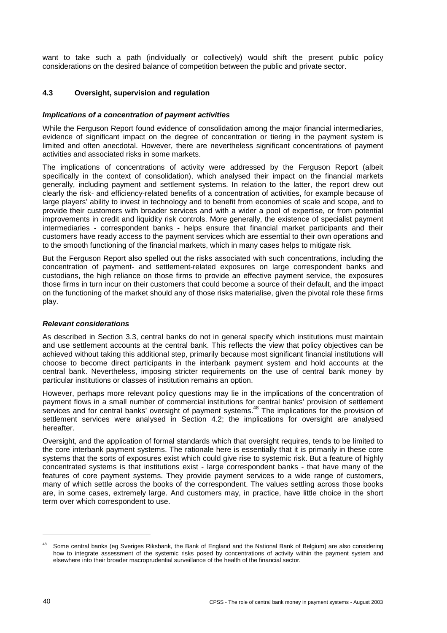want to take such a path (individually or collectively) would shift the present public policy considerations on the desired balance of competition between the public and private sector.

## **4.3 Oversight, supervision and regulation**

### *Implications of a concentration of payment activities*

While the Ferguson Report found evidence of consolidation among the major financial intermediaries, evidence of significant impact on the degree of concentration or tiering in the payment system is limited and often anecdotal. However, there are nevertheless significant concentrations of payment activities and associated risks in some markets.

The implications of concentrations of activity were addressed by the Ferguson Report (albeit specifically in the context of consolidation), which analysed their impact on the financial markets generally, including payment and settlement systems. In relation to the latter, the report drew out clearly the risk- and efficiency-related benefits of a concentration of activities, for example because of large players' ability to invest in technology and to benefit from economies of scale and scope, and to provide their customers with broader services and with a wider a pool of expertise, or from potential improvements in credit and liquidity risk controls. More generally, the existence of specialist payment intermediaries - correspondent banks - helps ensure that financial market participants and their customers have ready access to the payment services which are essential to their own operations and to the smooth functioning of the financial markets, which in many cases helps to mitigate risk.

But the Ferguson Report also spelled out the risks associated with such concentrations, including the concentration of payment- and settlement-related exposures on large correspondent banks and custodians, the high reliance on those firms to provide an effective payment service, the exposures those firms in turn incur on their customers that could become a source of their default, and the impact on the functioning of the market should any of those risks materialise, given the pivotal role these firms play.

## *Relevant considerations*

As described in Section 3.3, central banks do not in general specify which institutions must maintain and use settlement accounts at the central bank. This reflects the view that policy objectives can be achieved without taking this additional step, primarily because most significant financial institutions will choose to become direct participants in the interbank payment system and hold accounts at the central bank. Nevertheless, imposing stricter requirements on the use of central bank money by particular institutions or classes of institution remains an option.

However, perhaps more relevant policy questions may lie in the implications of the concentration of payment flows in a small number of commercial institutions for central banks' provision of settlement services and for central banks' oversight of payment systems.<sup>48</sup> The implications for the provision of settlement services were analysed in Section 4.2; the implications for oversight are analysed hereafter.

Oversight, and the application of formal standards which that oversight requires, tends to be limited to the core interbank payment systems. The rationale here is essentially that it is primarily in these core systems that the sorts of exposures exist which could give rise to systemic risk. But a feature of highly concentrated systems is that institutions exist - large correspondent banks - that have many of the features of core payment systems. They provide payment services to a wide range of customers, many of which settle across the books of the correspondent. The values settling across those books are, in some cases, extremely large. And customers may, in practice, have little choice in the short term over which correspondent to use.

Some central banks (eg Sveriges Riksbank, the Bank of England and the National Bank of Belgium) are also considering how to integrate assessment of the systemic risks posed by concentrations of activity within the payment system and elsewhere into their broader macroprudential surveillance of the health of the financial sector.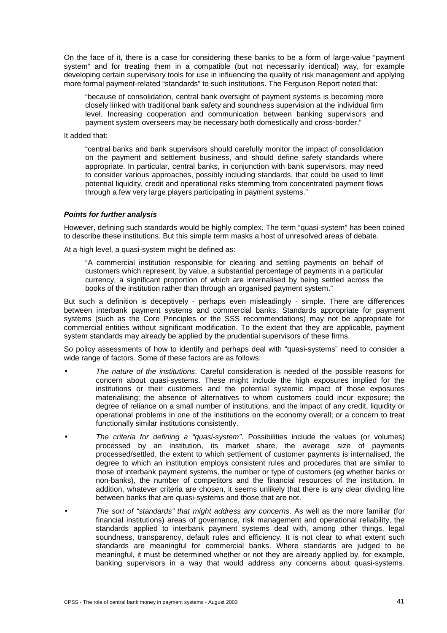On the face of it, there is a case for considering these banks to be a form of large-value "payment system" and for treating them in a compatible (but not necessarily identical) way, for example developing certain supervisory tools for use in influencing the quality of risk management and applying more formal payment-related "standards" to such institutions. The Ferguson Report noted that:

"because of consolidation, central bank oversight of payment systems is becoming more closely linked with traditional bank safety and soundness supervision at the individual firm level. Increasing cooperation and communication between banking supervisors and payment system overseers may be necessary both domestically and cross-border."

It added that:

"central banks and bank supervisors should carefully monitor the impact of consolidation on the payment and settlement business, and should define safety standards where appropriate. In particular, central banks, in conjunction with bank supervisors, may need to consider various approaches, possibly including standards, that could be used to limit potential liquidity, credit and operational risks stemming from concentrated payment flows through a few very large players participating in payment systems."

#### *Points for further analysis*

However, defining such standards would be highly complex. The term "quasi-system" has been coined to describe these institutions. But this simple term masks a host of unresolved areas of debate.

At a high level, a quasi-system might be defined as:

"A commercial institution responsible for clearing and settling payments on behalf of customers which represent, by value, a substantial percentage of payments in a particular currency, a significant proportion of which are internalised by being settled across the books of the institution rather than through an organised payment system."

But such a definition is deceptively - perhaps even misleadingly - simple. There are differences between interbank payment systems and commercial banks. Standards appropriate for payment systems (such as the Core Principles or the SSS recommendations) may not be appropriate for commercial entities without significant modification. To the extent that they are applicable, payment system standards may already be applied by the prudential supervisors of these firms.

So policy assessments of how to identify and perhaps deal with "quasi-systems" need to consider a wide range of factors. Some of these factors are as follows:

- *The nature of the institutions*. Careful consideration is needed of the possible reasons for concern about quasi-systems. These might include the high exposures implied for the institutions or their customers and the potential systemic impact of those exposures materialising; the absence of alternatives to whom customers could incur exposure; the degree of reliance on a small number of institutions, and the impact of any credit, liquidity or operational problems in one of the institutions on the economy overall; or a concern to treat functionally similar institutions consistently.
- *The criteria for defining a "quasi-system"*. Possibilities include the values (or volumes) processed by an institution, its market share, the average size of payments processed/settled, the extent to which settlement of customer payments is internalised, the degree to which an institution employs consistent rules and procedures that are similar to those of interbank payment systems, the number or type of customers (eg whether banks or non-banks), the number of competitors and the financial resources of the institution. In addition, whatever criteria are chosen, it seems unlikely that there is any clear dividing line between banks that are quasi-systems and those that are not.
- *The sort of "standards" that might address any concerns*. As well as the more familiar (for financial institutions) areas of governance, risk management and operational reliability, the standards applied to interbank payment systems deal with, among other things, legal soundness, transparency, default rules and efficiency. It is not clear to what extent such standards are meaningful for commercial banks. Where standards are judged to be meaningful, it must be determined whether or not they are already applied by, for example, banking supervisors in a way that would address any concerns about quasi-systems.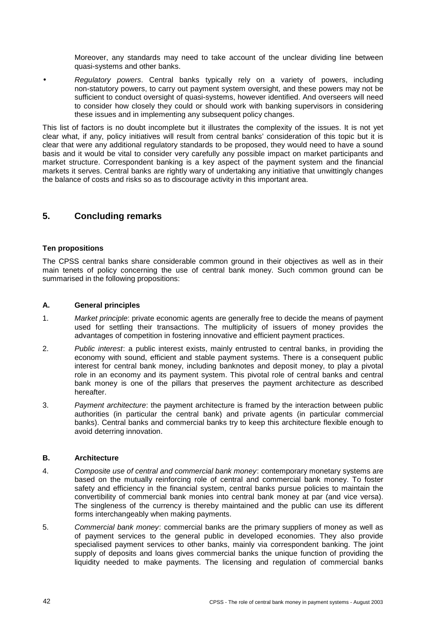Moreover, any standards may need to take account of the unclear dividing line between quasi-systems and other banks.

• *Regulatory powers*. Central banks typically rely on a variety of powers, including non-statutory powers, to carry out payment system oversight, and these powers may not be sufficient to conduct oversight of quasi-systems, however identified. And overseers will need to consider how closely they could or should work with banking supervisors in considering these issues and in implementing any subsequent policy changes.

This list of factors is no doubt incomplete but it illustrates the complexity of the issues. It is not yet clear what, if any, policy initiatives will result from central banks' consideration of this topic but it is clear that were any additional regulatory standards to be proposed, they would need to have a sound basis and it would be vital to consider very carefully any possible impact on market participants and market structure. Correspondent banking is a key aspect of the payment system and the financial markets it serves. Central banks are rightly wary of undertaking any initiative that unwittingly changes the balance of costs and risks so as to discourage activity in this important area.

# **5. Concluding remarks**

## **Ten propositions**

The CPSS central banks share considerable common ground in their objectives as well as in their main tenets of policy concerning the use of central bank money. Such common ground can be summarised in the following propositions:

## **A. General principles**

- 1. *Market principle*: private economic agents are generally free to decide the means of payment used for settling their transactions. The multiplicity of issuers of money provides the advantages of competition in fostering innovative and efficient payment practices.
- 2. *Public interest*: a public interest exists, mainly entrusted to central banks, in providing the economy with sound, efficient and stable payment systems. There is a consequent public interest for central bank money, including banknotes and deposit money, to play a pivotal role in an economy and its payment system. This pivotal role of central banks and central bank money is one of the pillars that preserves the payment architecture as described hereafter.
- 3. *Payment architecture*: the payment architecture is framed by the interaction between public authorities (in particular the central bank) and private agents (in particular commercial banks). Central banks and commercial banks try to keep this architecture flexible enough to avoid deterring innovation.

## **B. Architecture**

- 4. *Composite use of central and commercial bank money*: contemporary monetary systems are based on the mutually reinforcing role of central and commercial bank money. To foster safety and efficiency in the financial system, central banks pursue policies to maintain the convertibility of commercial bank monies into central bank money at par (and vice versa). The singleness of the currency is thereby maintained and the public can use its different forms interchangeably when making payments.
- 5. *Commercial bank money*: commercial banks are the primary suppliers of money as well as of payment services to the general public in developed economies. They also provide specialised payment services to other banks, mainly via correspondent banking. The joint supply of deposits and loans gives commercial banks the unique function of providing the liquidity needed to make payments. The licensing and regulation of commercial banks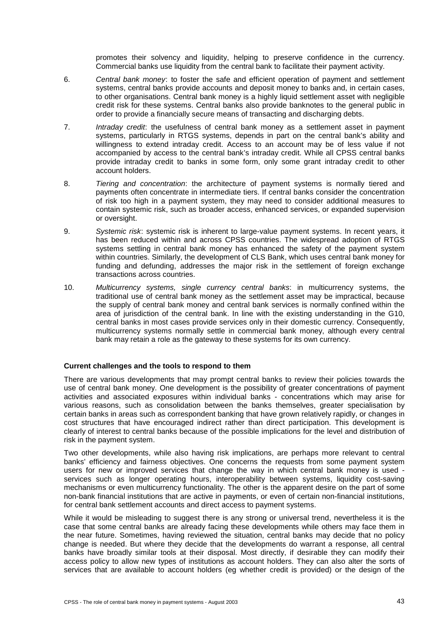promotes their solvency and liquidity, helping to preserve confidence in the currency. Commercial banks use liquidity from the central bank to facilitate their payment activity.

- 6. *Central bank money*: to foster the safe and efficient operation of payment and settlement systems, central banks provide accounts and deposit money to banks and, in certain cases, to other organisations. Central bank money is a highly liquid settlement asset with negligible credit risk for these systems. Central banks also provide banknotes to the general public in order to provide a financially secure means of transacting and discharging debts.
- 7. *Intraday credit*: the usefulness of central bank money as a settlement asset in payment systems, particularly in RTGS systems, depends in part on the central bank's ability and willingness to extend intraday credit. Access to an account may be of less value if not accompanied by access to the central bank's intraday credit. While all CPSS central banks provide intraday credit to banks in some form, only some grant intraday credit to other account holders.
- 8. *Tiering and concentration*: the architecture of payment systems is normally tiered and payments often concentrate in intermediate tiers. If central banks consider the concentration of risk too high in a payment system, they may need to consider additional measures to contain systemic risk, such as broader access, enhanced services, or expanded supervision or oversight.
- 9. *Systemic risk*: systemic risk is inherent to large-value payment systems. In recent years, it has been reduced within and across CPSS countries. The widespread adoption of RTGS systems settling in central bank money has enhanced the safety of the payment system within countries. Similarly, the development of CLS Bank, which uses central bank money for funding and defunding, addresses the major risk in the settlement of foreign exchange transactions across countries.
- 10. *Multicurrency systems, single currency central banks*: in multicurrency systems, the traditional use of central bank money as the settlement asset may be impractical, because the supply of central bank money and central bank services is normally confined within the area of jurisdiction of the central bank. In line with the existing understanding in the G10, central banks in most cases provide services only in their domestic currency. Consequently, multicurrency systems normally settle in commercial bank money, although every central bank may retain a role as the gateway to these systems for its own currency.

## **Current challenges and the tools to respond to them**

There are various developments that may prompt central banks to review their policies towards the use of central bank money. One development is the possibility of greater concentrations of payment activities and associated exposures within individual banks - concentrations which may arise for various reasons, such as consolidation between the banks themselves, greater specialisation by certain banks in areas such as correspondent banking that have grown relatively rapidly, or changes in cost structures that have encouraged indirect rather than direct participation. This development is clearly of interest to central banks because of the possible implications for the level and distribution of risk in the payment system.

Two other developments, while also having risk implications, are perhaps more relevant to central banks' efficiency and fairness objectives. One concerns the requests from some payment system users for new or improved services that change the way in which central bank money is used services such as longer operating hours, interoperability between systems, liquidity cost-saving mechanisms or even multicurrency functionality. The other is the apparent desire on the part of some non-bank financial institutions that are active in payments, or even of certain non-financial institutions, for central bank settlement accounts and direct access to payment systems.

While it would be misleading to suggest there is any strong or universal trend, nevertheless it is the case that some central banks are already facing these developments while others may face them in the near future. Sometimes, having reviewed the situation, central banks may decide that no policy change is needed. But where they decide that the developments do warrant a response, all central banks have broadly similar tools at their disposal. Most directly, if desirable they can modify their access policy to allow new types of institutions as account holders. They can also alter the sorts of services that are available to account holders (eg whether credit is provided) or the design of the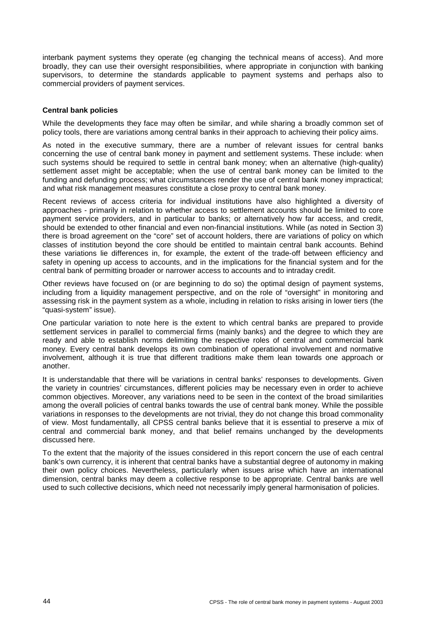interbank payment systems they operate (eg changing the technical means of access). And more broadly, they can use their oversight responsibilities, where appropriate in conjunction with banking supervisors, to determine the standards applicable to payment systems and perhaps also to commercial providers of payment services.

### **Central bank policies**

While the developments they face may often be similar, and while sharing a broadly common set of policy tools, there are variations among central banks in their approach to achieving their policy aims.

As noted in the executive summary, there are a number of relevant issues for central banks concerning the use of central bank money in payment and settlement systems. These include: when such systems should be required to settle in central bank money; when an alternative (high-quality) settlement asset might be acceptable; when the use of central bank money can be limited to the funding and defunding process; what circumstances render the use of central bank money impractical; and what risk management measures constitute a close proxy to central bank money.

Recent reviews of access criteria for individual institutions have also highlighted a diversity of approaches - primarily in relation to whether access to settlement accounts should be limited to core payment service providers, and in particular to banks; or alternatively how far access, and credit, should be extended to other financial and even non-financial institutions. While (as noted in Section 3) there is broad agreement on the "core" set of account holders, there are variations of policy on which classes of institution beyond the core should be entitled to maintain central bank accounts. Behind these variations lie differences in, for example, the extent of the trade-off between efficiency and safety in opening up access to accounts, and in the implications for the financial system and for the central bank of permitting broader or narrower access to accounts and to intraday credit.

Other reviews have focused on (or are beginning to do so) the optimal design of payment systems, including from a liquidity management perspective, and on the role of "oversight" in monitoring and assessing risk in the payment system as a whole, including in relation to risks arising in lower tiers (the "quasi-system" issue).

One particular variation to note here is the extent to which central banks are prepared to provide settlement services in parallel to commercial firms (mainly banks) and the degree to which they are ready and able to establish norms delimiting the respective roles of central and commercial bank money. Every central bank develops its own combination of operational involvement and normative involvement, although it is true that different traditions make them lean towards one approach or another.

It is understandable that there will be variations in central banks' responses to developments. Given the variety in countries' circumstances, different policies may be necessary even in order to achieve common objectives. Moreover, any variations need to be seen in the context of the broad similarities among the overall policies of central banks towards the use of central bank money. While the possible variations in responses to the developments are not trivial, they do not change this broad commonality of view. Most fundamentally, all CPSS central banks believe that it is essential to preserve a mix of central and commercial bank money, and that belief remains unchanged by the developments discussed here.

To the extent that the majority of the issues considered in this report concern the use of each central bank's own currency, it is inherent that central banks have a substantial degree of autonomy in making their own policy choices. Nevertheless, particularly when issues arise which have an international dimension, central banks may deem a collective response to be appropriate. Central banks are well used to such collective decisions, which need not necessarily imply general harmonisation of policies.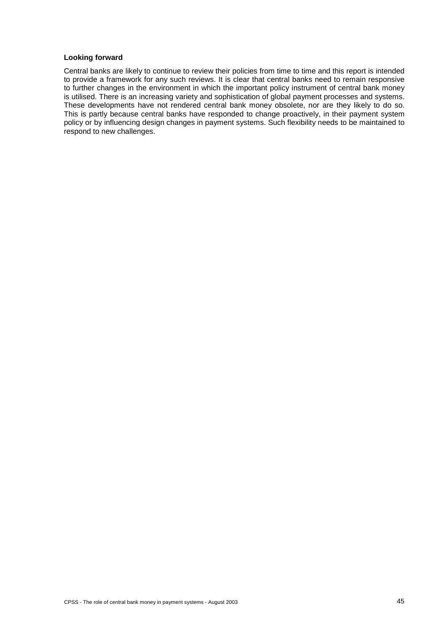#### **Looking forward**

Central banks are likely to continue to review their policies from time to time and this report is intended to provide a framework for any such reviews. It is clear that central banks need to remain responsive to further changes in the environment in which the important policy instrument of central bank money is utilised. There is an increasing variety and sophistication of global payment processes and systems. These developments have not rendered central bank money obsolete, nor are they likely to do so. This is partly because central banks have responded to change proactively, in their payment system policy or by influencing design changes in payment systems. Such flexibility needs to be maintained to respond to new challenges.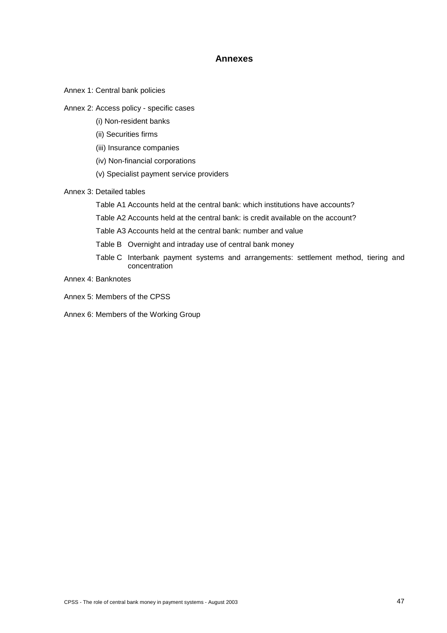## **Annexes**

- Annex 1: Central bank policies
- Annex 2: Access policy specific cases
	- (i) Non-resident banks
	- (ii) Securities firms
	- (iii) Insurance companies
	- (iv) Non-financial corporations
	- (v) Specialist payment service providers

## Annex 3: Detailed tables

- Table A1 Accounts held at the central bank: which institutions have accounts?
- Table A2 Accounts held at the central bank: is credit available on the account?
- Table A3 Accounts held at the central bank: number and value
- Table B Overnight and intraday use of central bank money
- Table C Interbank payment systems and arrangements: settlement method, tiering and concentration
- Annex 4: Banknotes
- Annex 5: Members of the CPSS
- Annex 6: Members of the Working Group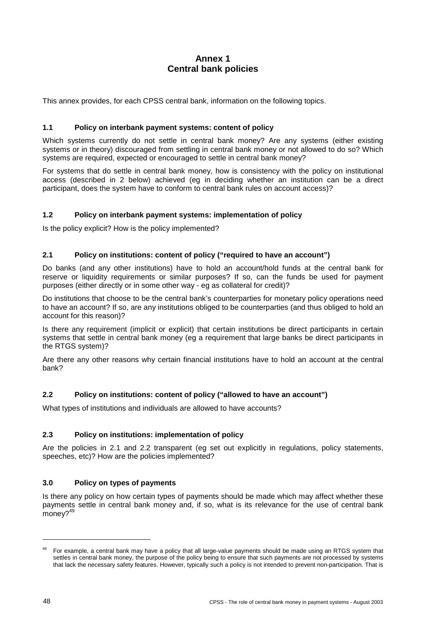# **Annex 1 Central bank policies**

This annex provides, for each CPSS central bank, information on the following topics.

### **1.1 Policy on interbank payment systems: content of policy**

Which systems currently do not settle in central bank money? Are any systems (either existing systems or in theory) discouraged from settling in central bank money or not allowed to do so? Which systems are required, expected or encouraged to settle in central bank money?

For systems that do settle in central bank money, how is consistency with the policy on institutional access (described in 2 below) achieved (eg in deciding whether an institution can be a direct participant, does the system have to conform to central bank rules on account access)?

## **1.2 Policy on interbank payment systems: implementation of policy**

Is the policy explicit? How is the policy implemented?

## **2.1 Policy on institutions: content of policy ("required to have an account")**

Do banks (and any other institutions) have to hold an account/hold funds at the central bank for reserve or liquidity requirements or similar purposes? If so, can the funds be used for payment purposes (either directly or in some other way - eg as collateral for credit)?

Do institutions that choose to be the central bank's counterparties for monetary policy operations need to have an account? If so, are any institutions obliged to be counterparties (and thus obliged to hold an account for this reason)?

Is there any requirement (implicit or explicit) that certain institutions be direct participants in certain systems that settle in central bank money (eg a requirement that large banks be direct participants in the RTGS system)?

Are there any other reasons why certain financial institutions have to hold an account at the central bank?

## **2.2 Policy on institutions: content of policy ("allowed to have an account")**

What types of institutions and individuals are allowed to have accounts?

## **2.3 Policy on institutions: implementation of policy**

Are the policies in 2.1 and 2.2 transparent (eg set out explicitly in regulations, policy statements, speeches, etc)? How are the policies implemented?

## **3.0 Policy on types of payments**

Is there any policy on how certain types of payments should be made which may affect whether these payments settle in central bank money and, if so, what is its relevance for the use of central bank money?<sup>49</sup>

<sup>49</sup> For example, a central bank may have a policy that all large-value payments should be made using an RTGS system that settles in central bank money, the purpose of the policy being to ensure that such payments are not processed by systems that lack the necessary safety features. However, typically such a policy is not intended to prevent non-participation. That is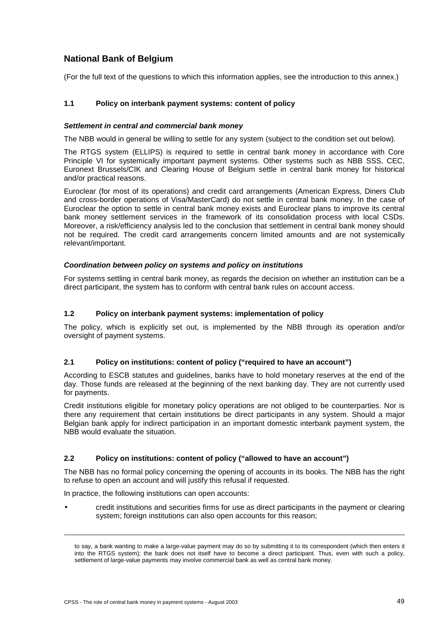# **National Bank of Belgium**

(For the full text of the questions to which this information applies, see the introduction to this annex.)

## **1.1 Policy on interbank payment systems: content of policy**

## *Settlement in central and commercial bank money*

The NBB would in general be willing to settle for any system (subject to the condition set out below).

The RTGS system (ELLIPS) is required to settle in central bank money in accordance with Core Principle VI for systemically important payment systems. Other systems such as NBB SSS, CEC, Euronext Brussels/CIK and Clearing House of Belgium settle in central bank money for historical and/or practical reasons.

Euroclear (for most of its operations) and credit card arrangements (American Express, Diners Club and cross-border operations of Visa/MasterCard) do not settle in central bank money. In the case of Euroclear the option to settle in central bank money exists and Euroclear plans to improve its central bank money settlement services in the framework of its consolidation process with local CSDs. Moreover, a risk/efficiency analysis led to the conclusion that settlement in central bank money should not be required. The credit card arrangements concern limited amounts and are not systemically relevant/important.

#### *Coordination between policy on systems and policy on institutions*

For systems settling in central bank money, as regards the decision on whether an institution can be a direct participant, the system has to conform with central bank rules on account access.

## **1.2 Policy on interbank payment systems: implementation of policy**

The policy, which is explicitly set out, is implemented by the NBB through its operation and/or oversight of payment systems.

## **2.1 Policy on institutions: content of policy ("required to have an account")**

According to ESCB statutes and guidelines, banks have to hold monetary reserves at the end of the day. Those funds are released at the beginning of the next banking day. They are not currently used for payments.

Credit institutions eligible for monetary policy operations are not obliged to be counterparties. Nor is there any requirement that certain institutions be direct participants in any system. Should a major Belgian bank apply for indirect participation in an important domestic interbank payment system, the NBB would evaluate the situation.

## **2.2 Policy on institutions: content of policy ("allowed to have an account")**

The NBB has no formal policy concerning the opening of accounts in its books. The NBB has the right to refuse to open an account and will justify this refusal if requested.

In practice, the following institutions can open accounts:

• credit institutions and securities firms for use as direct participants in the payment or clearing system; foreign institutions can also open accounts for this reason;

-

to say, a bank wanting to make a large-value payment may do so by submitting it to its correspondent (which then enters it into the RTGS system); the bank does not itself have to become a direct participant. Thus, even with such a policy, settlement of large-value payments may involve commercial bank as well as central bank money.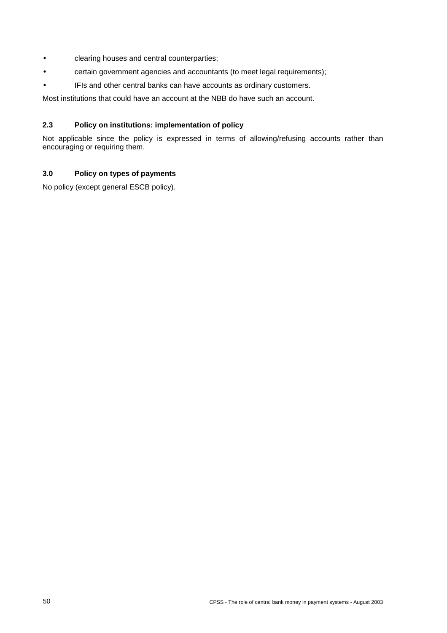- clearing houses and central counterparties;
- certain government agencies and accountants (to meet legal requirements);
- IFIs and other central banks can have accounts as ordinary customers.

Most institutions that could have an account at the NBB do have such an account.

## **2.3 Policy on institutions: implementation of policy**

Not applicable since the policy is expressed in terms of allowing/refusing accounts rather than encouraging or requiring them.

## **3.0 Policy on types of payments**

No policy (except general ESCB policy).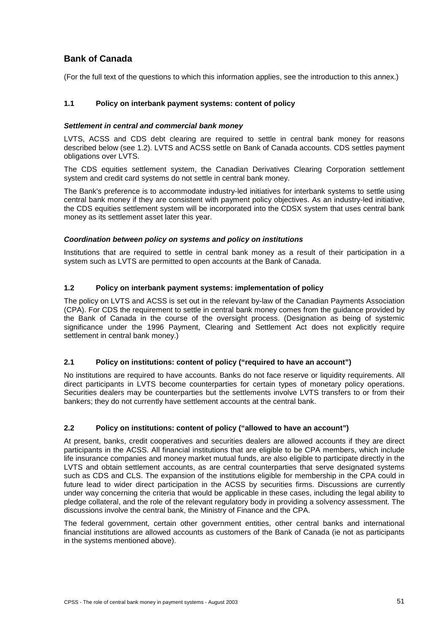# **Bank of Canada**

(For the full text of the questions to which this information applies, see the introduction to this annex.)

## **1.1 Policy on interbank payment systems: content of policy**

### *Settlement in central and commercial bank money*

LVTS, ACSS and CDS debt clearing are required to settle in central bank money for reasons described below (see 1.2). LVTS and ACSS settle on Bank of Canada accounts. CDS settles payment obligations over LVTS.

The CDS equities settlement system, the Canadian Derivatives Clearing Corporation settlement system and credit card systems do not settle in central bank money.

The Bank's preference is to accommodate industry-led initiatives for interbank systems to settle using central bank money if they are consistent with payment policy objectives. As an industry-led initiative, the CDS equities settlement system will be incorporated into the CDSX system that uses central bank money as its settlement asset later this year.

#### *Coordination between policy on systems and policy on institutions*

Institutions that are required to settle in central bank money as a result of their participation in a system such as LVTS are permitted to open accounts at the Bank of Canada.

## **1.2 Policy on interbank payment systems: implementation of policy**

The policy on LVTS and ACSS is set out in the relevant by-law of the Canadian Payments Association (CPA). For CDS the requirement to settle in central bank money comes from the guidance provided by the Bank of Canada in the course of the oversight process. (Designation as being of systemic significance under the 1996 Payment, Clearing and Settlement Act does not explicitly require settlement in central bank money.)

## **2.1 Policy on institutions: content of policy ("required to have an account")**

No institutions are required to have accounts. Banks do not face reserve or liquidity requirements. All direct participants in LVTS become counterparties for certain types of monetary policy operations. Securities dealers may be counterparties but the settlements involve LVTS transfers to or from their bankers; they do not currently have settlement accounts at the central bank.

## **2.2 Policy on institutions: content of policy ("allowed to have an account")**

At present, banks, credit cooperatives and securities dealers are allowed accounts if they are direct participants in the ACSS. All financial institutions that are eligible to be CPA members, which include life insurance companies and money market mutual funds, are also eligible to participate directly in the LVTS and obtain settlement accounts, as are central counterparties that serve designated systems such as CDS and CLS. The expansion of the institutions eligible for membership in the CPA could in future lead to wider direct participation in the ACSS by securities firms. Discussions are currently under way concerning the criteria that would be applicable in these cases, including the legal ability to pledge collateral, and the role of the relevant regulatory body in providing a solvency assessment. The discussions involve the central bank, the Ministry of Finance and the CPA.

The federal government, certain other government entities, other central banks and international financial institutions are allowed accounts as customers of the Bank of Canada (ie not as participants in the systems mentioned above).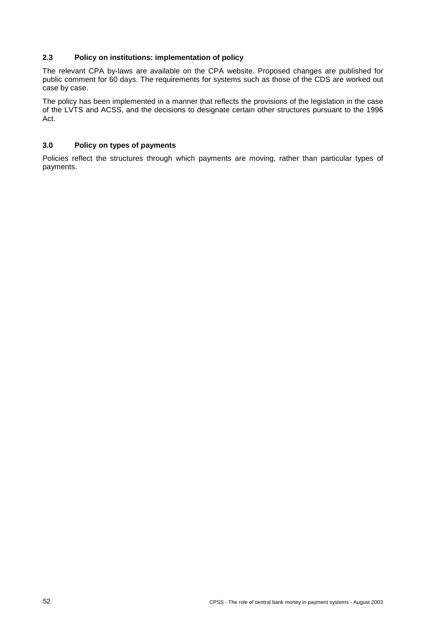## **2.3 Policy on institutions: implementation of policy**

The relevant CPA by-laws are available on the CPA website. Proposed changes are published for public comment for 60 days. The requirements for systems such as those of the CDS are worked out case by case.

The policy has been implemented in a manner that reflects the provisions of the legislation in the case of the LVTS and ACSS, and the decisions to designate certain other structures pursuant to the 1996 Act.

# **3.0 Policy on types of payments**

Policies reflect the structures through which payments are moving, rather than particular types of payments.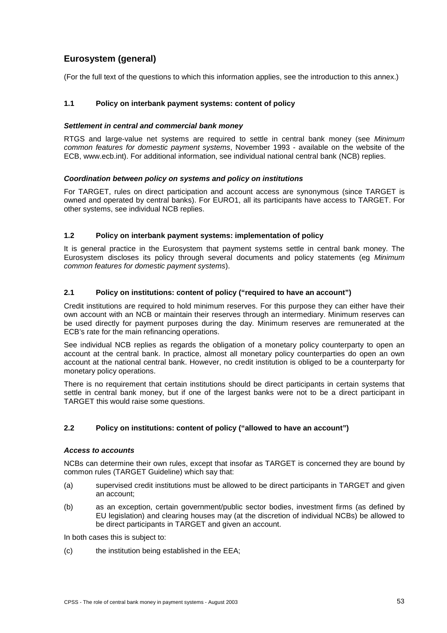# **Eurosystem (general)**

(For the full text of the questions to which this information applies, see the introduction to this annex.)

### **1.1 Policy on interbank payment systems: content of policy**

#### *Settlement in central and commercial bank money*

RTGS and large-value net systems are required to settle in central bank money (see *Minimum common features for domestic payment systems*, November 1993 - available on the website of the ECB, www.ecb.int). For additional information, see individual national central bank (NCB) replies.

#### *Coordination between policy on systems and policy on institutions*

For TARGET, rules on direct participation and account access are synonymous (since TARGET is owned and operated by central banks). For EURO1, all its participants have access to TARGET. For other systems, see individual NCB replies.

#### **1.2 Policy on interbank payment systems: implementation of policy**

It is general practice in the Eurosystem that payment systems settle in central bank money. The Eurosystem discloses its policy through several documents and policy statements (eg *Minimum common features for domestic payment systems*).

#### **2.1 Policy on institutions: content of policy ("required to have an account")**

Credit institutions are required to hold minimum reserves. For this purpose they can either have their own account with an NCB or maintain their reserves through an intermediary. Minimum reserves can be used directly for payment purposes during the day. Minimum reserves are remunerated at the ECB's rate for the main refinancing operations.

See individual NCB replies as regards the obligation of a monetary policy counterparty to open an account at the central bank. In practice, almost all monetary policy counterparties do open an own account at the national central bank. However, no credit institution is obliged to be a counterparty for monetary policy operations.

There is no requirement that certain institutions should be direct participants in certain systems that settle in central bank money, but if one of the largest banks were not to be a direct participant in TARGET this would raise some questions.

## **2.2 Policy on institutions: content of policy ("allowed to have an account")**

#### *Access to accounts*

NCBs can determine their own rules, except that insofar as TARGET is concerned they are bound by common rules (TARGET Guideline) which say that:

- (a) supervised credit institutions must be allowed to be direct participants in TARGET and given an account;
- (b) as an exception, certain government/public sector bodies, investment firms (as defined by EU legislation) and clearing houses may (at the discretion of individual NCBs) be allowed to be direct participants in TARGET and given an account.

In both cases this is subject to:

(c) the institution being established in the EEA;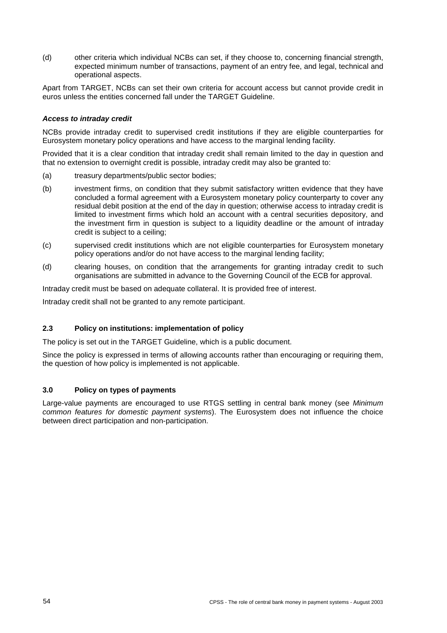(d) other criteria which individual NCBs can set, if they choose to, concerning financial strength, expected minimum number of transactions, payment of an entry fee, and legal, technical and operational aspects.

Apart from TARGET, NCBs can set their own criteria for account access but cannot provide credit in euros unless the entities concerned fall under the TARGET Guideline.

#### *Access to intraday credit*

NCBs provide intraday credit to supervised credit institutions if they are eligible counterparties for Eurosystem monetary policy operations and have access to the marginal lending facility.

Provided that it is a clear condition that intraday credit shall remain limited to the day in question and that no extension to overnight credit is possible, intraday credit may also be granted to:

- (a) treasury departments/public sector bodies;
- (b) investment firms, on condition that they submit satisfactory written evidence that they have concluded a formal agreement with a Eurosystem monetary policy counterparty to cover any residual debit position at the end of the day in question; otherwise access to intraday credit is limited to investment firms which hold an account with a central securities depository, and the investment firm in question is subject to a liquidity deadline or the amount of intraday credit is subject to a ceiling;
- (c) supervised credit institutions which are not eligible counterparties for Eurosystem monetary policy operations and/or do not have access to the marginal lending facility;
- (d) clearing houses, on condition that the arrangements for granting intraday credit to such organisations are submitted in advance to the Governing Council of the ECB for approval.

Intraday credit must be based on adequate collateral. It is provided free of interest.

Intraday credit shall not be granted to any remote participant.

## **2.3 Policy on institutions: implementation of policy**

The policy is set out in the TARGET Guideline, which is a public document.

Since the policy is expressed in terms of allowing accounts rather than encouraging or requiring them, the question of how policy is implemented is not applicable.

## **3.0 Policy on types of payments**

Large-value payments are encouraged to use RTGS settling in central bank money (see *Minimum common features for domestic payment systems*). The Eurosystem does not influence the choice between direct participation and non-participation.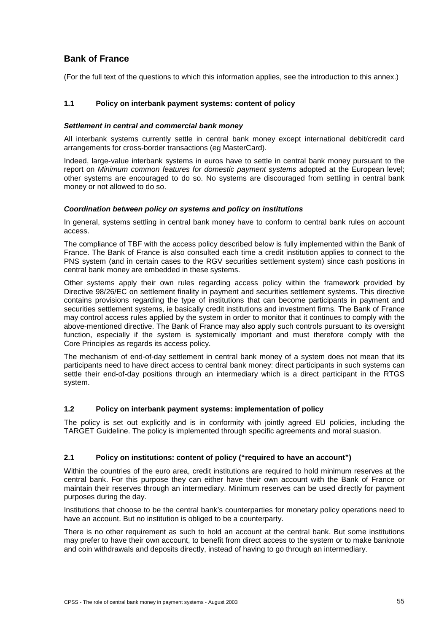# **Bank of France**

(For the full text of the questions to which this information applies, see the introduction to this annex.)

### **1.1 Policy on interbank payment systems: content of policy**

#### *Settlement in central and commercial bank money*

All interbank systems currently settle in central bank money except international debit/credit card arrangements for cross-border transactions (eg MasterCard).

Indeed, large-value interbank systems in euros have to settle in central bank money pursuant to the report on *Minimum common features for domestic payment systems* adopted at the European level; other systems are encouraged to do so. No systems are discouraged from settling in central bank money or not allowed to do so.

#### *Coordination between policy on systems and policy on institutions*

In general, systems settling in central bank money have to conform to central bank rules on account access.

The compliance of TBF with the access policy described below is fully implemented within the Bank of France. The Bank of France is also consulted each time a credit institution applies to connect to the PNS system (and in certain cases to the RGV securities settlement system) since cash positions in central bank money are embedded in these systems.

Other systems apply their own rules regarding access policy within the framework provided by Directive 98/26/EC on settlement finality in payment and securities settlement systems. This directive contains provisions regarding the type of institutions that can become participants in payment and securities settlement systems, ie basically credit institutions and investment firms. The Bank of France may control access rules applied by the system in order to monitor that it continues to comply with the above-mentioned directive. The Bank of France may also apply such controls pursuant to its oversight function, especially if the system is systemically important and must therefore comply with the Core Principles as regards its access policy.

The mechanism of end-of-day settlement in central bank money of a system does not mean that its participants need to have direct access to central bank money: direct participants in such systems can settle their end-of-day positions through an intermediary which is a direct participant in the RTGS system.

## **1.2 Policy on interbank payment systems: implementation of policy**

The policy is set out explicitly and is in conformity with jointly agreed EU policies, including the TARGET Guideline. The policy is implemented through specific agreements and moral suasion.

## **2.1 Policy on institutions: content of policy ("required to have an account")**

Within the countries of the euro area, credit institutions are required to hold minimum reserves at the central bank. For this purpose they can either have their own account with the Bank of France or maintain their reserves through an intermediary. Minimum reserves can be used directly for payment purposes during the day.

Institutions that choose to be the central bank's counterparties for monetary policy operations need to have an account. But no institution is obliged to be a counterparty.

There is no other requirement as such to hold an account at the central bank. But some institutions may prefer to have their own account, to benefit from direct access to the system or to make banknote and coin withdrawals and deposits directly, instead of having to go through an intermediary.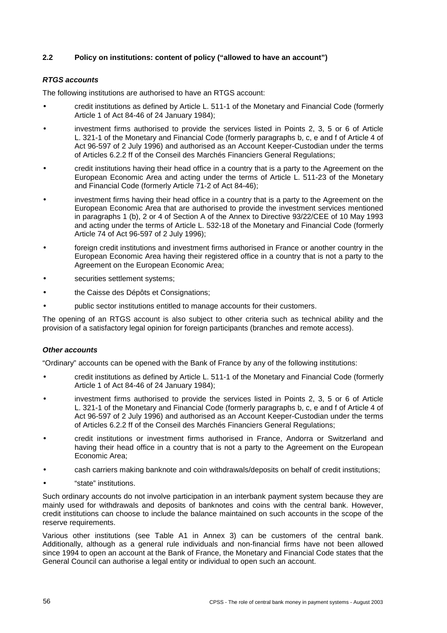## **2.2 Policy on institutions: content of policy ("allowed to have an account")**

## *RTGS accounts*

The following institutions are authorised to have an RTGS account:

- credit institutions as defined by Article L. 511-1 of the Monetary and Financial Code (formerly Article 1 of Act 84-46 of 24 January 1984);
- investment firms authorised to provide the services listed in Points 2, 3, 5 or 6 of Article L. 321-1 of the Monetary and Financial Code (formerly paragraphs b, c, e and f of Article 4 of Act 96-597 of 2 July 1996) and authorised as an Account Keeper-Custodian under the terms of Articles 6.2.2 ff of the Conseil des Marchés Financiers General Regulations;
- credit institutions having their head office in a country that is a party to the Agreement on the European Economic Area and acting under the terms of Article L. 511-23 of the Monetary and Financial Code (formerly Article 71-2 of Act 84-46);
- investment firms having their head office in a country that is a party to the Agreement on the European Economic Area that are authorised to provide the investment services mentioned in paragraphs 1 (b), 2 or 4 of Section A of the Annex to Directive 93/22/CEE of 10 May 1993 and acting under the terms of Article L. 532-18 of the Monetary and Financial Code (formerly Article 74 of Act 96-597 of 2 July 1996);
- foreign credit institutions and investment firms authorised in France or another country in the European Economic Area having their registered office in a country that is not a party to the Agreement on the European Economic Area;
- securities settlement systems;
- the Caisse des Dépôts et Consignations;
- public sector institutions entitled to manage accounts for their customers.

The opening of an RTGS account is also subject to other criteria such as technical ability and the provision of a satisfactory legal opinion for foreign participants (branches and remote access).

## *Other accounts*

"Ordinary" accounts can be opened with the Bank of France by any of the following institutions:

- credit institutions as defined by Article L. 511-1 of the Monetary and Financial Code (formerly Article 1 of Act 84-46 of 24 January 1984);
- investment firms authorised to provide the services listed in Points 2, 3, 5 or 6 of Article L. 321-1 of the Monetary and Financial Code (formerly paragraphs b, c, e and f of Article 4 of Act 96-597 of 2 July 1996) and authorised as an Account Keeper-Custodian under the terms of Articles 6.2.2 ff of the Conseil des Marchés Financiers General Regulations;
- credit institutions or investment firms authorised in France, Andorra or Switzerland and having their head office in a country that is not a party to the Agreement on the European Economic Area;
- cash carriers making banknote and coin withdrawals/deposits on behalf of credit institutions;
- "state" institutions.

Such ordinary accounts do not involve participation in an interbank payment system because they are mainly used for withdrawals and deposits of banknotes and coins with the central bank. However, credit institutions can choose to include the balance maintained on such accounts in the scope of the reserve requirements.

Various other institutions (see Table A1 in Annex 3) can be customers of the central bank. Additionally, although as a general rule individuals and non-financial firms have not been allowed since 1994 to open an account at the Bank of France, the Monetary and Financial Code states that the General Council can authorise a legal entity or individual to open such an account.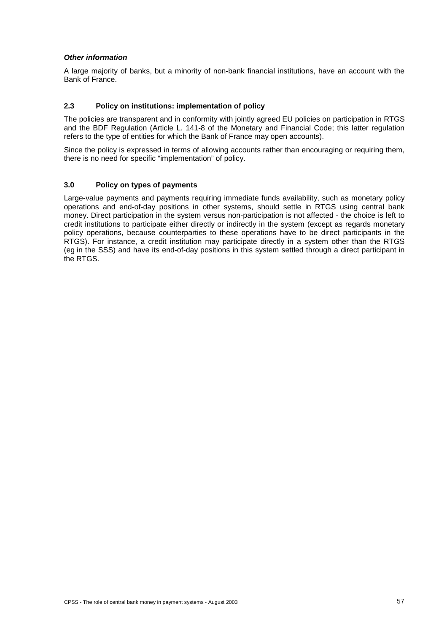### *Other information*

A large majority of banks, but a minority of non-bank financial institutions, have an account with the Bank of France.

#### **2.3 Policy on institutions: implementation of policy**

The policies are transparent and in conformity with jointly agreed EU policies on participation in RTGS and the BDF Regulation (Article L. 141-8 of the Monetary and Financial Code; this latter regulation refers to the type of entities for which the Bank of France may open accounts).

Since the policy is expressed in terms of allowing accounts rather than encouraging or requiring them, there is no need for specific "implementation" of policy.

#### **3.0 Policy on types of payments**

Large-value payments and payments requiring immediate funds availability, such as monetary policy operations and end-of-day positions in other systems, should settle in RTGS using central bank money. Direct participation in the system versus non-participation is not affected - the choice is left to credit institutions to participate either directly or indirectly in the system (except as regards monetary policy operations, because counterparties to these operations have to be direct participants in the RTGS). For instance, a credit institution may participate directly in a system other than the RTGS (eg in the SSS) and have its end-of-day positions in this system settled through a direct participant in the RTGS.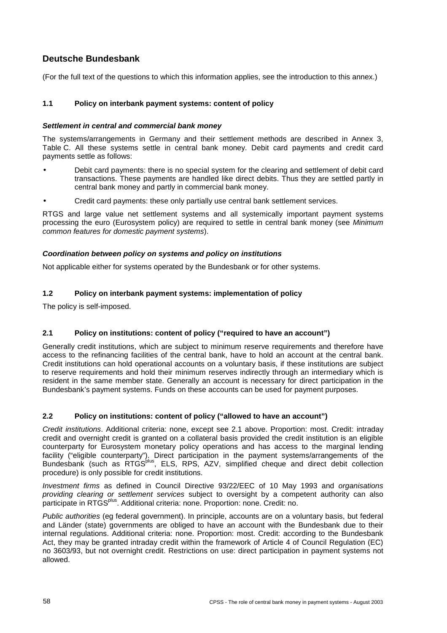# **Deutsche Bundesbank**

(For the full text of the questions to which this information applies, see the introduction to this annex.)

## **1.1 Policy on interbank payment systems: content of policy**

## *Settlement in central and commercial bank money*

The systems/arrangements in Germany and their settlement methods are described in Annex 3, Table C. All these systems settle in central bank money. Debit card payments and credit card payments settle as follows:

- Debit card payments: there is no special system for the clearing and settlement of debit card transactions. These payments are handled like direct debits. Thus they are settled partly in central bank money and partly in commercial bank money.
- Credit card payments: these only partially use central bank settlement services.

RTGS and large value net settlement systems and all systemically important payment systems processing the euro (Eurosystem policy) are required to settle in central bank money (see *Minimum common features for domestic payment systems*).

## *Coordination between policy on systems and policy on institutions*

Not applicable either for systems operated by the Bundesbank or for other systems.

## **1.2 Policy on interbank payment systems: implementation of policy**

The policy is self-imposed.

## **2.1 Policy on institutions: content of policy ("required to have an account")**

Generally credit institutions, which are subject to minimum reserve requirements and therefore have access to the refinancing facilities of the central bank, have to hold an account at the central bank. Credit institutions can hold operational accounts on a voluntary basis, if these institutions are subject to reserve requirements and hold their minimum reserves indirectly through an intermediary which is resident in the same member state. Generally an account is necessary for direct participation in the Bundesbank's payment systems. Funds on these accounts can be used for payment purposes.

## **2.2 Policy on institutions: content of policy ("allowed to have an account")**

*Credit institutions*. Additional criteria: none, except see 2.1 above. Proportion: most. Credit: intraday credit and overnight credit is granted on a collateral basis provided the credit institution is an eligible counterparty for Eurosystem monetary policy operations and has access to the marginal lending facility ("eligible counterparty"). Direct participation in the payment systems/arrangements of the Bundesbank (such as RTGS<sup>plus</sup>, ELS, RPS, AZV, simplified cheque and direct debit collection procedure) is only possible for credit institutions.

*Investment firms* as defined in Council Directive 93/22/EEC of 10 May 1993 and *organisations providing clearing or settlement services* subject to oversight by a competent authority can also participate in RTGS<sup>plus</sup>. Additional criteria: none. Proportion: none. Credit: no.

*Public authorities* (eg federal government). In principle, accounts are on a voluntary basis, but federal and Länder (state) governments are obliged to have an account with the Bundesbank due to their internal regulations. Additional criteria: none. Proportion: most. Credit: according to the Bundesbank Act, they may be granted intraday credit within the framework of Article 4 of Council Regulation (EC) no 3603/93, but not overnight credit. Restrictions on use: direct participation in payment systems not allowed.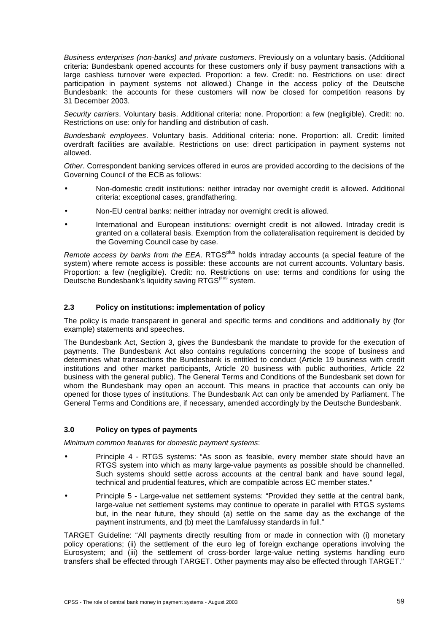*Business enterprises (non-banks) and private customers*. Previously on a voluntary basis. (Additional criteria: Bundesbank opened accounts for these customers only if busy payment transactions with a large cashless turnover were expected. Proportion: a few. Credit: no. Restrictions on use: direct participation in payment systems not allowed.) Change in the access policy of the Deutsche Bundesbank: the accounts for these customers will now be closed for competition reasons by 31 December 2003.

*Security carriers*. Voluntary basis. Additional criteria: none. Proportion: a few (negligible). Credit: no. Restrictions on use: only for handling and distribution of cash.

*Bundesbank employees*. Voluntary basis. Additional criteria: none. Proportion: all. Credit: limited overdraft facilities are available. Restrictions on use: direct participation in payment systems not allowed.

*Other*. Correspondent banking services offered in euros are provided according to the decisions of the Governing Council of the ECB as follows:

- Non-domestic credit institutions: neither intraday nor overnight credit is allowed. Additional criteria: exceptional cases, grandfathering.
- Non-EU central banks: neither intraday nor overnight credit is allowed.
- International and European institutions: overnight credit is not allowed. Intraday credit is granted on a collateral basis. Exemption from the collateralisation requirement is decided by the Governing Council case by case.

*Remote access by banks from the EEA*. RTGS<sup>plus</sup> holds intraday accounts (a special feature of the system) where remote access is possible: these accounts are not current accounts. Voluntary basis. Proportion: a few (negligible). Credit: no. Restrictions on use: terms and conditions for using the Deutsche Bundesbank's liquidity saving RTGS<sup>plus</sup> system.

## **2.3 Policy on institutions: implementation of policy**

The policy is made transparent in general and specific terms and conditions and additionally by (for example) statements and speeches.

The Bundesbank Act, Section 3, gives the Bundesbank the mandate to provide for the execution of payments. The Bundesbank Act also contains regulations concerning the scope of business and determines what transactions the Bundesbank is entitled to conduct (Article 19 business with credit institutions and other market participants, Article 20 business with public authorities, Article 22 business with the general public). The General Terms and Conditions of the Bundesbank set down for whom the Bundesbank may open an account. This means in practice that accounts can only be opened for those types of institutions. The Bundesbank Act can only be amended by Parliament. The General Terms and Conditions are, if necessary, amended accordingly by the Deutsche Bundesbank.

## **3.0 Policy on types of payments**

*Minimum common features for domestic payment systems*:

- Principle 4 RTGS systems: "As soon as feasible, every member state should have an RTGS system into which as many large-value payments as possible should be channelled. Such systems should settle across accounts at the central bank and have sound legal, technical and prudential features, which are compatible across EC member states."
- Principle 5 Large-value net settlement systems: "Provided they settle at the central bank, large-value net settlement systems may continue to operate in parallel with RTGS systems but, in the near future, they should (a) settle on the same day as the exchange of the payment instruments, and (b) meet the Lamfalussy standards in full."

TARGET Guideline: "All payments directly resulting from or made in connection with (i) monetary policy operations; (ii) the settlement of the euro leg of foreign exchange operations involving the Eurosystem; and (iii) the settlement of cross-border large-value netting systems handling euro transfers shall be effected through TARGET. Other payments may also be effected through TARGET."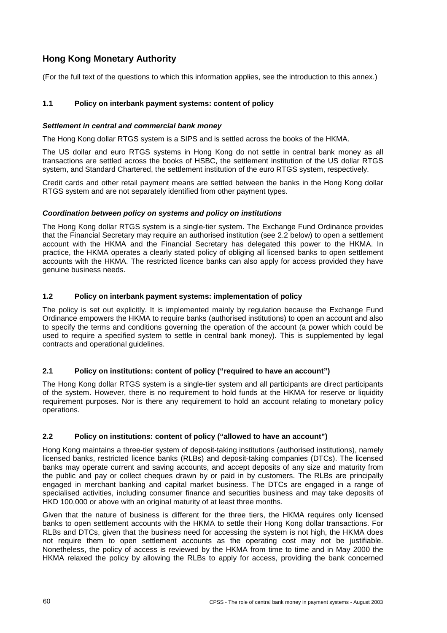# **Hong Kong Monetary Authority**

(For the full text of the questions to which this information applies, see the introduction to this annex.)

## **1.1 Policy on interbank payment systems: content of policy**

## *Settlement in central and commercial bank money*

The Hong Kong dollar RTGS system is a SIPS and is settled across the books of the HKMA.

The US dollar and euro RTGS systems in Hong Kong do not settle in central bank money as all transactions are settled across the books of HSBC, the settlement institution of the US dollar RTGS system, and Standard Chartered, the settlement institution of the euro RTGS system, respectively.

Credit cards and other retail payment means are settled between the banks in the Hong Kong dollar RTGS system and are not separately identified from other payment types.

#### *Coordination between policy on systems and policy on institutions*

The Hong Kong dollar RTGS system is a single-tier system. The Exchange Fund Ordinance provides that the Financial Secretary may require an authorised institution (see 2.2 below) to open a settlement account with the HKMA and the Financial Secretary has delegated this power to the HKMA. In practice, the HKMA operates a clearly stated policy of obliging all licensed banks to open settlement accounts with the HKMA. The restricted licence banks can also apply for access provided they have genuine business needs.

## **1.2 Policy on interbank payment systems: implementation of policy**

The policy is set out explicitly. It is implemented mainly by regulation because the Exchange Fund Ordinance empowers the HKMA to require banks (authorised institutions) to open an account and also to specify the terms and conditions governing the operation of the account (a power which could be used to require a specified system to settle in central bank money). This is supplemented by legal contracts and operational guidelines.

## **2.1 Policy on institutions: content of policy ("required to have an account")**

The Hong Kong dollar RTGS system is a single-tier system and all participants are direct participants of the system. However, there is no requirement to hold funds at the HKMA for reserve or liquidity requirement purposes. Nor is there any requirement to hold an account relating to monetary policy operations.

## **2.2 Policy on institutions: content of policy ("allowed to have an account")**

Hong Kong maintains a three-tier system of deposit-taking institutions (authorised institutions), namely licensed banks, restricted licence banks (RLBs) and deposit-taking companies (DTCs). The licensed banks may operate current and saving accounts, and accept deposits of any size and maturity from the public and pay or collect cheques drawn by or paid in by customers. The RLBs are principally engaged in merchant banking and capital market business. The DTCs are engaged in a range of specialised activities, including consumer finance and securities business and may take deposits of HKD 100,000 or above with an original maturity of at least three months.

Given that the nature of business is different for the three tiers, the HKMA requires only licensed banks to open settlement accounts with the HKMA to settle their Hong Kong dollar transactions. For RLBs and DTCs, given that the business need for accessing the system is not high, the HKMA does not require them to open settlement accounts as the operating cost may not be justifiable. Nonetheless, the policy of access is reviewed by the HKMA from time to time and in May 2000 the HKMA relaxed the policy by allowing the RLBs to apply for access, providing the bank concerned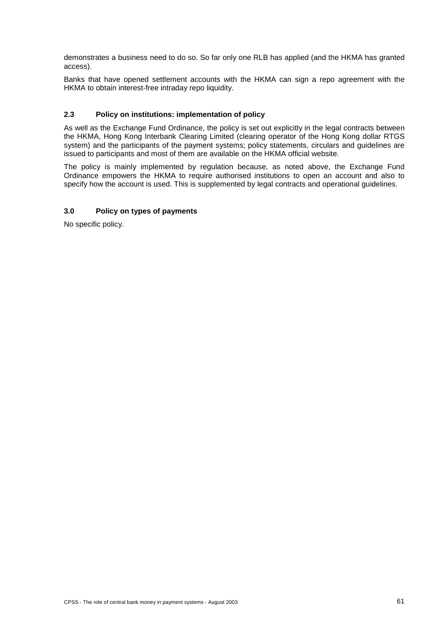demonstrates a business need to do so. So far only one RLB has applied (and the HKMA has granted access).

Banks that have opened settlement accounts with the HKMA can sign a repo agreement with the HKMA to obtain interest-free intraday repo liquidity.

#### **2.3 Policy on institutions: implementation of policy**

As well as the Exchange Fund Ordinance, the policy is set out explicitly in the legal contracts between the HKMA, Hong Kong Interbank Clearing Limited (clearing operator of the Hong Kong dollar RTGS system) and the participants of the payment systems; policy statements, circulars and quidelines are issued to participants and most of them are available on the HKMA official website.

The policy is mainly implemented by regulation because, as noted above, the Exchange Fund Ordinance empowers the HKMA to require authorised institutions to open an account and also to specify how the account is used. This is supplemented by legal contracts and operational guidelines.

#### **3.0 Policy on types of payments**

No specific policy.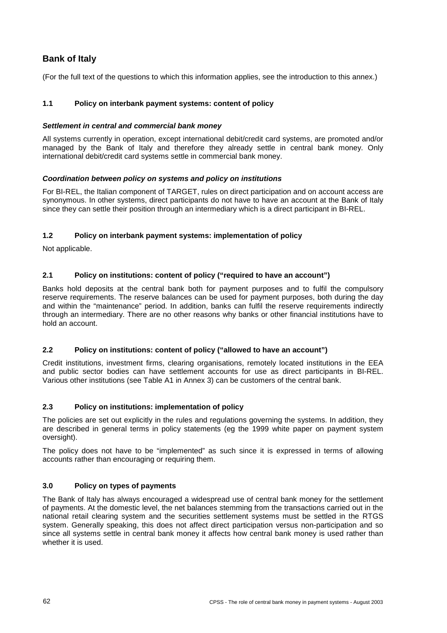# **Bank of Italy**

(For the full text of the questions to which this information applies, see the introduction to this annex.)

## **1.1 Policy on interbank payment systems: content of policy**

### *Settlement in central and commercial bank money*

All systems currently in operation, except international debit/credit card systems, are promoted and/or managed by the Bank of Italy and therefore they already settle in central bank money. Only international debit/credit card systems settle in commercial bank money.

## *Coordination between policy on systems and policy on institutions*

For BI-REL, the Italian component of TARGET, rules on direct participation and on account access are synonymous. In other systems, direct participants do not have to have an account at the Bank of Italy since they can settle their position through an intermediary which is a direct participant in BI-REL.

## **1.2 Policy on interbank payment systems: implementation of policy**

Not applicable.

## **2.1 Policy on institutions: content of policy ("required to have an account")**

Banks hold deposits at the central bank both for payment purposes and to fulfil the compulsory reserve requirements. The reserve balances can be used for payment purposes, both during the day and within the "maintenance" period. In addition, banks can fulfil the reserve requirements indirectly through an intermediary. There are no other reasons why banks or other financial institutions have to hold an account.

## **2.2 Policy on institutions: content of policy ("allowed to have an account")**

Credit institutions, investment firms, clearing organisations, remotely located institutions in the EEA and public sector bodies can have settlement accounts for use as direct participants in BI-REL. Various other institutions (see Table A1 in Annex 3) can be customers of the central bank.

## **2.3 Policy on institutions: implementation of policy**

The policies are set out explicitly in the rules and regulations governing the systems. In addition, they are described in general terms in policy statements (eg the 1999 white paper on payment system oversight).

The policy does not have to be "implemented" as such since it is expressed in terms of allowing accounts rather than encouraging or requiring them.

## **3.0 Policy on types of payments**

The Bank of Italy has always encouraged a widespread use of central bank money for the settlement of payments. At the domestic level, the net balances stemming from the transactions carried out in the national retail clearing system and the securities settlement systems must be settled in the RTGS system. Generally speaking, this does not affect direct participation versus non-participation and so since all systems settle in central bank money it affects how central bank money is used rather than whether it is used.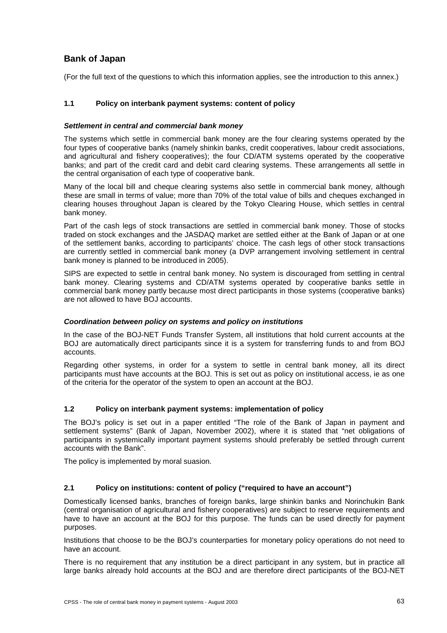# **Bank of Japan**

(For the full text of the questions to which this information applies, see the introduction to this annex.)

## **1.1 Policy on interbank payment systems: content of policy**

### *Settlement in central and commercial bank money*

The systems which settle in commercial bank money are the four clearing systems operated by the four types of cooperative banks (namely shinkin banks, credit cooperatives, labour credit associations, and agricultural and fishery cooperatives); the four CD/ATM systems operated by the cooperative banks; and part of the credit card and debit card clearing systems. These arrangements all settle in the central organisation of each type of cooperative bank.

Many of the local bill and cheque clearing systems also settle in commercial bank money, although these are small in terms of value; more than 70% of the total value of bills and cheques exchanged in clearing houses throughout Japan is cleared by the Tokyo Clearing House, which settles in central bank money.

Part of the cash legs of stock transactions are settled in commercial bank money. Those of stocks traded on stock exchanges and the JASDAQ market are settled either at the Bank of Japan or at one of the settlement banks, according to participants' choice. The cash legs of other stock transactions are currently settled in commercial bank money (a DVP arrangement involving settlement in central bank money is planned to be introduced in 2005).

SIPS are expected to settle in central bank money. No system is discouraged from settling in central bank money. Clearing systems and CD/ATM systems operated by cooperative banks settle in commercial bank money partly because most direct participants in those systems (cooperative banks) are not allowed to have BOJ accounts.

## *Coordination between policy on systems and policy on institutions*

In the case of the BOJ-NET Funds Transfer System, all institutions that hold current accounts at the BOJ are automatically direct participants since it is a system for transferring funds to and from BOJ accounts.

Regarding other systems, in order for a system to settle in central bank money, all its direct participants must have accounts at the BOJ. This is set out as policy on institutional access, ie as one of the criteria for the operator of the system to open an account at the BOJ.

## **1.2 Policy on interbank payment systems: implementation of policy**

The BOJ's policy is set out in a paper entitled "The role of the Bank of Japan in payment and settlement systems" (Bank of Japan, November 2002), where it is stated that "net obligations of participants in systemically important payment systems should preferably be settled through current accounts with the Bank".

The policy is implemented by moral suasion.

## **2.1 Policy on institutions: content of policy ("required to have an account")**

Domestically licensed banks, branches of foreign banks, large shinkin banks and Norinchukin Bank (central organisation of agricultural and fishery cooperatives) are subject to reserve requirements and have to have an account at the BOJ for this purpose. The funds can be used directly for payment purposes.

Institutions that choose to be the BOJ's counterparties for monetary policy operations do not need to have an account.

There is no requirement that any institution be a direct participant in any system, but in practice all large banks already hold accounts at the BOJ and are therefore direct participants of the BOJ-NET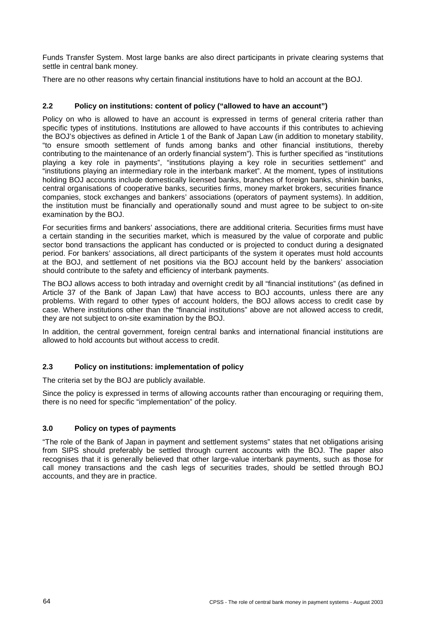Funds Transfer System. Most large banks are also direct participants in private clearing systems that settle in central bank money.

There are no other reasons why certain financial institutions have to hold an account at the BOJ.

## **2.2 Policy on institutions: content of policy ("allowed to have an account")**

Policy on who is allowed to have an account is expressed in terms of general criteria rather than specific types of institutions. Institutions are allowed to have accounts if this contributes to achieving the BOJ's objectives as defined in Article 1 of the Bank of Japan Law (in addition to monetary stability, "to ensure smooth settlement of funds among banks and other financial institutions, thereby contributing to the maintenance of an orderly financial system"). This is further specified as "institutions playing a key role in payments", "institutions playing a key role in securities settlement" and "institutions playing an intermediary role in the interbank market". At the moment, types of institutions holding BOJ accounts include domestically licensed banks, branches of foreign banks, shinkin banks, central organisations of cooperative banks, securities firms, money market brokers, securities finance companies, stock exchanges and bankers' associations (operators of payment systems). In addition, the institution must be financially and operationally sound and must agree to be subject to on-site examination by the BOJ.

For securities firms and bankers' associations, there are additional criteria. Securities firms must have a certain standing in the securities market, which is measured by the value of corporate and public sector bond transactions the applicant has conducted or is projected to conduct during a designated period. For bankers' associations, all direct participants of the system it operates must hold accounts at the BOJ, and settlement of net positions via the BOJ account held by the bankers' association should contribute to the safety and efficiency of interbank payments.

The BOJ allows access to both intraday and overnight credit by all "financial institutions" (as defined in Article 37 of the Bank of Japan Law) that have access to BOJ accounts, unless there are any problems. With regard to other types of account holders, the BOJ allows access to credit case by case. Where institutions other than the "financial institutions" above are not allowed access to credit, they are not subject to on-site examination by the BOJ.

In addition, the central government, foreign central banks and international financial institutions are allowed to hold accounts but without access to credit.

# **2.3 Policy on institutions: implementation of policy**

The criteria set by the BOJ are publicly available.

Since the policy is expressed in terms of allowing accounts rather than encouraging or requiring them, there is no need for specific "implementation" of the policy.

## **3.0 Policy on types of payments**

"The role of the Bank of Japan in payment and settlement systems" states that net obligations arising from SIPS should preferably be settled through current accounts with the BOJ. The paper also recognises that it is generally believed that other large-value interbank payments, such as those for call money transactions and the cash legs of securities trades, should be settled through BOJ accounts, and they are in practice.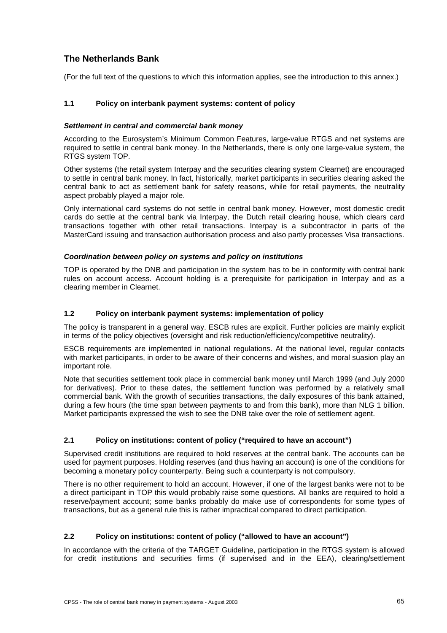# **The Netherlands Bank**

(For the full text of the questions to which this information applies, see the introduction to this annex.)

## **1.1 Policy on interbank payment systems: content of policy**

#### *Settlement in central and commercial bank money*

According to the Eurosystem's Minimum Common Features, large-value RTGS and net systems are required to settle in central bank money. In the Netherlands, there is only one large-value system, the RTGS system TOP.

Other systems (the retail system Interpay and the securities clearing system Clearnet) are encouraged to settle in central bank money. In fact, historically, market participants in securities clearing asked the central bank to act as settlement bank for safety reasons, while for retail payments, the neutrality aspect probably played a major role.

Only international card systems do not settle in central bank money. However, most domestic credit cards do settle at the central bank via Interpay, the Dutch retail clearing house, which clears card transactions together with other retail transactions. Interpay is a subcontractor in parts of the MasterCard issuing and transaction authorisation process and also partly processes Visa transactions.

#### *Coordination between policy on systems and policy on institutions*

TOP is operated by the DNB and participation in the system has to be in conformity with central bank rules on account access. Account holding is a prerequisite for participation in Interpay and as a clearing member in Clearnet.

## **1.2 Policy on interbank payment systems: implementation of policy**

The policy is transparent in a general way. ESCB rules are explicit. Further policies are mainly explicit in terms of the policy objectives (oversight and risk reduction/efficiency/competitive neutrality).

ESCB requirements are implemented in national regulations. At the national level, regular contacts with market participants, in order to be aware of their concerns and wishes, and moral suasion play an important role.

Note that securities settlement took place in commercial bank money until March 1999 (and July 2000 for derivatives). Prior to these dates, the settlement function was performed by a relatively small commercial bank. With the growth of securities transactions, the daily exposures of this bank attained, during a few hours (the time span between payments to and from this bank), more than NLG 1 billion. Market participants expressed the wish to see the DNB take over the role of settlement agent.

## **2.1 Policy on institutions: content of policy ("required to have an account")**

Supervised credit institutions are required to hold reserves at the central bank. The accounts can be used for payment purposes. Holding reserves (and thus having an account) is one of the conditions for becoming a monetary policy counterparty. Being such a counterparty is not compulsory.

There is no other requirement to hold an account. However, if one of the largest banks were not to be a direct participant in TOP this would probably raise some questions. All banks are required to hold a reserve/payment account; some banks probably do make use of correspondents for some types of transactions, but as a general rule this is rather impractical compared to direct participation.

## **2.2 Policy on institutions: content of policy ("allowed to have an account")**

In accordance with the criteria of the TARGET Guideline, participation in the RTGS system is allowed for credit institutions and securities firms (if supervised and in the EEA), clearing/settlement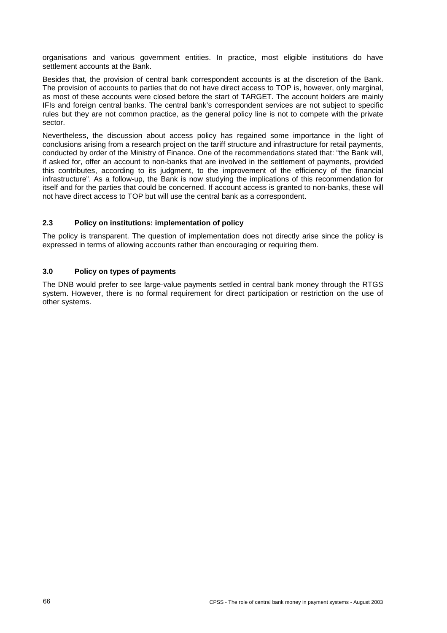organisations and various government entities. In practice, most eligible institutions do have settlement accounts at the Bank.

Besides that, the provision of central bank correspondent accounts is at the discretion of the Bank. The provision of accounts to parties that do not have direct access to TOP is, however, only marginal, as most of these accounts were closed before the start of TARGET. The account holders are mainly IFIs and foreign central banks. The central bank's correspondent services are not subject to specific rules but they are not common practice, as the general policy line is not to compete with the private sector.

Nevertheless, the discussion about access policy has regained some importance in the light of conclusions arising from a research project on the tariff structure and infrastructure for retail payments, conducted by order of the Ministry of Finance. One of the recommendations stated that: "the Bank will, if asked for, offer an account to non-banks that are involved in the settlement of payments, provided this contributes, according to its judgment, to the improvement of the efficiency of the financial infrastructure". As a follow-up, the Bank is now studying the implications of this recommendation for itself and for the parties that could be concerned. If account access is granted to non-banks, these will not have direct access to TOP but will use the central bank as a correspondent.

## **2.3 Policy on institutions: implementation of policy**

The policy is transparent. The question of implementation does not directly arise since the policy is expressed in terms of allowing accounts rather than encouraging or requiring them.

## **3.0 Policy on types of payments**

The DNB would prefer to see large-value payments settled in central bank money through the RTGS system. However, there is no formal requirement for direct participation or restriction on the use of other systems.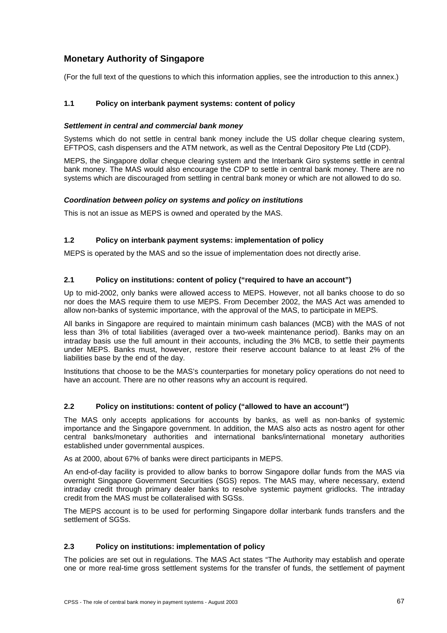# **Monetary Authority of Singapore**

(For the full text of the questions to which this information applies, see the introduction to this annex.)

# **1.1 Policy on interbank payment systems: content of policy**

## *Settlement in central and commercial bank money*

Systems which do not settle in central bank money include the US dollar cheque clearing system, EFTPOS, cash dispensers and the ATM network, as well as the Central Depository Pte Ltd (CDP).

MEPS, the Singapore dollar cheque clearing system and the Interbank Giro systems settle in central bank money. The MAS would also encourage the CDP to settle in central bank money. There are no systems which are discouraged from settling in central bank money or which are not allowed to do so.

## *Coordination between policy on systems and policy on institutions*

This is not an issue as MEPS is owned and operated by the MAS.

## **1.2 Policy on interbank payment systems: implementation of policy**

MEPS is operated by the MAS and so the issue of implementation does not directly arise.

## **2.1 Policy on institutions: content of policy ("required to have an account")**

Up to mid-2002, only banks were allowed access to MEPS. However, not all banks choose to do so nor does the MAS require them to use MEPS. From December 2002, the MAS Act was amended to allow non-banks of systemic importance, with the approval of the MAS, to participate in MEPS.

All banks in Singapore are required to maintain minimum cash balances (MCB) with the MAS of not less than 3% of total liabilities (averaged over a two-week maintenance period). Banks may on an intraday basis use the full amount in their accounts, including the 3% MCB, to settle their payments under MEPS. Banks must, however, restore their reserve account balance to at least 2% of the liabilities base by the end of the day.

Institutions that choose to be the MAS's counterparties for monetary policy operations do not need to have an account. There are no other reasons why an account is required.

## **2.2 Policy on institutions: content of policy ("allowed to have an account")**

The MAS only accepts applications for accounts by banks, as well as non-banks of systemic importance and the Singapore government. In addition, the MAS also acts as nostro agent for other central banks/monetary authorities and international banks/international monetary authorities established under governmental auspices.

As at 2000, about 67% of banks were direct participants in MEPS.

An end-of-day facility is provided to allow banks to borrow Singapore dollar funds from the MAS via overnight Singapore Government Securities (SGS) repos. The MAS may, where necessary, extend intraday credit through primary dealer banks to resolve systemic payment gridlocks. The intraday credit from the MAS must be collateralised with SGSs.

The MEPS account is to be used for performing Singapore dollar interbank funds transfers and the settlement of SGSs.

## **2.3 Policy on institutions: implementation of policy**

The policies are set out in regulations. The MAS Act states "The Authority may establish and operate one or more real-time gross settlement systems for the transfer of funds, the settlement of payment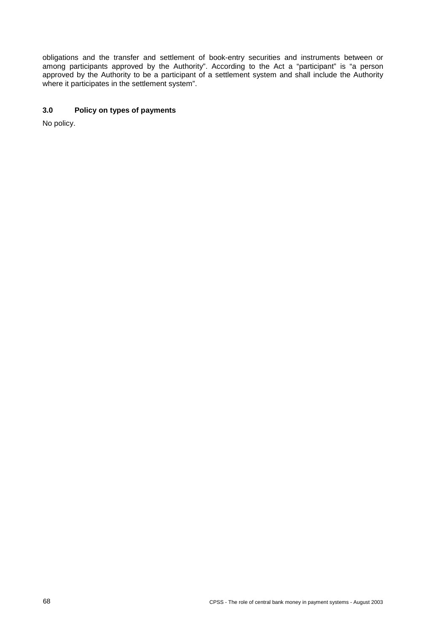obligations and the transfer and settlement of book-entry securities and instruments between or among participants approved by the Authority". According to the Act a "participant" is "a person approved by the Authority to be a participant of a settlement system and shall include the Authority where it participates in the settlement system".

## **3.0 Policy on types of payments**

No policy.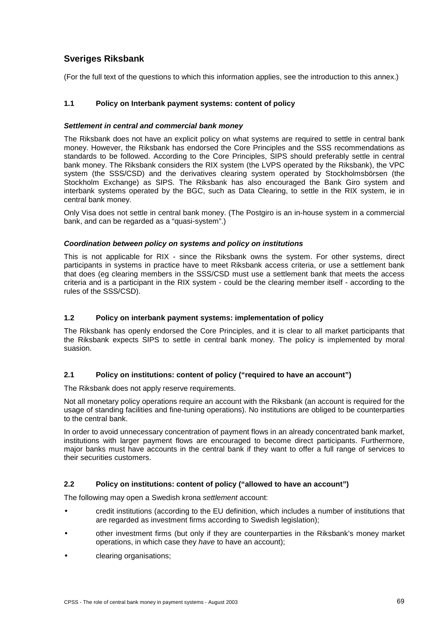# **Sveriges Riksbank**

(For the full text of the questions to which this information applies, see the introduction to this annex.)

## **1.1 Policy on Interbank payment systems: content of policy**

#### *Settlement in central and commercial bank money*

The Riksbank does not have an explicit policy on what systems are required to settle in central bank money. However, the Riksbank has endorsed the Core Principles and the SSS recommendations as standards to be followed. According to the Core Principles, SIPS should preferably settle in central bank money. The Riksbank considers the RIX system (the LVPS operated by the Riksbank), the VPC system (the SSS/CSD) and the derivatives clearing system operated by Stockholmsbörsen (the Stockholm Exchange) as SIPS. The Riksbank has also encouraged the Bank Giro system and interbank systems operated by the BGC, such as Data Clearing, to settle in the RIX system, ie in central bank money.

Only Visa does not settle in central bank money. (The Postgiro is an in-house system in a commercial bank, and can be regarded as a "quasi-system".)

#### *Coordination between policy on systems and policy on institutions*

This is not applicable for RIX - since the Riksbank owns the system. For other systems, direct participants in systems in practice have to meet Riksbank access criteria, or use a settlement bank that does (eg clearing members in the SSS/CSD must use a settlement bank that meets the access criteria and is a participant in the RIX system - could be the clearing member itself - according to the rules of the SSS/CSD).

#### **1.2 Policy on interbank payment systems: implementation of policy**

The Riksbank has openly endorsed the Core Principles, and it is clear to all market participants that the Riksbank expects SIPS to settle in central bank money. The policy is implemented by moral suasion.

## **2.1 Policy on institutions: content of policy ("required to have an account")**

The Riksbank does not apply reserve requirements.

Not all monetary policy operations require an account with the Riksbank (an account is required for the usage of standing facilities and fine-tuning operations). No institutions are obliged to be counterparties to the central bank.

In order to avoid unnecessary concentration of payment flows in an already concentrated bank market, institutions with larger payment flows are encouraged to become direct participants. Furthermore, major banks must have accounts in the central bank if they want to offer a full range of services to their securities customers.

## **2.2 Policy on institutions: content of policy ("allowed to have an account")**

The following may open a Swedish krona *settlement* account:

- credit institutions (according to the EU definition, which includes a number of institutions that are regarded as investment firms according to Swedish legislation);
- other investment firms (but only if they are counterparties in the Riksbank's money market operations, in which case they *have* to have an account);
- clearing organisations;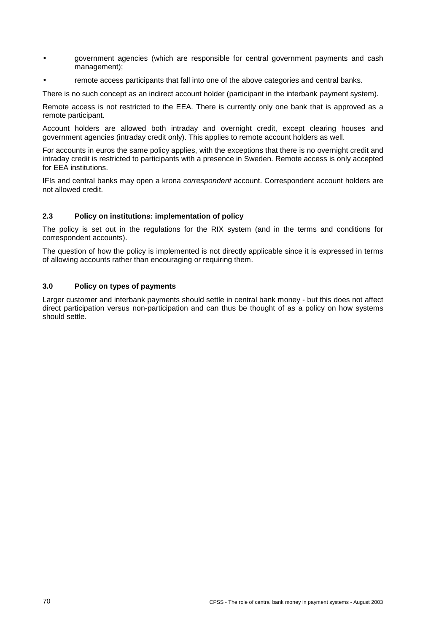- government agencies (which are responsible for central government payments and cash management);
- remote access participants that fall into one of the above categories and central banks.

There is no such concept as an indirect account holder (participant in the interbank payment system).

Remote access is not restricted to the EEA. There is currently only one bank that is approved as a remote participant.

Account holders are allowed both intraday and overnight credit, except clearing houses and government agencies (intraday credit only). This applies to remote account holders as well.

For accounts in euros the same policy applies, with the exceptions that there is no overnight credit and intraday credit is restricted to participants with a presence in Sweden. Remote access is only accepted for EEA institutions.

IFIs and central banks may open a krona *correspondent* account. Correspondent account holders are not allowed credit.

## **2.3 Policy on institutions: implementation of policy**

The policy is set out in the regulations for the RIX system (and in the terms and conditions for correspondent accounts).

The question of how the policy is implemented is not directly applicable since it is expressed in terms of allowing accounts rather than encouraging or requiring them.

#### **3.0 Policy on types of payments**

Larger customer and interbank payments should settle in central bank money - but this does not affect direct participation versus non-participation and can thus be thought of as a policy on how systems should settle.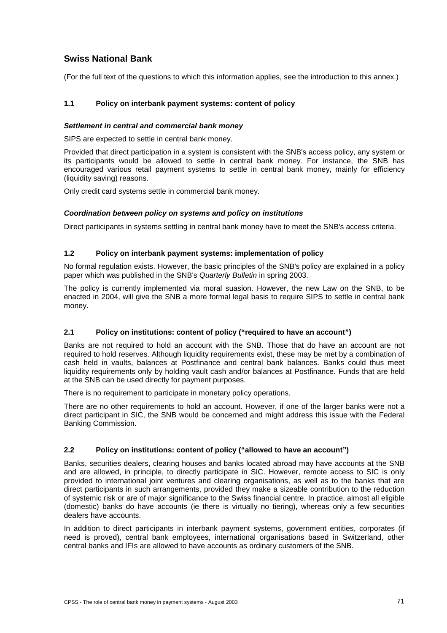# **Swiss National Bank**

(For the full text of the questions to which this information applies, see the introduction to this annex.)

#### **1.1 Policy on interbank payment systems: content of policy**

#### *Settlement in central and commercial bank money*

SIPS are expected to settle in central bank money.

Provided that direct participation in a system is consistent with the SNB's access policy, any system or its participants would be allowed to settle in central bank money. For instance, the SNB has encouraged various retail payment systems to settle in central bank money, mainly for efficiency (liquidity saving) reasons.

Only credit card systems settle in commercial bank money.

#### *Coordination between policy on systems and policy on institutions*

Direct participants in systems settling in central bank money have to meet the SNB's access criteria.

#### **1.2 Policy on interbank payment systems: implementation of policy**

No formal regulation exists. However, the basic principles of the SNB's policy are explained in a policy paper which was published in the SNB's *Quarterly Bulletin* in spring 2003.

The policy is currently implemented via moral suasion. However, the new Law on the SNB, to be enacted in 2004, will give the SNB a more formal legal basis to require SIPS to settle in central bank money.

## **2.1 Policy on institutions: content of policy ("required to have an account")**

Banks are not required to hold an account with the SNB. Those that do have an account are not required to hold reserves. Although liquidity requirements exist, these may be met by a combination of cash held in vaults, balances at Postfinance and central bank balances. Banks could thus meet liquidity requirements only by holding vault cash and/or balances at Postfinance. Funds that are held at the SNB can be used directly for payment purposes.

There is no requirement to participate in monetary policy operations.

There are no other requirements to hold an account. However, if one of the larger banks were not a direct participant in SIC, the SNB would be concerned and might address this issue with the Federal Banking Commission.

#### **2.2 Policy on institutions: content of policy ("allowed to have an account")**

Banks, securities dealers, clearing houses and banks located abroad may have accounts at the SNB and are allowed, in principle, to directly participate in SIC. However, remote access to SIC is only provided to international joint ventures and clearing organisations, as well as to the banks that are direct participants in such arrangements, provided they make a sizeable contribution to the reduction of systemic risk or are of major significance to the Swiss financial centre. In practice, almost all eligible (domestic) banks do have accounts (ie there is virtually no tiering), whereas only a few securities dealers have accounts.

In addition to direct participants in interbank payment systems, government entities, corporates (if need is proved), central bank employees, international organisations based in Switzerland, other central banks and IFIs are allowed to have accounts as ordinary customers of the SNB.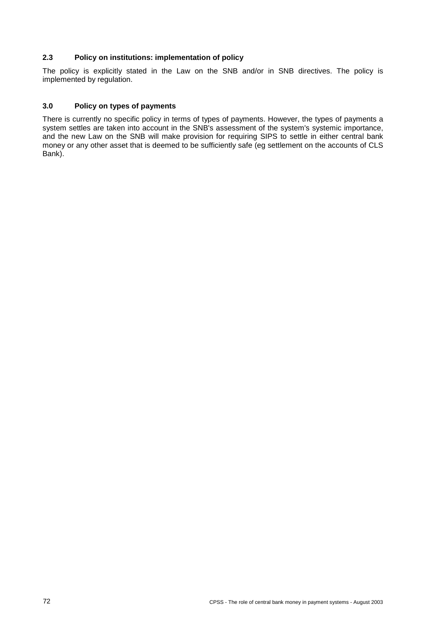## **2.3 Policy on institutions: implementation of policy**

The policy is explicitly stated in the Law on the SNB and/or in SNB directives. The policy is implemented by regulation.

#### **3.0 Policy on types of payments**

There is currently no specific policy in terms of types of payments. However, the types of payments a system settles are taken into account in the SNB's assessment of the system's systemic importance, and the new Law on the SNB will make provision for requiring SIPS to settle in either central bank money or any other asset that is deemed to be sufficiently safe (eg settlement on the accounts of CLS Bank).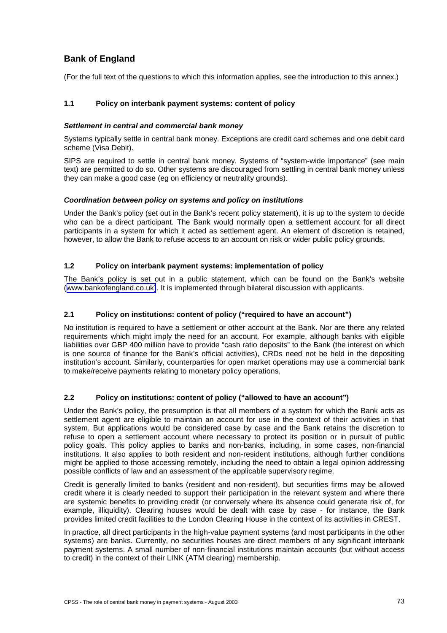# **Bank of England**

(For the full text of the questions to which this information applies, see the introduction to this annex.)

## **1.1 Policy on interbank payment systems: content of policy**

#### *Settlement in central and commercial bank money*

Systems typically settle in central bank money. Exceptions are credit card schemes and one debit card scheme (Visa Debit).

SIPS are required to settle in central bank money. Systems of "system-wide importance" (see main text) are permitted to do so. Other systems are discouraged from settling in central bank money unless they can make a good case (eg on efficiency or neutrality grounds).

## *Coordination between policy on systems and policy on institutions*

Under the Bank's policy (set out in the Bank's recent policy statement), it is up to the system to decide who can be a direct participant. The Bank would normally open a settlement account for all direct participants in a system for which it acted as settlement agent. An element of discretion is retained, however, to allow the Bank to refuse access to an account on risk or wider public policy grounds.

## **1.2 Policy on interbank payment systems: implementation of policy**

The Bank's policy is set out in a public statement, which can be found on the Bank's website ([www.bankofengland.co.uk\)](http://www.bankofengland.co.uk/). It is implemented through bilateral discussion with applicants.

## **2.1 Policy on institutions: content of policy ("required to have an account")**

No institution is required to have a settlement or other account at the Bank. Nor are there any related requirements which might imply the need for an account. For example, although banks with eligible liabilities over GBP 400 million have to provide "cash ratio deposits" to the Bank (the interest on which is one source of finance for the Bank's official activities), CRDs need not be held in the depositing institution's account. Similarly, counterparties for open market operations may use a commercial bank to make/receive payments relating to monetary policy operations.

## **2.2 Policy on institutions: content of policy ("allowed to have an account")**

Under the Bank's policy, the presumption is that all members of a system for which the Bank acts as settlement agent are eligible to maintain an account for use in the context of their activities in that system. But applications would be considered case by case and the Bank retains the discretion to refuse to open a settlement account where necessary to protect its position or in pursuit of public policy goals. This policy applies to banks and non-banks, including, in some cases, non-financial institutions. It also applies to both resident and non-resident institutions, although further conditions might be applied to those accessing remotely, including the need to obtain a legal opinion addressing possible conflicts of law and an assessment of the applicable supervisory regime.

Credit is generally limited to banks (resident and non-resident), but securities firms may be allowed credit where it is clearly needed to support their participation in the relevant system and where there are systemic benefits to providing credit (or conversely where its absence could generate risk of, for example, illiquidity). Clearing houses would be dealt with case by case - for instance, the Bank provides limited credit facilities to the London Clearing House in the context of its activities in CREST.

In practice, all direct participants in the high-value payment systems (and most participants in the other systems) are banks. Currently, no securities houses are direct members of any significant interbank payment systems. A small number of non-financial institutions maintain accounts (but without access to credit) in the context of their LINK (ATM clearing) membership.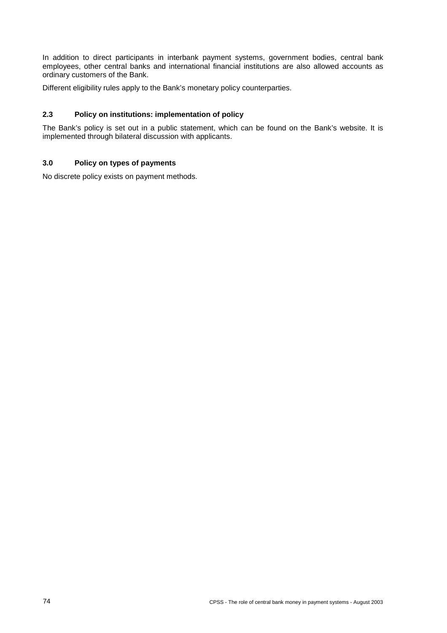In addition to direct participants in interbank payment systems, government bodies, central bank employees, other central banks and international financial institutions are also allowed accounts as ordinary customers of the Bank.

Different eligibility rules apply to the Bank's monetary policy counterparties.

#### **2.3 Policy on institutions: implementation of policy**

The Bank's policy is set out in a public statement, which can be found on the Bank's website. It is implemented through bilateral discussion with applicants.

# **3.0 Policy on types of payments**

No discrete policy exists on payment methods.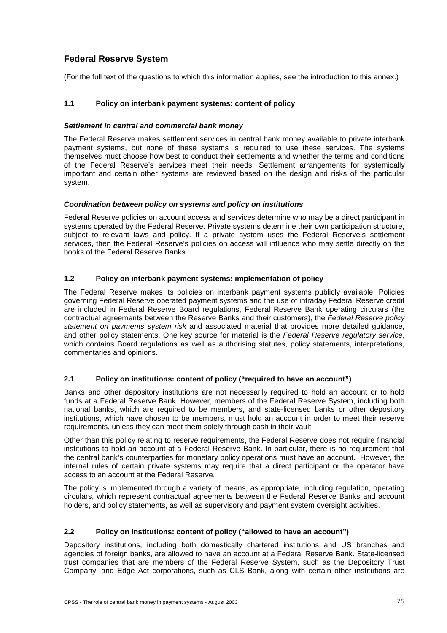# **Federal Reserve System**

(For the full text of the questions to which this information applies, see the introduction to this annex.)

## **1.1 Policy on interbank payment systems: content of policy**

#### *Settlement in central and commercial bank money*

The Federal Reserve makes settlement services in central bank money available to private interbank payment systems, but none of these systems is required to use these services. The systems themselves must choose how best to conduct their settlements and whether the terms and conditions of the Federal Reserve's services meet their needs. Settlement arrangements for systemically important and certain other systems are reviewed based on the design and risks of the particular system.

#### *Coordination between policy on systems and policy on institutions*

Federal Reserve policies on account access and services determine who may be a direct participant in systems operated by the Federal Reserve. Private systems determine their own participation structure, subject to relevant laws and policy. If a private system uses the Federal Reserve's settlement services, then the Federal Reserve's policies on access will influence who may settle directly on the books of the Federal Reserve Banks.

#### **1.2 Policy on interbank payment systems: implementation of policy**

The Federal Reserve makes its policies on interbank payment systems publicly available. Policies governing Federal Reserve operated payment systems and the use of intraday Federal Reserve credit are included in Federal Reserve Board regulations, Federal Reserve Bank operating circulars (the contractual agreements between the Reserve Banks and their customers), the *Federal Reserve policy statement on payments system risk* and associated material that provides more detailed guidance, and other policy statements. One key source for material is the *Federal Reserve regulatory service*, which contains Board regulations as well as authorising statutes, policy statements, interpretations, commentaries and opinions.

## **2.1 Policy on institutions: content of policy ("required to have an account")**

Banks and other depository institutions are not necessarily required to hold an account or to hold funds at a Federal Reserve Bank. However, members of the Federal Reserve System, including both national banks, which are required to be members, and state-licensed banks or other depository institutions, which have chosen to be members, must hold an account in order to meet their reserve requirements, unless they can meet them solely through cash in their vault.

Other than this policy relating to reserve requirements, the Federal Reserve does not require financial institutions to hold an account at a Federal Reserve Bank. In particular, there is no requirement that the central bank's counterparties for monetary policy operations must have an account. However, the internal rules of certain private systems may require that a direct participant or the operator have access to an account at the Federal Reserve.

The policy is implemented through a variety of means, as appropriate, including regulation, operating circulars, which represent contractual agreements between the Federal Reserve Banks and account holders, and policy statements, as well as supervisory and payment system oversight activities.

## **2.2 Policy on institutions: content of policy ("allowed to have an account")**

Depository institutions, including both domestically chartered institutions and US branches and agencies of foreign banks, are allowed to have an account at a Federal Reserve Bank. State-licensed trust companies that are members of the Federal Reserve System, such as the Depository Trust Company, and Edge Act corporations, such as CLS Bank, along with certain other institutions are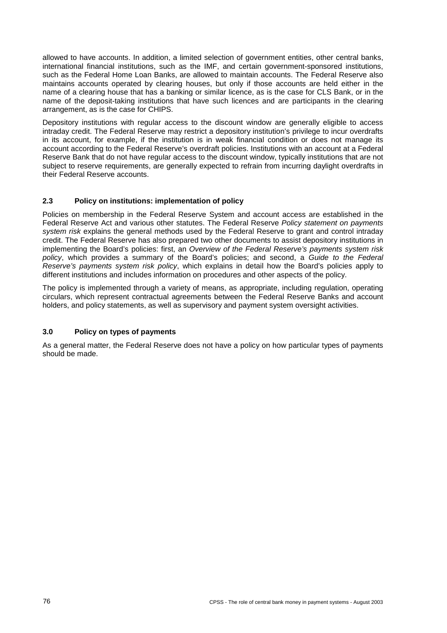allowed to have accounts. In addition, a limited selection of government entities, other central banks, international financial institutions, such as the IMF, and certain government-sponsored institutions, such as the Federal Home Loan Banks, are allowed to maintain accounts. The Federal Reserve also maintains accounts operated by clearing houses, but only if those accounts are held either in the name of a clearing house that has a banking or similar licence, as is the case for CLS Bank, or in the name of the deposit-taking institutions that have such licences and are participants in the clearing arrangement, as is the case for CHIPS.

Depository institutions with regular access to the discount window are generally eligible to access intraday credit. The Federal Reserve may restrict a depository institution's privilege to incur overdrafts in its account, for example, if the institution is in weak financial condition or does not manage its account according to the Federal Reserve's overdraft policies. Institutions with an account at a Federal Reserve Bank that do not have regular access to the discount window, typically institutions that are not subject to reserve requirements, are generally expected to refrain from incurring daylight overdrafts in their Federal Reserve accounts.

## **2.3 Policy on institutions: implementation of policy**

Policies on membership in the Federal Reserve System and account access are established in the Federal Reserve Act and various other statutes. The Federal Reserve *Policy statement on payments system risk* explains the general methods used by the Federal Reserve to grant and control intraday credit. The Federal Reserve has also prepared two other documents to assist depository institutions in implementing the Board's policies: first, an *Overview of the Federal Reserve's payments system risk policy*, which provides a summary of the Board's policies; and second, a *Guide to the Federal Reserve's payments system risk policy*, which explains in detail how the Board's policies apply to different institutions and includes information on procedures and other aspects of the policy.

The policy is implemented through a variety of means, as appropriate, including regulation, operating circulars, which represent contractual agreements between the Federal Reserve Banks and account holders, and policy statements, as well as supervisory and payment system oversight activities.

## **3.0 Policy on types of payments**

As a general matter, the Federal Reserve does not have a policy on how particular types of payments should be made.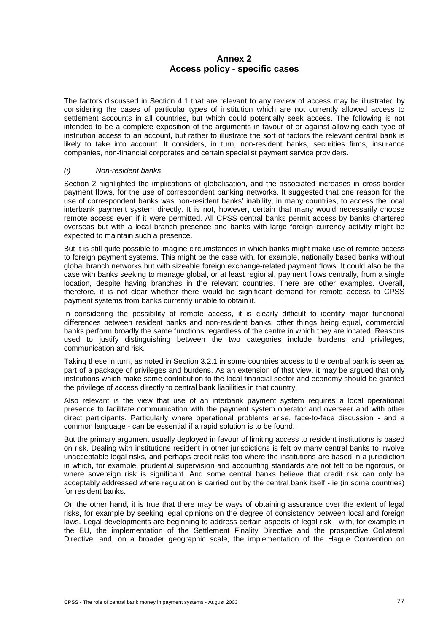# **Annex 2 Access policy - specific cases**

The factors discussed in Section 4.1 that are relevant to any review of access may be illustrated by considering the cases of particular types of institution which are not currently allowed access to settlement accounts in all countries, but which could potentially seek access. The following is not intended to be a complete exposition of the arguments in favour of or against allowing each type of institution access to an account, but rather to illustrate the sort of factors the relevant central bank is likely to take into account. It considers, in turn, non-resident banks, securities firms, insurance companies, non-financial corporates and certain specialist payment service providers.

#### *(i) Non-resident banks*

Section 2 highlighted the implications of globalisation, and the associated increases in cross-border payment flows, for the use of correspondent banking networks. It suggested that one reason for the use of correspondent banks was non-resident banks' inability, in many countries, to access the local interbank payment system directly. It is not, however, certain that many would necessarily choose remote access even if it were permitted. All CPSS central banks permit access by banks chartered overseas but with a local branch presence and banks with large foreign currency activity might be expected to maintain such a presence.

But it is still quite possible to imagine circumstances in which banks might make use of remote access to foreign payment systems. This might be the case with, for example, nationally based banks without global branch networks but with sizeable foreign exchange-related payment flows. It could also be the case with banks seeking to manage global, or at least regional, payment flows centrally, from a single location, despite having branches in the relevant countries. There are other examples. Overall, therefore, it is not clear whether there would be significant demand for remote access to CPSS payment systems from banks currently unable to obtain it.

In considering the possibility of remote access, it is clearly difficult to identify major functional differences between resident banks and non-resident banks; other things being equal, commercial banks perform broadly the same functions regardless of the centre in which they are located. Reasons used to justify distinguishing between the two categories include burdens and privileges, communication and risk.

Taking these in turn, as noted in Section 3.2.1 in some countries access to the central bank is seen as part of a package of privileges and burdens. As an extension of that view, it may be argued that only institutions which make some contribution to the local financial sector and economy should be granted the privilege of access directly to central bank liabilities in that country.

Also relevant is the view that use of an interbank payment system requires a local operational presence to facilitate communication with the payment system operator and overseer and with other direct participants. Particularly where operational problems arise, face-to-face discussion - and a common language - can be essential if a rapid solution is to be found.

But the primary argument usually deployed in favour of limiting access to resident institutions is based on risk. Dealing with institutions resident in other jurisdictions is felt by many central banks to involve unacceptable legal risks, and perhaps credit risks too where the institutions are based in a jurisdiction in which, for example, prudential supervision and accounting standards are not felt to be rigorous, or where sovereign risk is significant. And some central banks believe that credit risk can only be acceptably addressed where regulation is carried out by the central bank itself - ie (in some countries) for resident banks.

On the other hand, it is true that there may be ways of obtaining assurance over the extent of legal risks, for example by seeking legal opinions on the degree of consistency between local and foreign laws. Legal developments are beginning to address certain aspects of legal risk - with, for example in the EU, the implementation of the Settlement Finality Directive and the prospective Collateral Directive; and, on a broader geographic scale, the implementation of the Hague Convention on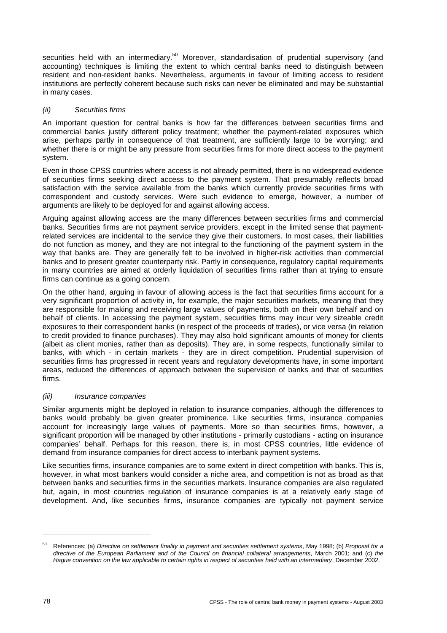securities held with an intermediary.<sup>50</sup> Moreover, standardisation of prudential supervisory (and accounting) techniques is limiting the extent to which central banks need to distinguish between resident and non-resident banks. Nevertheless, arguments in favour of limiting access to resident institutions are perfectly coherent because such risks can never be eliminated and may be substantial in many cases.

## *(ii) Securities firms*

An important question for central banks is how far the differences between securities firms and commercial banks justify different policy treatment; whether the payment-related exposures which arise, perhaps partly in consequence of that treatment, are sufficiently large to be worrying; and whether there is or might be any pressure from securities firms for more direct access to the payment system.

Even in those CPSS countries where access is not already permitted, there is no widespread evidence of securities firms seeking direct access to the payment system. That presumably reflects broad satisfaction with the service available from the banks which currently provide securities firms with correspondent and custody services. Were such evidence to emerge, however, a number of arguments are likely to be deployed for and against allowing access.

Arguing against allowing access are the many differences between securities firms and commercial banks. Securities firms are not payment service providers, except in the limited sense that paymentrelated services are incidental to the service they give their customers. In most cases, their liabilities do not function as money, and they are not integral to the functioning of the payment system in the way that banks are. They are generally felt to be involved in higher-risk activities than commercial banks and to present greater counterparty risk. Partly in consequence, regulatory capital requirements in many countries are aimed at orderly liquidation of securities firms rather than at trying to ensure firms can continue as a going concern.

On the other hand, arguing in favour of allowing access is the fact that securities firms account for a very significant proportion of activity in, for example, the major securities markets, meaning that they are responsible for making and receiving large values of payments, both on their own behalf and on behalf of clients. In accessing the payment system, securities firms may incur very sizeable credit exposures to their correspondent banks (in respect of the proceeds of trades), or vice versa (in relation to credit provided to finance purchases). They may also hold significant amounts of money for clients (albeit as client monies, rather than as deposits). They are, in some respects, functionally similar to banks, with which - in certain markets - they are in direct competition. Prudential supervision of securities firms has progressed in recent years and regulatory developments have, in some important areas, reduced the differences of approach between the supervision of banks and that of securities firms.

## *(iii) Insurance companies*

Similar arguments might be deployed in relation to insurance companies, although the differences to banks would probably be given greater prominence. Like securities firms, insurance companies account for increasingly large values of payments. More so than securities firms, however, a significant proportion will be managed by other institutions - primarily custodians - acting on insurance companies' behalf. Perhaps for this reason, there is, in most CPSS countries, little evidence of demand from insurance companies for direct access to interbank payment systems.

Like securities firms, insurance companies are to some extent in direct competition with banks. This is, however, in what most bankers would consider a niche area, and competition is not as broad as that between banks and securities firms in the securities markets. Insurance companies are also regulated but, again, in most countries regulation of insurance companies is at a relatively early stage of development. And, like securities firms, insurance companies are typically not payment service

l

<sup>50</sup> References: (a) *Directive on settlement finality in payment and securities settlement systems*, May 1998; (b) *Proposal for a directive of the European Parliament and of the Council on financial collateral arrangements*, March 2001; and (c) *the Hague convention on the law applicable to certain rights in respect of securities held with an intermediary*, December 2002.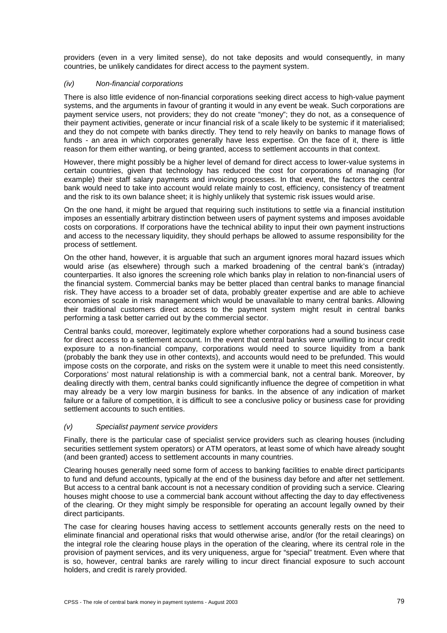providers (even in a very limited sense), do not take deposits and would consequently, in many countries, be unlikely candidates for direct access to the payment system.

#### *(iv) Non-financial corporations*

There is also little evidence of non-financial corporations seeking direct access to high-value payment systems, and the arguments in favour of granting it would in any event be weak. Such corporations are payment service users, not providers; they do not create "money"; they do not, as a consequence of their payment activities, generate or incur financial risk of a scale likely to be systemic if it materialised; and they do not compete with banks directly. They tend to rely heavily on banks to manage flows of funds - an area in which corporates generally have less expertise. On the face of it, there is little reason for them either wanting, or being granted, access to settlement accounts in that context.

However, there might possibly be a higher level of demand for direct access to lower-value systems in certain countries, given that technology has reduced the cost for corporations of managing (for example) their staff salary payments and invoicing processes. In that event, the factors the central bank would need to take into account would relate mainly to cost, efficiency, consistency of treatment and the risk to its own balance sheet; it is highly unlikely that systemic risk issues would arise.

On the one hand, it might be argued that requiring such institutions to settle via a financial institution imposes an essentially arbitrary distinction between users of payment systems and imposes avoidable costs on corporations. If corporations have the technical ability to input their own payment instructions and access to the necessary liquidity, they should perhaps be allowed to assume responsibility for the process of settlement.

On the other hand, however, it is arguable that such an argument ignores moral hazard issues which would arise (as elsewhere) through such a marked broadening of the central bank's (intraday) counterparties. It also ignores the screening role which banks play in relation to non-financial users of the financial system. Commercial banks may be better placed than central banks to manage financial risk. They have access to a broader set of data, probably greater expertise and are able to achieve economies of scale in risk management which would be unavailable to many central banks. Allowing their traditional customers direct access to the payment system might result in central banks performing a task better carried out by the commercial sector.

Central banks could, moreover, legitimately explore whether corporations had a sound business case for direct access to a settlement account. In the event that central banks were unwilling to incur credit exposure to a non-financial company, corporations would need to source liquidity from a bank (probably the bank they use in other contexts), and accounts would need to be prefunded. This would impose costs on the corporate, and risks on the system were it unable to meet this need consistently. Corporations' most natural relationship is with a commercial bank, not a central bank. Moreover, by dealing directly with them, central banks could significantly influence the degree of competition in what may already be a very low margin business for banks. In the absence of any indication of market failure or a failure of competition, it is difficult to see a conclusive policy or business case for providing settlement accounts to such entities.

#### *(v) Specialist payment service providers*

Finally, there is the particular case of specialist service providers such as clearing houses (including securities settlement system operators) or ATM operators, at least some of which have already sought (and been granted) access to settlement accounts in many countries.

Clearing houses generally need some form of access to banking facilities to enable direct participants to fund and defund accounts, typically at the end of the business day before and after net settlement. But access to a central bank account is not a necessary condition of providing such a service. Clearing houses might choose to use a commercial bank account without affecting the day to day effectiveness of the clearing. Or they might simply be responsible for operating an account legally owned by their direct participants.

The case for clearing houses having access to settlement accounts generally rests on the need to eliminate financial and operational risks that would otherwise arise, and/or (for the retail clearings) on the integral role the clearing house plays in the operation of the clearing, where its central role in the provision of payment services, and its very uniqueness, argue for "special" treatment. Even where that is so, however, central banks are rarely willing to incur direct financial exposure to such account holders, and credit is rarely provided.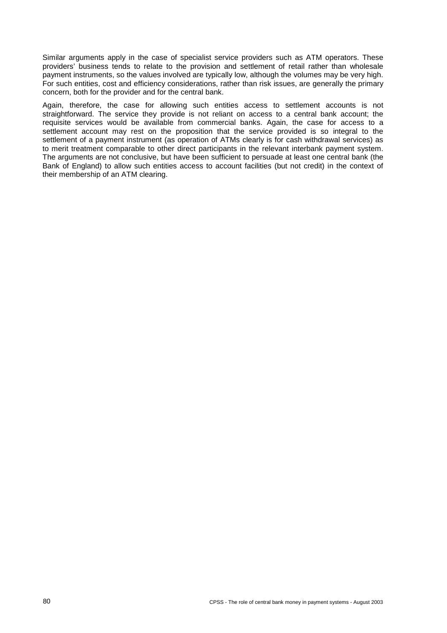Similar arguments apply in the case of specialist service providers such as ATM operators. These providers' business tends to relate to the provision and settlement of retail rather than wholesale payment instruments, so the values involved are typically low, although the volumes may be very high. For such entities, cost and efficiency considerations, rather than risk issues, are generally the primary concern, both for the provider and for the central bank.

Again, therefore, the case for allowing such entities access to settlement accounts is not straightforward. The service they provide is not reliant on access to a central bank account; the requisite services would be available from commercial banks. Again, the case for access to a settlement account may rest on the proposition that the service provided is so integral to the settlement of a payment instrument (as operation of ATMs clearly is for cash withdrawal services) as to merit treatment comparable to other direct participants in the relevant interbank payment system. The arguments are not conclusive, but have been sufficient to persuade at least one central bank (the Bank of England) to allow such entities access to account facilities (but not credit) in the context of their membership of an ATM clearing.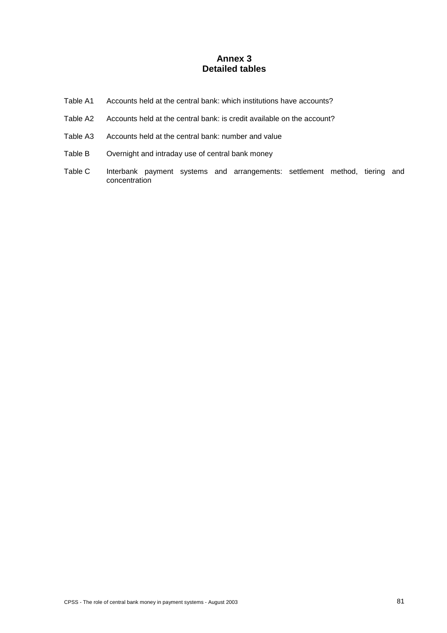# **Annex 3 Detailed tables**

- Table A1 Accounts held at the central bank: which institutions have accounts?
- Table A2 Accounts held at the central bank: is credit available on the account?
- Table A3 Accounts held at the central bank: number and value
- Table B Overnight and intraday use of central bank money
- Table C Interbank payment systems and arrangements: settlement method, tiering and concentration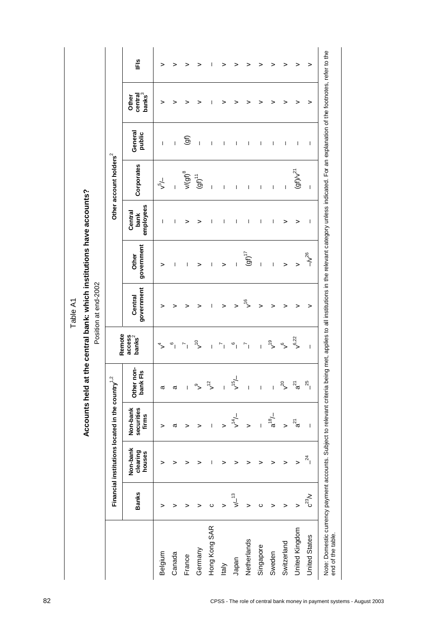|                      |                  |                                               | Accounts held                   | at the central bank: which institutions have accounts? |                              | Position at end-2002             |                          |                              |                                    |                          |                                |   |
|----------------------|------------------|-----------------------------------------------|---------------------------------|--------------------------------------------------------|------------------------------|----------------------------------|--------------------------|------------------------------|------------------------------------|--------------------------|--------------------------------|---|
|                      |                  | Financial institutions located in the country |                                 | 1,2                                                    | Remote                       |                                  |                          |                              | Other account holders <sup>2</sup> |                          |                                |   |
|                      | <b>Banks</b>     | Non-bank<br>clearing<br>houses                | Non-bank<br>securities<br>firms | r non-<br>bank Fls<br>Other                            | access<br>banks <sup>2</sup> | government<br>Central            | government<br>Other      | employees<br>Central<br>bank | Corporates                         | General<br>public        | banks $^3$<br>central<br>Other | Ë |
| Belgium              | >                | >                                             | >                               | ω                                                      | $\downarrow$                 | >                                | >                        |                              | $\frac{1}{2}$                      | $\mathbf{I}$             | >                              |   |
| Canada               | ∍                | >                                             | ω                               | $\varpi$                                               | $\circ$ <sub>I</sub>         | >                                | $\overline{\phantom{a}}$ | ı                            |                                    | $\mathbf{I}$             | >                              |   |
| France               |                  | >                                             | >                               | $\overline{\phantom{a}}$                               | $\sim_{\mathsf{L}}$          | >                                | T                        | >                            | $W(gf)^8$                          | (at)                     | >                              |   |
| Germany              | >                | >                                             | ⋗                               | $\sim$                                                 | $\approx$                    | >                                | >                        | >                            | $(9f)^{11}$                        | $\overline{\phantom{a}}$ | >                              |   |
| Hong Kong SAR        | $\circ$          |                                               |                                 | $\tilde{\zeta}$                                        | $\overline{1}$               | I                                | $\overline{\phantom{a}}$ | H                            |                                    | ı                        | 1                              |   |
| taly                 | >                | >                                             | $\geq$                          | $\overline{1}$                                         | $\sim$                       | $\geq$                           | $\geq$                   | п                            |                                    |                          | >                              |   |
| Japan                | $v^{\prime -13}$ | >                                             | $\frac{1}{4}$                   | $\gamma_{\rm gt}$                                      | $\mathbf{e}_{\parallel}$     |                                  |                          | -1                           |                                    | $\mathbf{I}$             | >                              |   |
| Netherlands          | >                | >                                             | >                               | $\overline{1}$                                         | $\overline{a}$               | $\overline{\phantom{a}}^{\rm o}$ | $\omega_{\rm t}$         | H                            |                                    | 1                        | >                              |   |
| Singapore            | ပ                | >                                             |                                 | $\overline{1}$                                         | $\mathbf{I}$                 | >                                | $\overline{\phantom{a}}$ | J                            |                                    | -1                       | >                              |   |
| Sweden               | >                | >                                             | $-\sqrt{\frac{9}{6}}$           | $\bar{1}$                                              | $\epsilon$ <sup>o</sup>      | >                                | $\overline{\phantom{a}}$ | T                            | I                                  | I                        | >                              |   |
| Switzerland          | $\geq$           | >                                             | >                               | $\sim$                                                 | ु                            | >                                | $\geq$                   | >                            | 1                                  | I                        | >                              |   |
| United Kingdom       | $\geq$           | $\geq$                                        | $\bar{z}$ a                     | $\tilde{a}$                                            | $v^{6,22}$                   | >                                | $\geq$                   | >                            | $(gf)/v^{21}$                      | I                        | >                              |   |
| <b>United States</b> | $c^{23}$ /v      | $\frac{24}{ }$                                | $\overline{\phantom{a}}$        | 25                                                     | $\overline{1}$               | >                                | $-1/\sqrt{26}$           | J.                           | $\overline{1}$                     | -1                       | >                              |   |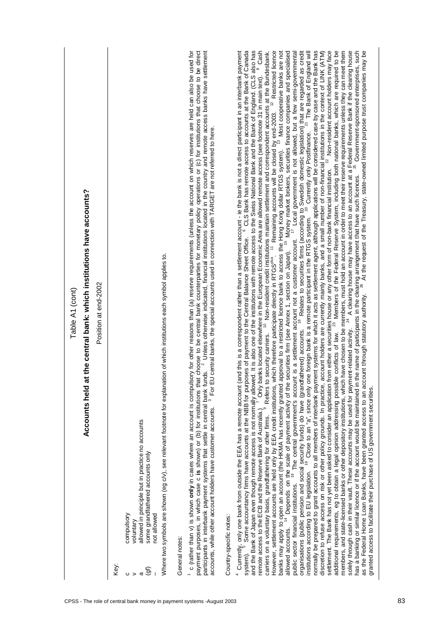|                          | Table A1 (cont)                                                                                                                                                                                                                                                                                                                                                                                                                                                                                                                                                                                                                                                                                                                                                                                                                                                                                                                                                                                                                                                                                                                                                                                                                                                                                                                                                                                                                                                                                                                                                                                                                                                                                                                                                                                                                                                                                                                                                                                                                                                                             |
|--------------------------|---------------------------------------------------------------------------------------------------------------------------------------------------------------------------------------------------------------------------------------------------------------------------------------------------------------------------------------------------------------------------------------------------------------------------------------------------------------------------------------------------------------------------------------------------------------------------------------------------------------------------------------------------------------------------------------------------------------------------------------------------------------------------------------------------------------------------------------------------------------------------------------------------------------------------------------------------------------------------------------------------------------------------------------------------------------------------------------------------------------------------------------------------------------------------------------------------------------------------------------------------------------------------------------------------------------------------------------------------------------------------------------------------------------------------------------------------------------------------------------------------------------------------------------------------------------------------------------------------------------------------------------------------------------------------------------------------------------------------------------------------------------------------------------------------------------------------------------------------------------------------------------------------------------------------------------------------------------------------------------------------------------------------------------------------------------------------------------------|
|                          | at the central bank: which institutions have accounts?<br>Accounts held                                                                                                                                                                                                                                                                                                                                                                                                                                                                                                                                                                                                                                                                                                                                                                                                                                                                                                                                                                                                                                                                                                                                                                                                                                                                                                                                                                                                                                                                                                                                                                                                                                                                                                                                                                                                                                                                                                                                                                                                                     |
|                          | Position at end-2002                                                                                                                                                                                                                                                                                                                                                                                                                                                                                                                                                                                                                                                                                                                                                                                                                                                                                                                                                                                                                                                                                                                                                                                                                                                                                                                                                                                                                                                                                                                                                                                                                                                                                                                                                                                                                                                                                                                                                                                                                                                                        |
| Key:<br>O                | compulsory                                                                                                                                                                                                                                                                                                                                                                                                                                                                                                                                                                                                                                                                                                                                                                                                                                                                                                                                                                                                                                                                                                                                                                                                                                                                                                                                                                                                                                                                                                                                                                                                                                                                                                                                                                                                                                                                                                                                                                                                                                                                                  |
| ভি<br>$\sigma$<br>$\geq$ | allowed in principle but in practice no accounts<br>some grandfathered accounts only<br>not allowed<br>voluntary                                                                                                                                                                                                                                                                                                                                                                                                                                                                                                                                                                                                                                                                                                                                                                                                                                                                                                                                                                                                                                                                                                                                                                                                                                                                                                                                                                                                                                                                                                                                                                                                                                                                                                                                                                                                                                                                                                                                                                            |
| General notes:           | Where two symbols are shown (eg c/v), see relevant footnote for explanation of which institutions each symbol applies to.                                                                                                                                                                                                                                                                                                                                                                                                                                                                                                                                                                                                                                                                                                                                                                                                                                                                                                                                                                                                                                                                                                                                                                                                                                                                                                                                                                                                                                                                                                                                                                                                                                                                                                                                                                                                                                                                                                                                                                   |
|                          | ' c (rather than v) is shown only in cases where an account is compulsory for other reasons than (a) reserve requirements (unless the account on which reserves are held can also be used for<br>payment purposes, in which case c is shown) or (b) for institutions that choose to be central bank counterparties for monetary policy operations or (c) for institutions that choose to be direct<br>participants in interbank payment systems that settle in central bank funds. <sup>2</sup> Unless otherwise indicated, financial institutions located in the country and remote access banks have settlement<br>accounts, while other accou                                                                                                                                                                                                                                                                                                                                                                                                                                                                                                                                                                                                                                                                                                                                                                                                                                                                                                                                                                                                                                                                                                                                                                                                                                                                                                                                                                                                                                            |
|                          | and the Bank of Japan even though remote access is not normally allowed. It is also one of the institutions with remote access to the Swiss National Bank and the Bank of England. (CLS also has and the Bank of Hogan even th<br>from either a securities house or any other form of non-bank financial institution. <sup>22</sup> Non-resident account holders may face<br>Je conflicts of law. <sup>23</sup> Members of the Federal Reserve System, including both national banks,<br>has a banking or similar licence or if the account would be maintained in the name of participants in the clearing arrangement that have such licences. <sup>25</sup> Government-sponsored enterprises, such<br>as the Federal Home Loan B<br>account holders are currently mainly banks, and a small number of non-financial institutions in the context of LINK (ATM)<br><sup>22</sup> Non-resident account holders may face<br>members, and state-licensed banks or other depository institutions, which have chosen to be members, must hold an account in order to meet their reserve requirements unless they can meet them<br>solely through cash in their v<br>normally be prepared to grant accounts to all members of interbank payment systems for which it acts as settlement agent, although applications will be considered case by case and the Bank has<br><sup>4</sup> Currently, only one bank from outside the EEA has a remote account (and this is a correspondent rather than a settlement acc<br>system). <sup>5</sup> Some accountancy firms have accounts at the NBB for purposes of payment to the C<br>as the Federal Home Loan Banks, have been granted access to an account through statutory authority.<br>additional requirements, eg to obtain a legal opinion addressing possible conflicts of law.<br>settlement. The Bank has not yet been asked to consider an application<br>discretion to refuse access on risk or other policy grounds. In practice,<br>granted access to facilitate their purchase of US government securities.<br>Country-specific notes: |
|                          |                                                                                                                                                                                                                                                                                                                                                                                                                                                                                                                                                                                                                                                                                                                                                                                                                                                                                                                                                                                                                                                                                                                                                                                                                                                                                                                                                                                                                                                                                                                                                                                                                                                                                                                                                                                                                                                                                                                                                                                                                                                                                             |
|                          |                                                                                                                                                                                                                                                                                                                                                                                                                                                                                                                                                                                                                                                                                                                                                                                                                                                                                                                                                                                                                                                                                                                                                                                                                                                                                                                                                                                                                                                                                                                                                                                                                                                                                                                                                                                                                                                                                                                                                                                                                                                                                             |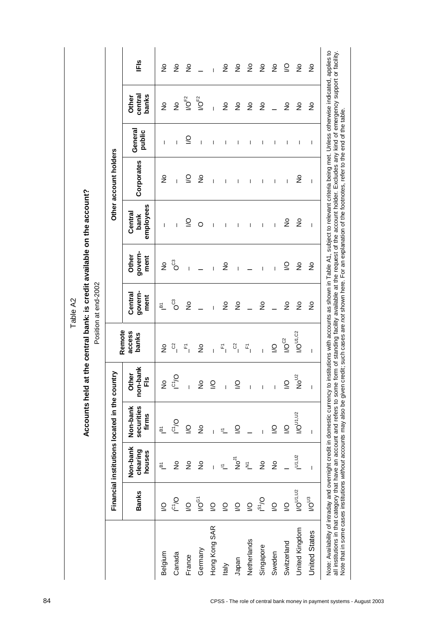|                                            |                                | Accounts held                             |                         |                            | Position at end-2002       |                          | at the central bank: is credit available on the account? |                          |                   |                                                     |                            |
|--------------------------------------------|--------------------------------|-------------------------------------------|-------------------------|----------------------------|----------------------------|--------------------------|----------------------------------------------------------|--------------------------|-------------------|-----------------------------------------------------|----------------------------|
|                                            |                                | Financial institutions located in the cou | ntry                    |                            |                            |                          |                                                          | Other account holders    |                   |                                                     |                            |
| <b>Banks</b>                               | Non-bank<br>clearing<br>houses | Non-bank<br>securities<br>firms           | non-bank<br>Other<br>Es | Remote<br>access<br>banks  | govern-<br>Central<br>ment | govern-<br>Other<br>ment | employees<br>Central<br>bank                             | Corporates               | General<br>public | central<br>banks<br>Other                           | ΙĒΙ                        |
| $\overline{Q}$<br>Belgium                  | $\frac{5}{2}$                  | $\frac{5}{2}$                             | $\frac{1}{2}$           | $\frac{1}{2}$              | $\frac{5}{2}$              | $\frac{1}{2}$            | $\mathbf{I}$                                             | $\frac{1}{2}$            | $\mathbf{I}$      | $\frac{1}{2}$                                       | $\frac{1}{2}$              |
| $\mathsf{C}^\mathsf{C}$<br>Canada          | $\frac{1}{2}$                  | $P^{C1}$                                  | $I^{CI}$                | $C_{1}$                    | $\int_{0}^{\infty}$        | <b>o</b>                 |                                                          |                          |                   | $\frac{1}{2}$                                       | $\frac{1}{2}$              |
| $\overline{Q}$<br>France                   | $\frac{1}{2}$                  | $\overline{Q}$                            | $\mathbf{I}$            | $\mathbb{Z}^1$             | $\frac{1}{2}$              |                          | S                                                        | S                        | $\overline{0}$    | $\ensuremath{\mathsf{IO}}^\ensuremath{\mathsf{F2}}$ | $\frac{1}{2}$              |
| $\overline{10}^{\overline{G}7}$<br>Germany | $\stackrel{\mathtt{o}}{z}$     | $\frac{1}{2}$                             | $\stackrel{\circ}{z}$   | $\frac{1}{2}$              |                            |                          | $\circ$                                                  | $\frac{1}{2}$            |                   | $\mathsf{IO}^{\mathsf{F2}}$                         |                            |
| $\overline{\mathcal{C}}$<br>Hong Kong SAR  |                                |                                           | $\overline{\mathsf{S}}$ |                            |                            |                          |                                                          |                          | $\mathbf{I}$      |                                                     |                            |
| $\overline{6}$<br><b>Italy</b>             | $\overline{=}$                 | 된                                         | $\mathbf{1}$            | Ε,                         | $\frac{1}{2}$              | $\frac{1}{2}$            |                                                          |                          |                   | $\frac{1}{2}$                                       | ş                          |
| $\overline{6}$<br>Japan                    | $\bar{P}^5$                    | $\overline{S}$                            | $\overline{S}$          | $\mathcal{C}_{\mathsf{I}}$ | $\frac{1}{2}$              |                          |                                                          |                          |                   | $\frac{1}{2}$                                       | $\frac{1}{2}$              |
| $\overline{\mathcal{C}}$<br>Netherlands    | $\bar{z}$                      |                                           | $\mathsf I$             | $\mathbb{Z}^1$             |                            |                          | 1                                                        |                          | ı                 | $\frac{1}{2}$                                       | $\frac{\circ}{2}$          |
| $\overline{\mathsf{S}}$<br>Singapore       | $\stackrel{\circ}{\simeq}$     |                                           | $\bar{1}$               |                            | $\frac{1}{2}$              |                          | $\overline{1}$                                           |                          |                   | $\frac{1}{2}$                                       | $\frac{\circ}{\mathsf{Z}}$ |
| $\overline{Q}$<br>Sweden                   | $\frac{1}{2}$                  | $\overline{S}$                            | $\mathsf I$             | $\overline{Q}$             |                            |                          | $\mathbf{I}$                                             | I                        | ı                 |                                                     | $\frac{1}{2}$              |
| $\overline{Q}$<br>Switzerland              |                                | $\overline{Q}$                            | $\overline{6}$          | $IO^{C2}$                  | $\frac{1}{2}$              | 9                        | ş                                                        |                          | I                 | <u>ي</u>                                            | S                          |
| I/O <sup>U1,U2</sup><br>United Kingdom     | $1^{11,12}$                    | I/OU1,U2                                  | $N_{\rm O}^{\rm U2}$    | $10^{11.02}$               | $\frac{1}{2}$              | $\frac{1}{2}$            | $\frac{1}{2}$                                            | $\frac{1}{2}$            | $\mathbf{I}$      | $\frac{1}{2}$                                       | $\frac{1}{2}$              |
| $10^{13}$<br><b>United States</b>          |                                | $\mathbf{I}$                              | $\overline{1}$          | 1                          | $\frac{1}{2}$              | $\frac{1}{2}$            | $\overline{1}$                                           | $\overline{\phantom{a}}$ | J.                | $\frac{1}{2}$                                       | $\frac{1}{2}$              |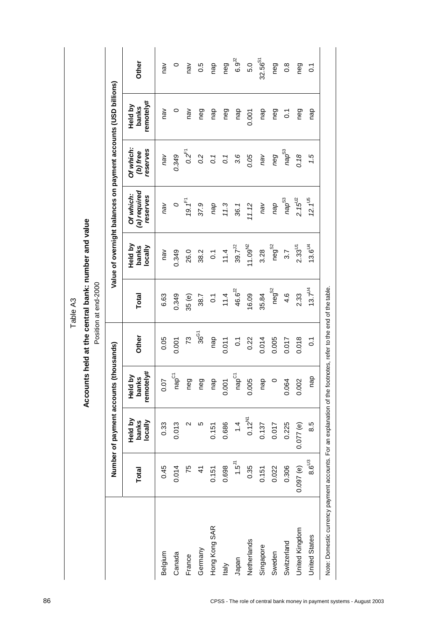|                                                                                                               |               |                             |                                                     |                  | Position at end-2000          | Accounts held at the central bank: number and value |                                                                |                                   |                               |                     |
|---------------------------------------------------------------------------------------------------------------|---------------|-----------------------------|-----------------------------------------------------|------------------|-------------------------------|-----------------------------------------------------|----------------------------------------------------------------|-----------------------------------|-------------------------------|---------------------|
|                                                                                                               |               | Number of payment accounts  |                                                     | (thousands)      |                               |                                                     | Value of overnight balances on payment accounts (USD billions) |                                   |                               |                     |
|                                                                                                               | Total         | Held by<br>locally<br>banks | remotely#<br><u>گ</u><br>banks<br>Held <sub>1</sub> | Other            | Total                         | Held by<br>locally<br>banks                         | (a) required<br>Of which:<br>reserves                          | Of which:<br>reserves<br>(b) free | remotely#<br>Held by<br>banks | Other               |
| Belgium                                                                                                       | 0.45          | 0.33                        | 0.07                                                | 0.05             | 6.63                          | nav                                                 | veu                                                            | NBU                               | nav                           | $n$ av              |
| Canada                                                                                                        | 0.014         | 0.013                       | nap $^{\rm C7}$                                     | 0.001            | 0.349                         | 0.349                                               | $\circ$                                                        | 0.349                             | $\circ$                       | $\circ$             |
| France                                                                                                        | 75            | $\mathbf{\Omega}$           | neg                                                 | 73               | 35 <sub>(e)</sub>             | 26.0                                                | $19.1^{F1}$                                                    | $0.2^{F1}$                        | nav                           | nav                 |
| Germany                                                                                                       | $\frac{4}{1}$ | Ю                           | neg                                                 | 36 <sup>61</sup> | 38.7                          | 38.2                                                | 37.9                                                           | 0.2                               | neg                           | 0.5                 |
| Hong Kong SAR                                                                                                 | 0.151         | 0.151                       | nap                                                 | nap              | $\overline{0}$ .              | $\overline{0}$ :                                    | deu                                                            | 0.1                               | nap                           | nap                 |
| ltaly                                                                                                         | 0.698         | 0.686                       | 0.001                                               | 0.011            | 11.4                          | 11.4                                                | 11.3                                                           | 0.1                               | neg                           | neg                 |
| Japan                                                                                                         | $1.5^{J_1}$   | 1.4                         | nap <sup>C1</sup>                                   | $\overline{0}$ . | 46.6 <sup>J<sub>2</sub></sup> | $39.7^{J2}$                                         | 36.1                                                           | 3.6                               | nap                           | $6.9^{J2}$          |
| Netherlands                                                                                                   | 0.35          | $0.12^{N1}$                 | 0.005                                               | 0.22             | 16.09                         | $11.09^{N2}$                                        | 11.12                                                          | 0.05                              | 0.001                         | 5.0                 |
| Singapore                                                                                                     | 0.151         | 0.137                       | nap                                                 | 0.014            | 35.84                         | 3.28                                                | vev                                                            | Neu                               | nap                           | 32.56 <sup>S1</sup> |
| Sweden                                                                                                        | 0.022         | 0.017                       | $\circ$                                             | 0.005            | neg <sup>S2</sup>             | neg <sup>s2</sup>                                   | deu                                                            | beu                               | neg                           | neg                 |
| Switzerland                                                                                                   | 0.306         | 0.225                       | 0.064                                               | 0.017            | 4.6                           | 3.7                                                 | nap <sup>S3</sup>                                              | nap <sup>S3</sup>                 | $\overline{C}$                | $0.\overline{8}$    |
| United Kingdom                                                                                                | 0.097(e)      | 0.077(e)                    | 0.002                                               | 0.018            | 2.33                          | $2.33^{1/1}$                                        | $2.15^{12}$                                                    | 0.18                              | peg                           | neg                 |
| <b>United States</b>                                                                                          | $8.6^{13}$    | 8.5                         | nap                                                 | C <sub>1</sub>   | $13.7^{14}$                   | $13.6^{14}$                                         | $12.1^{15}$                                                    | 1.5                               | nap                           | $\overline{0}$ .    |
| Note: Domestic currency payment accounts. For an explanation of the footnotes, refer to the end of the table. |               |                             |                                                     |                  |                               |                                                     |                                                                |                                   |                               |                     |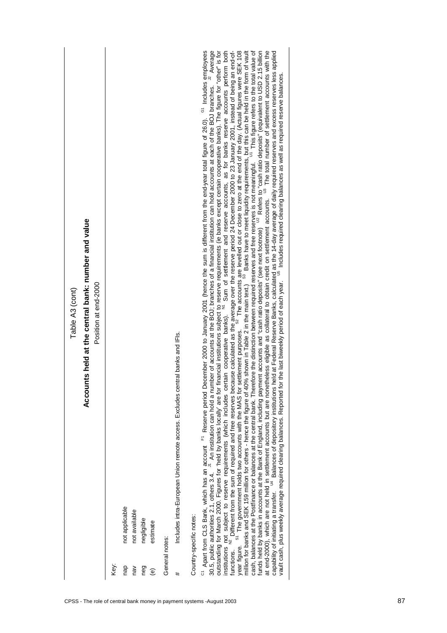| <sup>cr</sup> Apart from CLS Bank, which has an account <sup>F1</sup> Reserve period December 2000 to January 2001 (hence the sum is different from the end-year total figure of 26.0). <sup>S1</sup> Includes<br>30.5, public authorities 2.1, others 3.4.<br>Accounts held at the central bank: number and value<br>Position at end-2000<br>Includes intra-European Union remote access. Excludes central banks and IFIs.<br>not applicable<br>not available<br>Country-specific notes:<br>negligible<br>estimate<br>General notes:<br>Key:<br>nap<br>peg<br>nav<br>$\mathbf{e}$<br># | cash, balances at the Postfinance or balances at the central bank. Therefore the distinction between required reserves and free reserves is not meaningful. <sup>ut</sup> This figure refers to the total value of<br>funds held by banks<br>outstanding for March 2000. Figures for 'held by banks locally' are for financial institutions subject to reserve requirements (ie banks except certain cooperative banks). The figure for "other" is for<br>institutions not sub<br>outstanding for March 2000. Higures ior ineu by benine weary with the MAS and the sellement and reserve accounts, as ior weare verocation for March 2000. In endpoint and reserve requirements (which includes certain coopera | Table A3 (cont)                                                      |
|-----------------------------------------------------------------------------------------------------------------------------------------------------------------------------------------------------------------------------------------------------------------------------------------------------------------------------------------------------------------------------------------------------------------------------------------------------------------------------------------------------------------------------------------------------------------------------------------|------------------------------------------------------------------------------------------------------------------------------------------------------------------------------------------------------------------------------------------------------------------------------------------------------------------------------------------------------------------------------------------------------------------------------------------------------------------------------------------------------------------------------------------------------------------------------------------------------------------------------------------------------------------------------------------------------------------|----------------------------------------------------------------------|
|                                                                                                                                                                                                                                                                                                                                                                                                                                                                                                                                                                                         |                                                                                                                                                                                                                                                                                                                                                                                                                                                                                                                                                                                                                                                                                                                  |                                                                      |
|                                                                                                                                                                                                                                                                                                                                                                                                                                                                                                                                                                                         |                                                                                                                                                                                                                                                                                                                                                                                                                                                                                                                                                                                                                                                                                                                  |                                                                      |
|                                                                                                                                                                                                                                                                                                                                                                                                                                                                                                                                                                                         |                                                                                                                                                                                                                                                                                                                                                                                                                                                                                                                                                                                                                                                                                                                  |                                                                      |
|                                                                                                                                                                                                                                                                                                                                                                                                                                                                                                                                                                                         |                                                                                                                                                                                                                                                                                                                                                                                                                                                                                                                                                                                                                                                                                                                  |                                                                      |
|                                                                                                                                                                                                                                                                                                                                                                                                                                                                                                                                                                                         |                                                                                                                                                                                                                                                                                                                                                                                                                                                                                                                                                                                                                                                                                                                  |                                                                      |
|                                                                                                                                                                                                                                                                                                                                                                                                                                                                                                                                                                                         |                                                                                                                                                                                                                                                                                                                                                                                                                                                                                                                                                                                                                                                                                                                  |                                                                      |
|                                                                                                                                                                                                                                                                                                                                                                                                                                                                                                                                                                                         |                                                                                                                                                                                                                                                                                                                                                                                                                                                                                                                                                                                                                                                                                                                  |                                                                      |
|                                                                                                                                                                                                                                                                                                                                                                                                                                                                                                                                                                                         |                                                                                                                                                                                                                                                                                                                                                                                                                                                                                                                                                                                                                                                                                                                  |                                                                      |
|                                                                                                                                                                                                                                                                                                                                                                                                                                                                                                                                                                                         |                                                                                                                                                                                                                                                                                                                                                                                                                                                                                                                                                                                                                                                                                                                  |                                                                      |
|                                                                                                                                                                                                                                                                                                                                                                                                                                                                                                                                                                                         |                                                                                                                                                                                                                                                                                                                                                                                                                                                                                                                                                                                                                                                                                                                  | <sup>G</sup> ' Includes employees<br>branches. <sup>J2</sup> Average |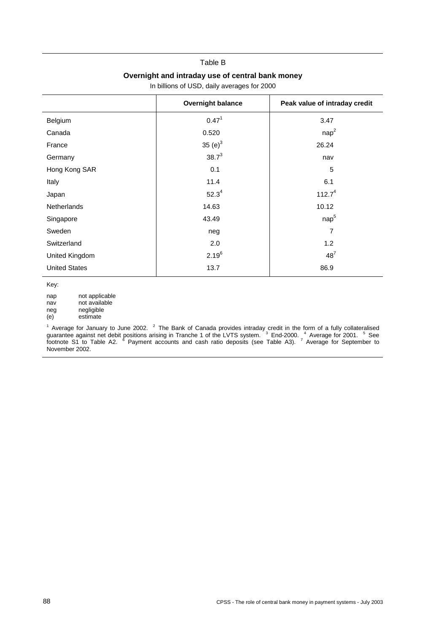#### Table B

#### **Overnight and intraday use of central bank money**

In billions of USD, daily averages for 2000

|                      | <b>Overnight balance</b> | Peak value of intraday credit |
|----------------------|--------------------------|-------------------------------|
| Belgium              | 0.47 <sup>1</sup>        | 3.47                          |
| Canada               | 0.520                    | nap <sup>2</sup>              |
| France               | 35 $(e)^3$               | 26.24                         |
| Germany              | $38.7^3$                 | nav                           |
| Hong Kong SAR        | 0.1                      | 5                             |
| Italy                | 11.4                     | 6.1                           |
| Japan                | $52.3^{4}$               | $112.7^{4}$                   |
| <b>Netherlands</b>   | 14.63                    | 10.12                         |
| Singapore            | 43.49                    | nap <sup>5</sup>              |
| Sweden               | neg                      | 7                             |
| Switzerland          | 2.0                      | 1.2                           |
| United Kingdom       | $2.19^{6}$               | $48^{7}$                      |
| <b>United States</b> | 13.7                     | 86.9                          |

Key:

nap not applicable nav not available neg negligible<br>(e) estimate estimate

<sup>1</sup> Average for January to June 2002. <sup>2</sup> The Bank of Canada provides intraday credit in the form of a fully collateralised<br>guarantee against net debit positions arising in Tranche 1 of the LVTS system. <sup>3</sup> End-2000. <sup>4</sup> November 2002.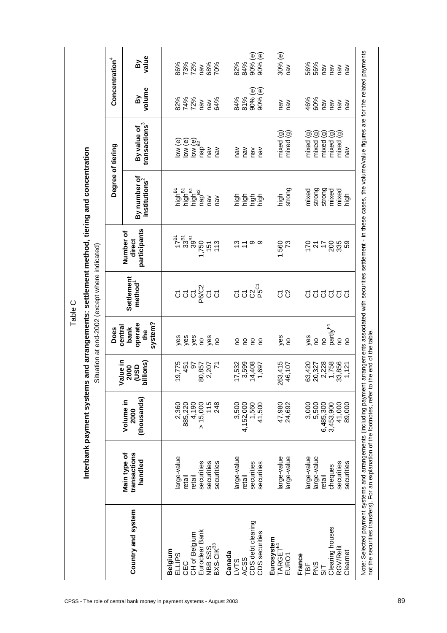| 73%<br>nav<br>nav<br>nav<br>nav<br>nav<br>volume<br>90% (e)<br>90% (e)<br>Βy<br>81%<br>74%<br>84%<br>82%<br>72%<br>46%<br>60%<br>64%<br>nav<br>$n$ av<br>nav<br>naV<br>nav<br>nav<br>nav<br>transactions <sup>3</sup><br>By value of<br>mixed (g)<br>$\widehat{\mathbf{e}}$<br>ම<br>ම<br>mixed (<br>low(e)<br>mixed<br>(e)<br>Mo<br>low (e)<br>mixed<br>mixed<br>mixed<br>mixed<br>nap'<br>$n$ av<br>$\mathsf{na}$<br>$n$ av<br>$n$ av<br>nav<br>naV<br>By number of<br>$in$ stitutions $^{2}$<br>strong<br>strong<br>strong<br>mixed<br>កថ្នា <sup>ត</sup><br>កម្មាត<br>កម្មាត<br>: <sup>គ</sup> ្គី <sup>ន</sup><br>: ថ្ងៃ គ្នួ<br>: ជ ខ<br>mixed<br>mixed<br>high<br>ight<br>Light<br>Light<br>high<br>$\mathsf{na}$<br>nav<br>participants<br>.<br>အိစ္ဆီ<br>$17^{B1}$<br>direct<br>1,750<br>113<br>က္ $\frac{1}{2}$ ၀ ၀<br>1,560<br>73<br>525<br>151<br>Settlement<br>method <sup>1</sup><br><sub>ច</sub> ្ចុប្ផីទី<br>ភូមិ<br>ស្ថិត<br>58<br>ნ ნ<br>system?<br>operate<br>partly <sup>F1</sup><br>bank<br>the<br>yes<br>yes<br>yes<br>yes<br>yes<br>yes<br>g<br>g<br><b>PO</b><br><b>PO</b><br>g<br><b>PO</b><br>S<br>S<br>S<br>2 <sub>n</sub><br>1,758<br>3,599<br>14,408<br>2,228<br>billions<br>17,532<br>263,415<br>63,420<br>20,327<br>19,775<br>1,697<br>46,107<br>2,207<br>451<br>5<br>80,857<br>$\overline{7}$<br><b>asp</b><br>2000<br>(thousands)<br>Volume in<br>885,220<br>4,190<br>47,980<br>24,692<br>3,000<br>5,500<br>6,485,300<br>2,360<br>> 15,000<br>115<br>248<br>3,500<br>4,152,000<br>41,000<br>1,560<br>41,500<br>3,453,900<br>2000<br>transactions<br>Main type of<br>arge-value<br>large-value<br>arge-value<br>arge-value<br>arge-value<br>arge-value<br>handled<br>securities<br>securities<br>securities<br>securities<br>securities<br>securities<br>cheques<br>retail<br>retail<br>retail<br>retail<br>Country and system<br>CDS debt clearing<br>Clearing houses<br>Euroclear Bank<br>CDS securities<br>CH of Belgium<br>Eurosystem<br>BXS-CIK <sup>B3</sup><br><b>TARGET<sup>E1</sup></b><br><b>RGV/Relit</b><br>NBB SSS<br>Belgium<br>Canada<br><b>ELLIPS</b><br><b>EURO1</b><br>France<br><b>ACSS</b><br>LVTS<br>CEC<br>TBF<br> <br><b>PNS</b><br>$\frac{1}{5}$ |  | alue in<br>⋗    | central<br>Does |               |                  | Degree of tiering | Concentration <sup>4</sup>        |
|---------------------------------------------------------------------------------------------------------------------------------------------------------------------------------------------------------------------------------------------------------------------------------------------------------------------------------------------------------------------------------------------------------------------------------------------------------------------------------------------------------------------------------------------------------------------------------------------------------------------------------------------------------------------------------------------------------------------------------------------------------------------------------------------------------------------------------------------------------------------------------------------------------------------------------------------------------------------------------------------------------------------------------------------------------------------------------------------------------------------------------------------------------------------------------------------------------------------------------------------------------------------------------------------------------------------------------------------------------------------------------------------------------------------------------------------------------------------------------------------------------------------------------------------------------------------------------------------------------------------------------------------------------------------------------------------------------------------------------------------------------------------------------------------------------------------------------------------------------------------------------------------------------------------------------------------------------------------------------------------------------------------------------------------------------------------------------------------------------------------------------------------------------------------------------------------------------|--|-----------------|-----------------|---------------|------------------|-------------------|-----------------------------------|
|                                                                                                                                                                                                                                                                                                                                                                                                                                                                                                                                                                                                                                                                                                                                                                                                                                                                                                                                                                                                                                                                                                                                                                                                                                                                                                                                                                                                                                                                                                                                                                                                                                                                                                                                                                                                                                                                                                                                                                                                                                                                                                                                                                                                         |  |                 |                 |               | Number of        |                   | value<br>Βy                       |
|                                                                                                                                                                                                                                                                                                                                                                                                                                                                                                                                                                                                                                                                                                                                                                                                                                                                                                                                                                                                                                                                                                                                                                                                                                                                                                                                                                                                                                                                                                                                                                                                                                                                                                                                                                                                                                                                                                                                                                                                                                                                                                                                                                                                         |  |                 |                 |               |                  |                   | 86%                               |
|                                                                                                                                                                                                                                                                                                                                                                                                                                                                                                                                                                                                                                                                                                                                                                                                                                                                                                                                                                                                                                                                                                                                                                                                                                                                                                                                                                                                                                                                                                                                                                                                                                                                                                                                                                                                                                                                                                                                                                                                                                                                                                                                                                                                         |  |                 |                 |               |                  |                   | 72%                               |
|                                                                                                                                                                                                                                                                                                                                                                                                                                                                                                                                                                                                                                                                                                                                                                                                                                                                                                                                                                                                                                                                                                                                                                                                                                                                                                                                                                                                                                                                                                                                                                                                                                                                                                                                                                                                                                                                                                                                                                                                                                                                                                                                                                                                         |  |                 |                 |               |                  |                   | 68%<br>70%                        |
|                                                                                                                                                                                                                                                                                                                                                                                                                                                                                                                                                                                                                                                                                                                                                                                                                                                                                                                                                                                                                                                                                                                                                                                                                                                                                                                                                                                                                                                                                                                                                                                                                                                                                                                                                                                                                                                                                                                                                                                                                                                                                                                                                                                                         |  |                 |                 |               |                  |                   | ම<br>90% (e)<br>90%<br>82%<br>84% |
|                                                                                                                                                                                                                                                                                                                                                                                                                                                                                                                                                                                                                                                                                                                                                                                                                                                                                                                                                                                                                                                                                                                                                                                                                                                                                                                                                                                                                                                                                                                                                                                                                                                                                                                                                                                                                                                                                                                                                                                                                                                                                                                                                                                                         |  |                 |                 |               |                  |                   | 30% (e)                           |
| high<br>89,000<br>Clearnet                                                                                                                                                                                                                                                                                                                                                                                                                                                                                                                                                                                                                                                                                                                                                                                                                                                                                                                                                                                                                                                                                                                                                                                                                                                                                                                                                                                                                                                                                                                                                                                                                                                                                                                                                                                                                                                                                                                                                                                                                                                                                                                                                                              |  | 33,856<br>1,121 |                 | <b>ប</b> ិចិត | 00<br>000<br>000 | ම්මම              | 56%<br>56%                        |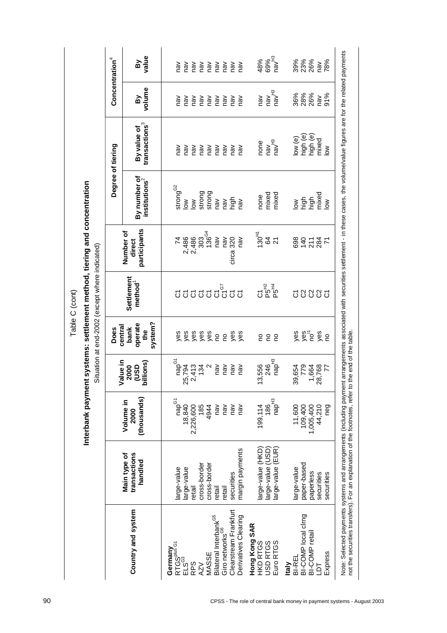|                                                    |                                                             |                                     |                                   |                                   | Situation at end-2002 (except where indicated) |                                     | Interbank payment systems: settlement method, tiering and concentration |                                          |                                            |                                 |
|----------------------------------------------------|-------------------------------------------------------------|-------------------------------------|-----------------------------------|-----------------------------------|------------------------------------------------|-------------------------------------|-------------------------------------------------------------------------|------------------------------------------|--------------------------------------------|---------------------------------|
|                                                    |                                                             |                                     | alue in<br>>                      | central<br>Does                   |                                                |                                     |                                                                         | Degree of tiering                        | Concentration <sup>4</sup>                 |                                 |
| Country and system                                 | transactions<br>Main type of<br>handled                     | (thousands)<br>Volume in<br>2000    | billions<br>asp<br>2000           | system?<br>operate<br>bank<br>the | Settlement<br>method <sup>1</sup>              | participants<br>Number of<br>direct | By number of<br>institutions <sup>2</sup>                               | transactions <sup>3</sup><br>By value of | volume<br>Βy                               | value<br>Βy                     |
| Germany<br>RTGS <sup>plus G1</sup>                 | arge-value                                                  | nap $^{G_1}$                        | nap <sup>G1</sup>                 | yes                               |                                                | 74                                  | strong <sup>G2</sup>                                                    | $\mathsf{na}$                            | NBL                                        | NBU                             |
| ్టే<br>ELS                                         | arge-value                                                  | 18,840                              | 25,794<br>$\mathbf{\sim}$         | yes                               |                                                | 2,486<br>2,486                      | $\geq$                                                                  | $\mathsf{na}$                            | $\mathsf{N}$                               | $\mathsf{na}$                   |
| AZV<br><b>RPS</b>                                  | cross-border<br>retail                                      | 2,226,600<br>185                    | 2,413<br>134                      | yes<br>yes                        |                                                | 303                                 | strong<br>$\sum_{i=1}^{\infty}$                                         | nav<br>nav                               | naV<br>$n$ av                              | nav<br>nav                      |
| MASSE                                              | cross-border                                                | 4944                                | $\mathbf{\Omega}$                 | yes                               |                                                | 136 <sup>G4</sup>                   | strong                                                                  | nav                                      | naV                                        | nav                             |
| Bilateral Interbank <sup>G5</sup>                  | retail                                                      | nav                                 | NBU                               | <b>O</b>                          |                                                | NBU                                 | nav                                                                     | nav                                      | naV                                        | nav                             |
| Giro networks <sup>G6</sup>                        | retail                                                      | nav                                 | nav                               | <b>OU</b>                         |                                                | nav                                 | nav                                                                     | nav                                      | naV                                        | nav                             |
| Clearstream Frankfurt<br>Derivatives Clearing      | margin payments<br>securities                               | nav<br>nav                          | naV<br>nav                        | yes<br>yes                        | ភូមិ<br>សូន ស្រី ស្រី ស្រី                     | 320<br>nav<br>circa                 | high<br>nav                                                             | nav<br>nav                               | naV<br>NBL                                 | nav<br>NBU                      |
| Hong Kong SAR<br>HKD RTGS<br>USD RTGS<br>Euro RTGS | large-value (HKD)<br>large-value (USD)<br>large-value (EUR) | nap <sup>H3</sup><br>199,114<br>186 | nap <sup>H3</sup><br>3,556<br>246 | <b>DO</b><br>e<br>C<br>S          | P5 <sup>H</sup><br>P5 <sup>H</sup> 4<br>5      | $130^{H1}$<br><b>&amp; 21</b>       | mixed<br>mixed<br>none                                                  | $n$ av $^{H3}$<br>none<br>nav            | $\mathsf{nav}^{\mathsf{H}3}$<br>nav<br>NBU | 69%<br>nav <sup>13</sup><br>48% |
| <b>BI-REL</b><br><b>Italy</b>                      | large-value                                                 | 11,600                              | 39,654                            |                                   | 5                                              | 698                                 | $\geq$                                                                  | (e) wo                                   | 36%                                        | 39%                             |
| BI-COMP local cimg                                 | paper-based                                                 | 109,400                             | 779                               | yes                               |                                                | 140                                 |                                                                         |                                          | 28%                                        | 23%                             |
| BI-COMP retai                                      | paperless                                                   | 1,005,400                           | 1,664<br>28,768                   | yes<br>no                         |                                                | 284                                 | high<br>high                                                            | high (e)<br>high (e)                     | 26%                                        | 26%                             |
| Express<br>Ğ                                       | securities<br>securities                                    | 44,210<br>neg                       | 77<br>$\sim$                      | yes<br><sub>2</sub>               | <b>បួន</b> ប្ល                                 | 71                                  | mixed<br>$\tilde{\varepsilon}$                                          | mixed<br>$\geq$                          | 91%<br>$\overline{na}$                     | 78%<br>nav                      |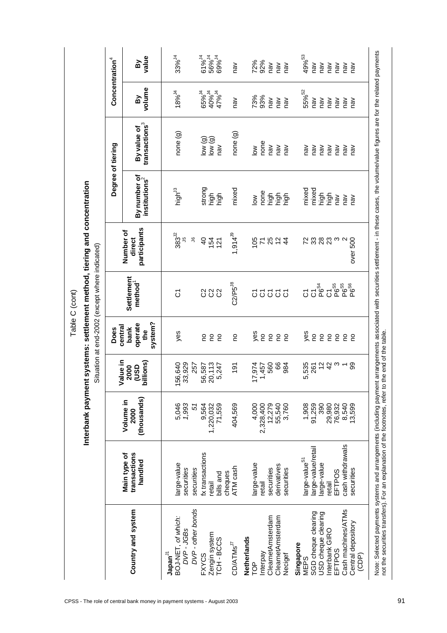| i                |
|------------------|
| ֧֛׆֦֦֦<br>:<br>: |
| š<br>ś<br>ċ<br>å |

|                                                       |                                         |                                  | alue in<br>⋗                    | Does                                         |                                   |                                     |                                        | Degree of tiering                        | Concentration <sup>4</sup>                     |                                                             |
|-------------------------------------------------------|-----------------------------------------|----------------------------------|---------------------------------|----------------------------------------------|-----------------------------------|-------------------------------------|----------------------------------------|------------------------------------------|------------------------------------------------|-------------------------------------------------------------|
| Country and system                                    | transactions<br>Main type of<br>handled | (thousands)<br>Volume in<br>2000 | billions)<br><b>asn</b><br>2000 | system?<br>operate<br>central<br>bank<br>the | Settlement<br>method <sup>1</sup> | participants<br>Number of<br>direct | By number of<br>$in$ stitutions $^{2}$ | transactions <sup>3</sup><br>By value of | volume<br>ΔÀ                                   | value<br>Δ                                                  |
| BOJ-NET, of which:<br>DVP-JGBs<br>Japan <sup>J1</sup> | large-value<br>securities               | 1,993<br>5,046                   | 33,929<br>56,640<br>۴           | yes                                          | δ                                 | $383^{J2}$<br>5                     | high <sup>J3</sup>                     | none (g)                                 | $18%^{J4}$                                     | $33\%$ <sup><math>14</math></sup>                           |
| DVP - other bonds                                     | securities                              | 57                               | 257                             |                                              |                                   | $\mathbf{S}$                        |                                        |                                          |                                                |                                                             |
| <b>FXYCS</b>                                          | fx transactions                         | 9,564<br>1,220,032               | 56,587                          | g                                            | 888                               | $\overline{6}$<br>154               | strong                                 | low (g)                                  | 65%4<br>40% <sup>44</sup><br>47% <sup>44</sup> | 61% <sup>14</sup><br>56% <sup>14</sup><br>69% <sup>14</sup> |
| Zengin system<br>TCH-BCCS                             | bills and<br>retail                     | 71,559                           | 20,113<br>5,247                 | $\overline{c}$<br><b>PO</b>                  |                                   | 121                                 | high<br>high                           | $(6)$ Mol<br>nav                         |                                                |                                                             |
| CD/ATMS <sup>J7</sup>                                 | ATM cash<br>cheques                     | 404,569                          | 191                             | <b>PO</b>                                    | $C2/P5^{J8}$                      | $1,914^{9}$                         | mixed                                  | none (g)                                 | naV                                            | nav                                                         |
| Netherlands<br>TOP                                    | large-value                             | 4,000                            | 17,974                          | yes                                          | δ                                 | 105                                 | $\geq$                                 | $\geq$                                   | 73%                                            |                                                             |
| Interpay                                              | retail                                  | 2,328,400                        | 1,457                           | <b>PO</b>                                    |                                   | 71                                  | none                                   | none                                     | 93%                                            | <b>72%</b><br>92%                                           |
| ClearnetAmsterdam                                     | securities                              | 12,279                           | 560                             | <b>DO</b>                                    |                                   | 25                                  |                                        | nav                                      | nav                                            | nav                                                         |
| ClearnetAmsterdam<br>Necigef                          | derivatives<br>securities               | 55,540<br>3,760                  | 66<br>984                       | <b>O</b><br><b>PO</b>                        | <b>ប</b> ិចិត                     | $\frac{2}{3}$<br>$\frac{4}{4}$      | ng fagi<br>Taga                        | nav<br>nav                               | nav<br>naV                                     | nav<br>nav                                                  |
| Singapore<br><b>MEPS</b>                              | large-value <sup>s1</sup>               | 1,908                            | 5,535                           | yes                                          | 5                                 | 72                                  | mixed                                  | nav                                      | 55% <sup>S2</sup>                              | 49% <sup>S3</sup>                                           |
| SGD cheque clearing                                   | large-value/retail                      | 91,259                           | 261                             | <b>O</b>                                     |                                   |                                     | mixed                                  | nav                                      | nav                                            | nav                                                         |
| USD cheque clearing                                   | large-value                             | 390                              | $\overline{c}$                  | <b>p</b>                                     | $C_{\delta}^{\text{SO}}$          | 383                                 |                                        | nav                                      | naV                                            | nav                                                         |
| Interbank GIRO                                        | retail                                  | 29,980                           | 42                              | <b>DO</b>                                    | δ                                 |                                     | nigh<br>T                              | nav                                      | nav                                            | nav                                                         |
| <b>EFTPOS</b>                                         | <b>EFTPOS</b>                           | 76,932                           | S                               | $\overline{c}$                               |                                   | $\infty$                            | nav                                    | nav                                      | naV                                            | nav                                                         |
| Cash machines/ATMs                                    | cash withdrawals                        | 8,540                            | $\overline{\phantom{0}}$        | S                                            | ိုင်္မွဳ<br>၁၉ ၁၉<br>၁၉ ၁၉        |                                     | $n$ av                                 | nav                                      | nav                                            | nav                                                         |
| Central depository<br>(CDP)                           | securities                              | 13,599                           | 88                              | g                                            |                                   | over 500                            | $\mathsf{na}$                          | nav                                      | nav                                            | NBU                                                         |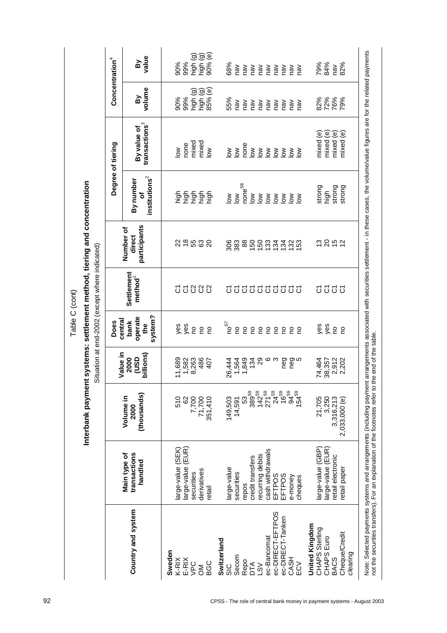|                                                                                                   |                                                                             | Interbank paymen                                                         |                                        | Table C (cont)                                                       | Situation at end-2002 (except where indicated) | it systems: settlement method, tiering and concentration |                                                                      |                                                                                                |                                               |                                               |
|---------------------------------------------------------------------------------------------------|-----------------------------------------------------------------------------|--------------------------------------------------------------------------|----------------------------------------|----------------------------------------------------------------------|------------------------------------------------|----------------------------------------------------------|----------------------------------------------------------------------|------------------------------------------------------------------------------------------------|-----------------------------------------------|-----------------------------------------------|
|                                                                                                   |                                                                             |                                                                          | Value in                               | central<br>Does                                                      |                                                |                                                          |                                                                      | Degree of tiering                                                                              | Concentration <sup>4</sup>                    |                                               |
| Country and system                                                                                | transactions<br>Main type of<br>handled                                     | (thousands)<br>Volume in<br>2000                                         | billions)<br><b>asp</b><br>2000        | system?<br>operate<br>bank<br>the                                    | Settlement<br>method <sup>1</sup>              | participants<br>Number of<br>direct                      | $in$ stitutions $^2$<br>By number<br>ŏ                               | transactions <sup>3</sup><br>By value of                                                       | volume<br>Βy                                  | value<br>Βy                                   |
| Sweden<br>K-RIX<br>E-RIX<br><b>VPC</b><br><b>BGC</b><br><b>NO</b>                                 | arge-value (SEK)<br>arge-value (EUR)<br>derivatives<br>securities<br>retail | 510<br>7,700<br>71,700<br>8<br>351,410                                   | 11,689<br>1,582<br>8,263<br>486<br>407 | yes<br>yes<br>$\tilde{c}$<br><b>PO</b><br><b>DO</b>                  | <b>ប</b> ្រួនន                                 | $\frac{8}{1}$<br>55<br>22<br>63<br>$\overline{20}$       | esigned<br>Frankrig                                                  | mixed<br>mixed<br>none<br>$\geq$<br>$\delta$                                                   | high (g)<br>high (g)<br>85% (e)<br>90%<br>99% | high (g)<br>90% (e)<br>high (g)<br>90%<br>99% |
| Switzerland<br>Secom<br>Repo<br>DТА<br>$\leq$<br>$\frac{0}{50}$                                   | recurring debits<br>credit transfers<br>large-value<br>securities<br>repos  | 389 <sup>S9</sup><br>$742^{59}$<br>$271^{59}$<br>53<br>149,503<br>14,591 | 1,564<br>1,849<br>29<br>134<br>26,444  | $n^{\text{S7}}$<br><b>DO</b><br><b>PO</b><br><b>PO</b><br><b>PO</b>  |                                                | $^{\rm 8}$<br>383<br>150<br>150<br>306                   | nones<br>$\tilde{\varepsilon}$<br>$\geq$<br>$\geq$<br>$\frac{8}{10}$ | none<br>$\geq$<br>$\geq$<br>$\geq$<br>$\frac{8}{2}$                                            | 55%<br>nav<br>$n$ av<br>nav<br>naV            | 68%<br>nav<br>nav<br>nav<br>nav               |
| ec-DIRECT-EFTPOS<br>ec-DIRECT-Tanken<br>ec-Bancomat<br>CASH<br>ECV                                | cash withdrawals<br><b>EFTPOS</b><br><b>EFTPOS</b><br>e-money<br>cheques    | ္မွ အ<br>၁၀<br>၁၀<br>24 <sup>S9</sup><br>$154^{59}$                      | ဖ က<br>neg<br>ბი<br>ნმი                | $\overline{c}$<br><b>PO</b><br>$\overline{c}$<br>$\overline{c}$<br>S |                                                | 133<br>134<br>134<br>13.3                                | $\geq$<br>$\geq$<br>$\frac{8}{10}$<br>$\frac{8}{10}$<br>š            | $\geq$<br>$\frac{8}{10}$<br>$\sum_{i=1}^{\infty}$<br>$\frac{8}{5}$<br>$\tilde{z}$              | naV<br>naV<br>nav<br>$n$ av<br>$n$ av         | nav<br>nav<br>nav<br>nav<br>$\mathsf{var}$    |
| <b>United Kingdom</b><br>CHAPS Sterling<br>Cheque/Credit<br>CHAPS Euro<br>clearing<br><b>BACS</b> | arge-value (EUR)<br>arge-value (GBP)<br>retail electronic<br>etail paper    | 21,705<br>3,250<br>3,316,213<br>2,033,000 (e)                            | 74,464<br>2,912<br>2,202<br>38,357     | yes<br>yes<br>$\overline{c}$<br><b>DO</b>                            | <b>ប៊ីប៊ីប៊ី</b>                               | <u> ខ</u> ុម ភ<br>13                                     | strong<br>strong<br>strong<br>high                                   | $\widehat{e}$<br>mixed (e)<br>$\widehat{\mathbf{e}}$<br>$\circlede$<br>mixed<br>mixed<br>mixed | 72%<br>76%<br>82%<br>79%                      | 79%<br>84%<br>82%<br>nav                      |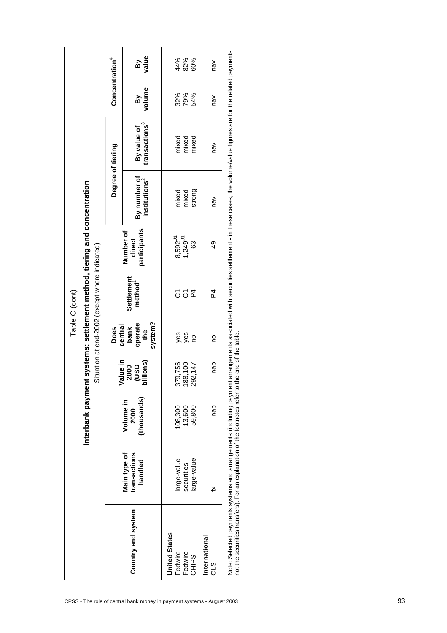| arrangements associated with securities settlement - in these cases, the volume/value figures are for the related payments<br>$n$ av<br>By number of<br>institutions <sup>2</sup><br>strong<br>mixed<br>mixed<br>nav<br>participants<br>Number of<br>8,592 <sup>U1</sup><br>1,249 <sup>U1</sup><br>direct<br>යි<br>$\overline{6}$<br>Settlement<br>method <sup>1</sup><br>$\overline{4}$<br><b>224</b><br>system?<br>operate<br>bank<br>the<br>ne end of the table.<br>yes<br>yes<br><b>DO</b><br><b>DO</b><br>billions)<br>nap<br>379,756<br>188,100<br>292,147<br><b>GSD</b><br>2000<br>Note: Selected payments systems and arrangements (including payment<br>not the securities transfers). For an explanation of the footnotes refer to the<br>(thousands)<br>Volume in<br>nap<br>13,600<br>59,800<br>108,300<br>2000<br>transactions<br>large-value<br>large-value<br>handled<br>securities<br>≚<br>Country and system<br><b>United States</b><br>International<br>Fedwire<br>Fedwire<br>CHIPS<br>C <sub>1</sub> S |              | Value in | Does    |  | Degree of tiering                        |                        | Concentration <sup>4</sup> |
|--------------------------------------------------------------------------------------------------------------------------------------------------------------------------------------------------------------------------------------------------------------------------------------------------------------------------------------------------------------------------------------------------------------------------------------------------------------------------------------------------------------------------------------------------------------------------------------------------------------------------------------------------------------------------------------------------------------------------------------------------------------------------------------------------------------------------------------------------------------------------------------------------------------------------------------------------------------------------------------------------------------------------|--------------|----------|---------|--|------------------------------------------|------------------------|----------------------------|
|                                                                                                                                                                                                                                                                                                                                                                                                                                                                                                                                                                                                                                                                                                                                                                                                                                                                                                                                                                                                                          | Main type of |          | central |  | transactions <sup>3</sup><br>By value of | volume<br>$\mathbf{B}$ | value<br>ΔÝ                |
|                                                                                                                                                                                                                                                                                                                                                                                                                                                                                                                                                                                                                                                                                                                                                                                                                                                                                                                                                                                                                          |              |          |         |  | mixed<br>mixed<br>mixed                  | 32%<br>79%<br>54%      | 44%<br>82%<br>60%          |
|                                                                                                                                                                                                                                                                                                                                                                                                                                                                                                                                                                                                                                                                                                                                                                                                                                                                                                                                                                                                                          |              |          |         |  |                                          | nav                    | nav                        |
|                                                                                                                                                                                                                                                                                                                                                                                                                                                                                                                                                                                                                                                                                                                                                                                                                                                                                                                                                                                                                          |              |          |         |  |                                          |                        |                            |
|                                                                                                                                                                                                                                                                                                                                                                                                                                                                                                                                                                                                                                                                                                                                                                                                                                                                                                                                                                                                                          |              |          |         |  |                                          |                        |                            |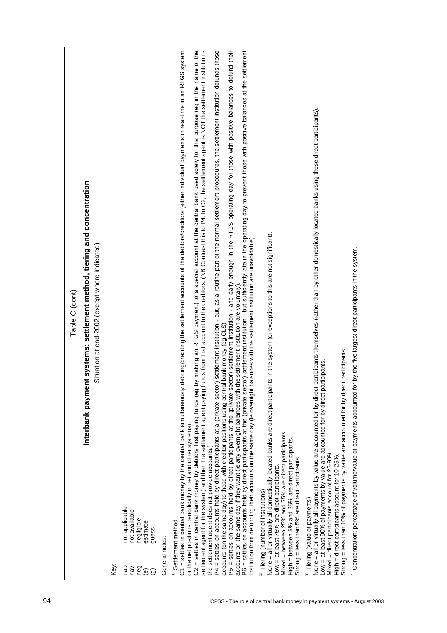|                                        | Table C (cont)                                                                                                                                                                                                                                                                                                                                                                                                                                                                                                                                                                                                                                                                                                                                                                                                                                                                                                                                                                                                                                                                                                                                                                                                                                                                                                                                                                                                                                                                                                                                                                                                                                                                                                                                                    |
|----------------------------------------|-------------------------------------------------------------------------------------------------------------------------------------------------------------------------------------------------------------------------------------------------------------------------------------------------------------------------------------------------------------------------------------------------------------------------------------------------------------------------------------------------------------------------------------------------------------------------------------------------------------------------------------------------------------------------------------------------------------------------------------------------------------------------------------------------------------------------------------------------------------------------------------------------------------------------------------------------------------------------------------------------------------------------------------------------------------------------------------------------------------------------------------------------------------------------------------------------------------------------------------------------------------------------------------------------------------------------------------------------------------------------------------------------------------------------------------------------------------------------------------------------------------------------------------------------------------------------------------------------------------------------------------------------------------------------------------------------------------------------------------------------------------------|
|                                        | It systems: settlement method, tiering and concentration<br>Situation at end-2002 (except where indicated)<br>Interbank paymen                                                                                                                                                                                                                                                                                                                                                                                                                                                                                                                                                                                                                                                                                                                                                                                                                                                                                                                                                                                                                                                                                                                                                                                                                                                                                                                                                                                                                                                                                                                                                                                                                                    |
| Key:                                   |                                                                                                                                                                                                                                                                                                                                                                                                                                                                                                                                                                                                                                                                                                                                                                                                                                                                                                                                                                                                                                                                                                                                                                                                                                                                                                                                                                                                                                                                                                                                                                                                                                                                                                                                                                   |
| nap<br>neg<br>nav<br>$\mathbf{e}$<br>ම | not applicable<br>not available<br>negligible<br>estimate<br>guess                                                                                                                                                                                                                                                                                                                                                                                                                                                                                                                                                                                                                                                                                                                                                                                                                                                                                                                                                                                                                                                                                                                                                                                                                                                                                                                                                                                                                                                                                                                                                                                                                                                                                                |
| General notes:                         |                                                                                                                                                                                                                                                                                                                                                                                                                                                                                                                                                                                                                                                                                                                                                                                                                                                                                                                                                                                                                                                                                                                                                                                                                                                                                                                                                                                                                                                                                                                                                                                                                                                                                                                                                                   |
|                                        | C2 = settles in central bank money by debtors first paying funds (eg by making an RTGS payment) to a special account at the central bank used solely for this purpose (eg in the name of the<br>settlement agent for the system) and then the settlement agent paying funds from that account to the creditors. (NB Contrast this to P4. In C2, the settlement agent is NOT the settlement institution -<br>settlement institution - but, as a routine part of the normal settlement procedures, the settlement institution defunds those<br>C1 = settles in central bank money by the central bank simultaneously debiting/crediting the settlement accounts of the debtors/creditors (either individual payments in real-time in an RTGS system<br>P5 = settles on accounts held by direct participants at the (private sector) settlement institution - and early enough in the RTGS operating day for those with positive balances to defund their<br>P6 = settles on accounts held by direct participants at the (private sector) settlement institution - but sufficiently late in the operating day to prevent those with positive balances at the settlement<br>institution from defunding their accounts on the same day (ie overnight balances with the settlement institution are unavoidable).<br>accounts on the same day if they want (ie any overnight balances with the settlernent institution are voluntary)<br>accounts (on the same day) to those with creditor positions using central bank money (eg CLS)<br>P4 = settles on accounts held by direct participants at a (private sector<br>or the net positions periodically in net and other systems)<br>the settlement agent does not provide accounts.)<br><sup>1</sup> Settlement method |
|                                        | None = all or virtually all domestically located banks are direct participants in the system (or exceptions to this are not significant).<br>Mixed = between 25% and 75% are direct participants.<br>High = between 5% and 25% are direct participants.<br>Strong = less than 5% are direct participants.<br>Low = at least 75% are direct participants.<br><sup>2</sup> Tiering (number of institutions)                                                                                                                                                                                                                                                                                                                                                                                                                                                                                                                                                                                                                                                                                                                                                                                                                                                                                                                                                                                                                                                                                                                                                                                                                                                                                                                                                         |
|                                        | None = all or virtually all payments by value are accounted for by direct participants themselves (rather than by other domestically located banks using these direct participants).<br>participants.<br>ticipants<br>Strong = less than 10% of payments by value are accounted for by direct<br>Low = at least 90% of payments by value are accounted for by direct par<br>Mixed = direct participants account for 25-90%.<br>High = direct participants account for 10-25%.<br><sup>3</sup> Tiering (value of payments)                                                                                                                                                                                                                                                                                                                                                                                                                                                                                                                                                                                                                                                                                                                                                                                                                                                                                                                                                                                                                                                                                                                                                                                                                                         |
|                                        | by the five largest direct participants in the system.<br>4 Concentration: percentage of volume/value of payments accounted for                                                                                                                                                                                                                                                                                                                                                                                                                                                                                                                                                                                                                                                                                                                                                                                                                                                                                                                                                                                                                                                                                                                                                                                                                                                                                                                                                                                                                                                                                                                                                                                                                                   |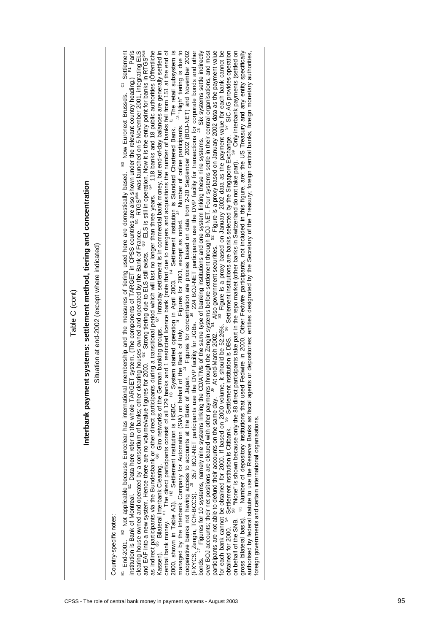CPSS - The role of central bank money in payment systems - August 2003 95 Table C (cont) **Interbank payment systems: settlement method, tiering and concentration** Situation at end-2002 (except where indicated) Country-specific notes: B1 End-2001. B2 Not applicable because Euroclear has international membership and the measures of tiering used here are domestically based. B3 Now Euronext Brussels. C1 Settlement institution is Bank of Montreal. E1 Data here refer to the whole TARGET system. (The components of TARGET in CPSS countries are also shown under the relevant country heading.) F1 Paris clearing house owned and operated by a consortium of banks; other clearing houses owned and operated by the Bank of France. G1 RTGSplus was launched on 5 November 2001, integrating ELS and EAF into a new system. Hence there are no volume/value figures for 2000. G2 Strong tiering due to ELS still exists. G3 ELS is still in operation. Now it is the entry point for banks in RTGSplus as indirect participants via the Bundesbank or other direct participants during a transitional period which will last no longer than three years. G4 118 banks and 18 public authorities (Öffentliche Kassen). G5 Bilateral Interbank Clearing. G6 Giro networks of the German banking groups. G7 Intraday settlement is in commercial bank money, but end-of-day balances are generally settled in central bank money. H1 The direct participants consist of all 129 banks and 1 restricted licence bank (note that due to mergers and acquisitions the number of banks fell from 151 at the end of 2000, shown in Table A3). H2 Settlement institution is HSBC. H3 System started operation in April 2003. H4 Settlement institution is Standard Chartered Bank. I1 The retail subsystem is managed by the Interbank Company for Automation (SIA) on behalf of the Bank of Italy. J1 Figures for 2001, except as noted. J2 Number of online participants. J3 "High" tiering is due to cooperative banks not having access to accounts at the Bank of Japan. J4 Figures for concentration are proxies based on data from 2-20 September 2002 (BOJ-NET) and November 2002 (FXYCS, Zengin, TCH-BCCS). J5 357 BOJ-NET participants use the DVP facility for JGBs. J6 224 BOJ-NET participants use the DVP facility for transactions for corporate bonds and other bonds. J7 Figures for 10 systems, namely nine systems linking the CD/ATMs of the same type of banking institutions and one system linking these nine systems. J8 Six systems settle indirectly over BOJ accounts; their net positions are cleared with other payments through the Zengin systems before settlement through BOJ-NET. Four systems settle in their central organisations, and most participants are not able to defund their accounts on the same day. J9 At end-March 2002. S1 Also government securities. S2 Figure is a proxy based on January 2002 data as the payment value for each bank cannot be obtained for 2000. If based on 2000 volume, it should be 52.26%. S3 Figure is a proxy based on January 2002 data as the payment value for each bank cannot be obtained for 2000. S4 Settlement institution is Citibank. S5 Settlement institution is DBS. S6 Settlement institutions are banks selected by the Singapore Exchange. S7 SIC AG provides operation on behalf of the SNB. S8 "None" is shown because only the 88 direct participants take part in the repo market (other banks in Switzerland do not take part). S9 Only interbank payments (settled on gross bilateral basis). U1 Number of depository institutions that used Fedwire in 2000. Other Fedwire participants, not included in this figure, are: the US Treasury and any entity specifically authorised by federal statute to use the Reserve Banks as fiscal agents or depositories; entities designated by the Secretary of the Treasury; foreign central banks, foreign monetary authorities, foreign governments and certain international organisations.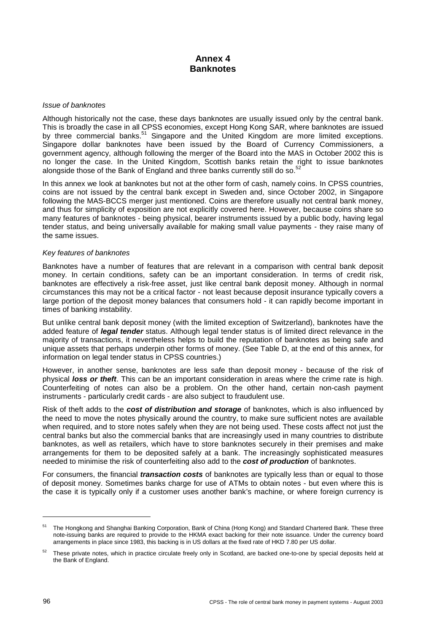# **Annex 4 Banknotes**

#### *Issue of banknotes*

Although historically not the case, these days banknotes are usually issued only by the central bank. This is broadly the case in all CPSS economies, except Hong Kong SAR, where banknotes are issued by three commercial banks.<sup>51</sup> Singapore and the United Kingdom are more limited exceptions. Singapore dollar banknotes have been issued by the Board of Currency Commissioners, a government agency, although following the merger of the Board into the MAS in October 2002 this is no longer the case. In the United Kingdom, Scottish banks retain the right to issue banknotes alongside those of the Bank of England and three banks currently still do so.<sup>5</sup>

In this annex we look at banknotes but not at the other form of cash, namely coins. In CPSS countries, coins are not issued by the central bank except in Sweden and, since October 2002, in Singapore following the MAS-BCCS merger just mentioned. Coins are therefore usually not central bank money, and thus for simplicity of exposition are not explicitly covered here. However, because coins share so many features of banknotes - being physical, bearer instruments issued by a public body, having legal tender status, and being universally available for making small value payments - they raise many of the same issues.

#### *Key features of banknotes*

Banknotes have a number of features that are relevant in a comparison with central bank deposit money. In certain conditions, safety can be an important consideration. In terms of credit risk, banknotes are effectively a risk-free asset, just like central bank deposit money. Although in normal circumstances this may not be a critical factor - not least because deposit insurance typically covers a large portion of the deposit money balances that consumers hold - it can rapidly become important in times of banking instability.

But unlike central bank deposit money (with the limited exception of Switzerland), banknotes have the added feature of *legal tender* status. Although legal tender status is of limited direct relevance in the majority of transactions, it nevertheless helps to build the reputation of banknotes as being safe and unique assets that perhaps underpin other forms of money. (See Table D, at the end of this annex, for information on legal tender status in CPSS countries.)

However, in another sense, banknotes are less safe than deposit money - because of the risk of physical *loss or theft*. This can be an important consideration in areas where the crime rate is high. Counterfeiting of notes can also be a problem. On the other hand, certain non-cash payment instruments - particularly credit cards - are also subject to fraudulent use.

Risk of theft adds to the *cost of distribution and storage* of banknotes, which is also influenced by the need to move the notes physically around the country, to make sure sufficient notes are available when required, and to store notes safely when they are not being used. These costs affect not just the central banks but also the commercial banks that are increasingly used in many countries to distribute banknotes, as well as retailers, which have to store banknotes securely in their premises and make arrangements for them to be deposited safely at a bank. The increasingly sophisticated measures needed to minimise the risk of counterfeiting also add to the *cost of production* of banknotes.

For consumers, the financial *transaction costs* of banknotes are typically less than or equal to those of deposit money. Sometimes banks charge for use of ATMs to obtain notes - but even where this is the case it is typically only if a customer uses another bank's machine, or where foreign currency is

l

<sup>51</sup> The Hongkong and Shanghai Banking Corporation, Bank of China (Hong Kong) and Standard Chartered Bank. These three note-issuing banks are required to provide to the HKMA exact backing for their note issuance. Under the currency board arrangements in place since 1983, this backing is in US dollars at the fixed rate of HKD 7.80 per US dollar.

<sup>&</sup>lt;sup>52</sup> These private notes, which in practice circulate freely only in Scotland, are backed one-to-one by special deposits held at the Bank of England.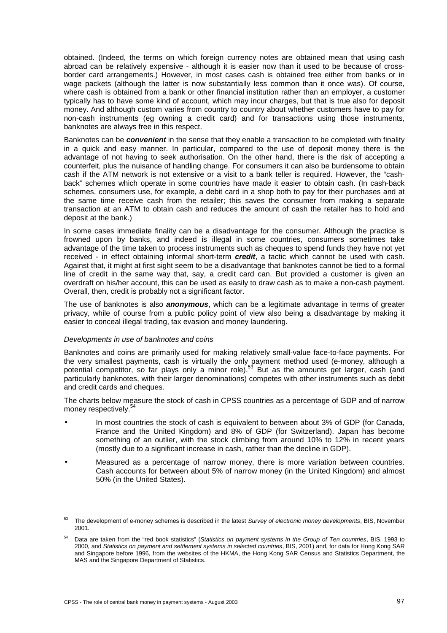obtained. (Indeed, the terms on which foreign currency notes are obtained mean that using cash abroad can be relatively expensive - although it is easier now than it used to be because of crossborder card arrangements.) However, in most cases cash is obtained free either from banks or in wage packets (although the latter is now substantially less common than it once was). Of course, where cash is obtained from a bank or other financial institution rather than an employer, a customer typically has to have some kind of account, which may incur charges, but that is true also for deposit money. And although custom varies from country to country about whether customers have to pay for non-cash instruments (eg owning a credit card) and for transactions using those instruments, banknotes are always free in this respect.

Banknotes can be *convenient* in the sense that they enable a transaction to be completed with finality in a quick and easy manner. In particular, compared to the use of deposit money there is the advantage of not having to seek authorisation. On the other hand, there is the risk of accepting a counterfeit, plus the nuisance of handling change. For consumers it can also be burdensome to obtain cash if the ATM network is not extensive or a visit to a bank teller is required. However, the "cashback" schemes which operate in some countries have made it easier to obtain cash. (In cash-back schemes, consumers use, for example, a debit card in a shop both to pay for their purchases and at the same time receive cash from the retailer; this saves the consumer from making a separate transaction at an ATM to obtain cash and reduces the amount of cash the retailer has to hold and deposit at the bank.)

In some cases immediate finality can be a disadvantage for the consumer. Although the practice is frowned upon by banks, and indeed is illegal in some countries, consumers sometimes take advantage of the time taken to process instruments such as cheques to spend funds they have not yet received - in effect obtaining informal short-term *credit*, a tactic which cannot be used with cash. Against that, it might at first sight seem to be a disadvantage that banknotes cannot be tied to a formal line of credit in the same way that, say, a credit card can. But provided a customer is given an overdraft on his/her account, this can be used as easily to draw cash as to make a non-cash payment. Overall, then, credit is probably not a significant factor.

The use of banknotes is also *anonymous*, which can be a legitimate advantage in terms of greater privacy, while of course from a public policy point of view also being a disadvantage by making it easier to conceal illegal trading, tax evasion and money laundering.

#### *Developments in use of banknotes and coins*

Banknotes and coins are primarily used for making relatively small-value face-to-face payments. For the very smallest payments, cash is virtually the only payment method used (e-money, although a potential competitor, so far plays only a minor role).<sup>53</sup> But as the amounts get larger, cash (and particularly banknotes, with their larger denominations) competes with other instruments such as debit and credit cards and cheques.

The charts below measure the stock of cash in CPSS countries as a percentage of GDP and of narrow money respectively.<sup>54</sup>

- In most countries the stock of cash is equivalent to between about 3% of GDP (for Canada, France and the United Kingdom) and 8% of GDP (for Switzerland). Japan has become something of an outlier, with the stock climbing from around 10% to 12% in recent years (mostly due to a significant increase in cash, rather than the decline in GDP).
- Measured as a percentage of narrow money, there is more variation between countries. Cash accounts for between about 5% of narrow money (in the United Kingdom) and almost 50% (in the United States).

 $\overline{a}$ 

<sup>53</sup> The development of e-money schemes is described in the latest *Survey of electronic money developments*, BIS, November 2001.

<sup>54</sup> Data are taken from the "red book statistics" (*Statistics on payment systems in the Group of Ten countries*, BIS, 1993 to 2000, and *Statistics on payment and settlement systems in selected countries*, BIS, 2001) and, for data for Hong Kong SAR and Singapore before 1996, from the websites of the HKMA, the Hong Kong SAR Census and Statistics Department, the MAS and the Singapore Department of Statistics.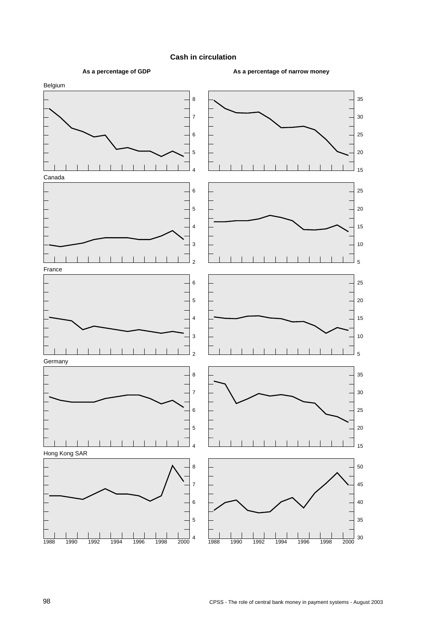#### **Cash in circulation**

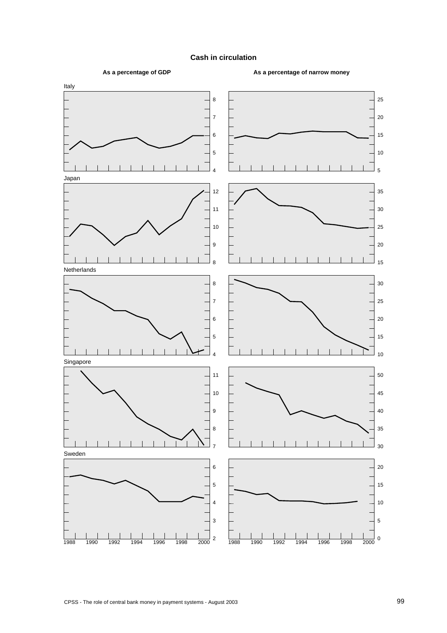#### **Cash in circulation**

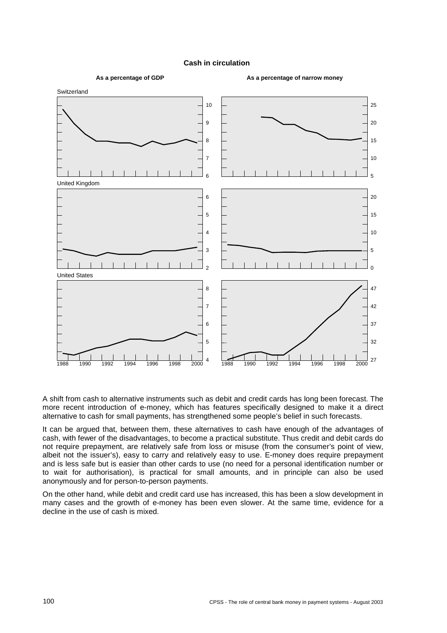#### **Cash in circulation**



A shift from cash to alternative instruments such as debit and credit cards has long been forecast. The more recent introduction of e-money, which has features specifically designed to make it a direct alternative to cash for small payments, has strengthened some people's belief in such forecasts.

It can be argued that, between them, these alternatives to cash have enough of the advantages of cash, with fewer of the disadvantages, to become a practical substitute. Thus credit and debit cards do not require prepayment, are relatively safe from loss or misuse (from the consumer's point of view, albeit not the issuer's), easy to carry and relatively easy to use. E-money does require prepayment and is less safe but is easier than other cards to use (no need for a personal identification number or to wait for authorisation), is practical for small amounts, and in principle can also be used anonymously and for person-to-person payments.

On the other hand, while debit and credit card use has increased, this has been a slow development in many cases and the growth of e-money has been even slower. At the same time, evidence for a decline in the use of cash is mixed.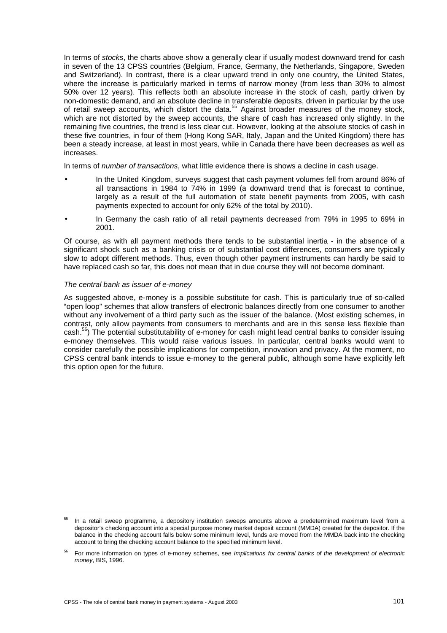In terms of *stocks*, the charts above show a generally clear if usually modest downward trend for cash in seven of the 13 CPSS countries (Belgium, France, Germany, the Netherlands, Singapore, Sweden and Switzerland). In contrast, there is a clear upward trend in only one country, the United States, where the increase is particularly marked in terms of narrow money (from less than 30% to almost 50% over 12 years). This reflects both an absolute increase in the stock of cash, partly driven by non-domestic demand, and an absolute decline in transferable deposits, driven in particular by the use of retail sweep accounts, which distort the data.55 Against broader measures of the money stock, which are not distorted by the sweep accounts, the share of cash has increased only slightly. In the remaining five countries, the trend is less clear cut. However, looking at the absolute stocks of cash in these five countries, in four of them (Hong Kong SAR, Italy, Japan and the United Kingdom) there has been a steady increase, at least in most years, while in Canada there have been decreases as well as increases.

In terms of *number of transactions*, what little evidence there is shows a decline in cash usage.

- In the United Kingdom, surveys suggest that cash payment volumes fell from around 86% of all transactions in 1984 to 74% in 1999 (a downward trend that is forecast to continue, largely as a result of the full automation of state benefit payments from 2005, with cash payments expected to account for only 62% of the total by 2010).
- In Germany the cash ratio of all retail payments decreased from 79% in 1995 to 69% in 2001.

Of course, as with all payment methods there tends to be substantial inertia - in the absence of a significant shock such as a banking crisis or of substantial cost differences, consumers are typically slow to adopt different methods. Thus, even though other payment instruments can hardly be said to have replaced cash so far, this does not mean that in due course they will not become dominant.

### *The central bank as issuer of e-money*

As suggested above, e-money is a possible substitute for cash. This is particularly true of so-called "open loop" schemes that allow transfers of electronic balances directly from one consumer to another without any involvement of a third party such as the issuer of the balance. (Most existing schemes, in contrast, only allow payments from consumers to merchants and are in this sense less flexible than cash.56) The potential substitutability of e-money for cash might lead central banks to consider issuing e-money themselves. This would raise various issues. In particular, central banks would want to consider carefully the possible implications for competition, innovation and privacy. At the moment, no CPSS central bank intends to issue e-money to the general public, although some have explicitly left this option open for the future.

 $\overline{a}$ 

In a retail sweep programme, a depository institution sweeps amounts above a predetermined maximum level from a depositor's checking account into a special purpose money market deposit account (MMDA) created for the depositor. If the balance in the checking account falls below some minimum level, funds are moved from the MMDA back into the checking account to bring the checking account balance to the specified minimum level.

<sup>56</sup> For more information on types of e-money schemes, see *Implications for central banks of the development of electronic money*, BIS, 1996.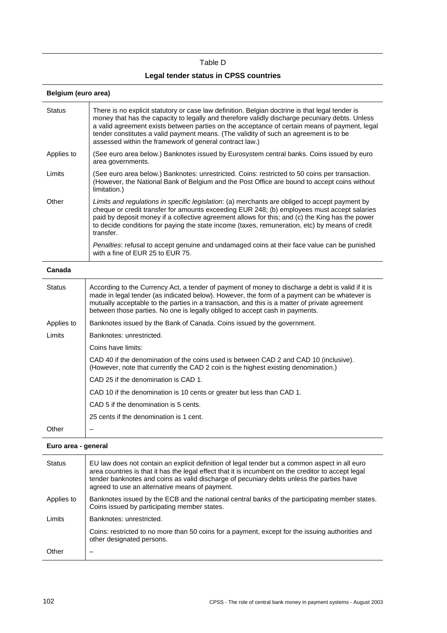## Table D

# **Legal tender status in CPSS countries**

| Belgium (euro area) |                                                                                                                                                                                                                                                                                                                                                                                                                                                        |  |
|---------------------|--------------------------------------------------------------------------------------------------------------------------------------------------------------------------------------------------------------------------------------------------------------------------------------------------------------------------------------------------------------------------------------------------------------------------------------------------------|--|
| Status              | There is no explicit statutory or case law definition. Belgian doctrine is that legal tender is<br>money that has the capacity to legally and therefore validly discharge pecuniary debts. Unless<br>a valid agreement exists between parties on the acceptance of certain means of payment, legal<br>tender constitutes a valid payment means. (The validity of such an agreement is to be<br>assessed within the framework of general contract law.) |  |
| Applies to          | (See euro area below.) Banknotes issued by Eurosystem central banks. Coins issued by euro<br>area governments.                                                                                                                                                                                                                                                                                                                                         |  |
| Limits              | (See euro area below.) Banknotes: unrestricted. Coins: restricted to 50 coins per transaction.<br>(However, the National Bank of Belgium and the Post Office are bound to accept coins without<br>limitation.)                                                                                                                                                                                                                                         |  |
| Other               | Limits and regulations in specific legislation: (a) merchants are obliged to accept payment by<br>cheque or credit transfer for amounts exceeding EUR 248; (b) employees must accept salaries<br>paid by deposit money if a collective agreement allows for this; and (c) the King has the power<br>to decide conditions for paying the state income (taxes, remuneration, etc) by means of credit<br>transfer.                                        |  |
|                     | Penalties: refusal to accept genuine and undamaged coins at their face value can be punished<br>with a fine of EUR 25 to EUR 75.                                                                                                                                                                                                                                                                                                                       |  |
| Canada              |                                                                                                                                                                                                                                                                                                                                                                                                                                                        |  |
| <b>Status</b>       | According to the Currency Act, a tender of payment of money to discharge a debt is valid if it is<br>made in legal tender (as indicated below). However, the form of a payment can be whatever is<br>mutually acceptable to the parties in a transaction, and this is a matter of private agreement<br>between those parties. No one is legally obliged to accept cash in payments.                                                                    |  |
| Applies to          | Banknotes issued by the Bank of Canada. Coins issued by the government.                                                                                                                                                                                                                                                                                                                                                                                |  |
| Limits              | Banknotes: unrestricted.                                                                                                                                                                                                                                                                                                                                                                                                                               |  |
|                     | Coins have limits:                                                                                                                                                                                                                                                                                                                                                                                                                                     |  |
|                     | CAD 40 if the denomination of the coins used is between CAD 2 and CAD 10 (inclusive).<br>(However, note that currently the CAD 2 coin is the highest existing denomination.)                                                                                                                                                                                                                                                                           |  |
|                     | CAD 25 if the denomination is CAD 1.                                                                                                                                                                                                                                                                                                                                                                                                                   |  |
|                     | CAD 10 if the denomination is 10 cents or greater but less than CAD 1.                                                                                                                                                                                                                                                                                                                                                                                 |  |
|                     | CAD 5 if the denomination is 5 cents.                                                                                                                                                                                                                                                                                                                                                                                                                  |  |
|                     | 25 cents if the denomination is 1 cent.                                                                                                                                                                                                                                                                                                                                                                                                                |  |
| Other               |                                                                                                                                                                                                                                                                                                                                                                                                                                                        |  |
| Euro area - general |                                                                                                                                                                                                                                                                                                                                                                                                                                                        |  |
| <b>Status</b>       | EU law does not contain an explicit definition of legal tender but a common aspect in all euro<br>area countries is that it has the legal effect that it is incumbent on the creditor to accept legal<br>tender banknotes and coins as valid discharge of pecuniary debts unless the parties have<br>agreed to use an alternative means of payment.                                                                                                    |  |
| Applies to          | Banknotes issued by the ECB and the national central banks of the participating member states.<br>Coins issued by participating member states.                                                                                                                                                                                                                                                                                                         |  |
| Limits              | Banknotes: unrestricted.                                                                                                                                                                                                                                                                                                                                                                                                                               |  |

Other  $\|$  –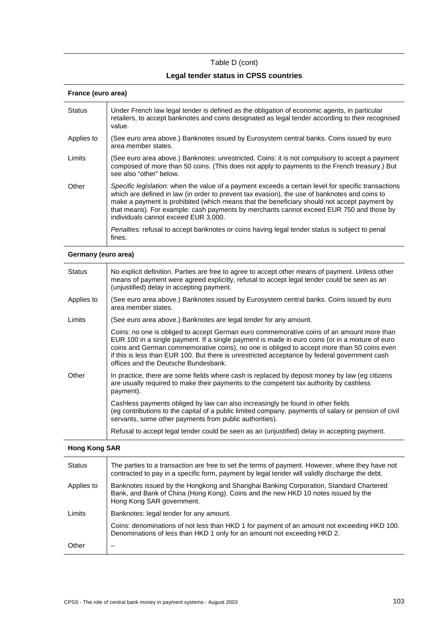# **Legal tender status in CPSS countries**

| France (euro area) |                                                                                                                                                                                                                                                                                                                                                                                                                                        |  |
|--------------------|----------------------------------------------------------------------------------------------------------------------------------------------------------------------------------------------------------------------------------------------------------------------------------------------------------------------------------------------------------------------------------------------------------------------------------------|--|
| <b>Status</b>      | Under French law legal tender is defined as the obligation of economic agents, in particular<br>retailers, to accept banknotes and coins designated as legal tender according to their recognised<br>value.                                                                                                                                                                                                                            |  |
| Applies to         | (See euro area above.) Banknotes issued by Eurosystem central banks. Coins issued by euro<br>area member states.                                                                                                                                                                                                                                                                                                                       |  |
| Limits             | (See euro area above.) Banknotes: unrestricted. Coins: it is not compulsory to accept a payment<br>composed of more than 50 coins. (This does not apply to payments to the French treasury.) But<br>see also "other" below.                                                                                                                                                                                                            |  |
| Other              | Specific legislation: when the value of a payment exceeds a certain level for specific transactions<br>which are defined in law (in order to prevent tax evasion), the use of banknotes and coins to<br>make a payment is prohibited (which means that the beneficiary should not accept payment by<br>that means). For example: cash payments by merchants cannot exceed EUR 750 and those by<br>individuals cannot exceed EUR 3,000. |  |
|                    | <i>Penalties:</i> refusal to accept banknotes or coins having legal tender status is subject to penal<br>fines.                                                                                                                                                                                                                                                                                                                        |  |

## **Germany (euro area)**

| <b>Status</b> | No explicit definition. Parties are free to agree to accept other means of payment. Unless other<br>means of payment were agreed explicitly, refusal to accept legal tender could be seen as an<br>(unjustified) delay in accepting payment.                                                                                                                                                                                        |
|---------------|-------------------------------------------------------------------------------------------------------------------------------------------------------------------------------------------------------------------------------------------------------------------------------------------------------------------------------------------------------------------------------------------------------------------------------------|
| Applies to    | (See euro area above.) Banknotes issued by Eurosystem central banks. Coins issued by euro<br>area member states.                                                                                                                                                                                                                                                                                                                    |
| Limits        | (See euro area above.) Banknotes are legal tender for any amount.                                                                                                                                                                                                                                                                                                                                                                   |
|               | Coins: no one is obliged to accept German euro commemorative coins of an amount more than<br>EUR 100 in a single payment. If a single payment is made in euro coins (or in a mixture of euro<br>coins and German commemorative coins), no one is obliged to accept more than 50 coins even<br>if this is less than EUR 100. But there is unrestricted acceptance by federal government cash<br>offices and the Deutsche Bundesbank. |
| Other         | In practice, there are some fields where cash is replaced by deposit money by law (eg citizens<br>are usually required to make their payments to the competent tax authority by cashless<br>payment).                                                                                                                                                                                                                               |
|               | Cashless payments obliged by law can also increasingly be found in other fields<br>(eg contributions to the capital of a public limited company, payments of salary or pension of civil<br>servants, some other payments from public authorities).                                                                                                                                                                                  |
|               | Refusal to accept legal tender could be seen as an (unjustified) delay in accepting payment.                                                                                                                                                                                                                                                                                                                                        |

### **Hong Kong SAR**

l,

| <b>Status</b> | The parties to a transaction are free to set the terms of payment. However, where they have not<br>contracted to pay in a specific form, payment by legal tender will validly discharge the debt.       |
|---------------|---------------------------------------------------------------------------------------------------------------------------------------------------------------------------------------------------------|
| Applies to    | Banknotes issued by the Hongkong and Shanghai Banking Corporation, Standard Chartered<br>Bank, and Bank of China (Hong Kong). Coins and the new HKD 10 notes issued by the<br>Hong Kong SAR government. |
| Limits        | Banknotes: legal tender for any amount.                                                                                                                                                                 |
|               | Coins: denominations of not less than HKD 1 for payment of an amount not exceeding HKD 100.<br>Denominations of less than HKD 1 only for an amount not exceeding HKD 2.                                 |
| Other         |                                                                                                                                                                                                         |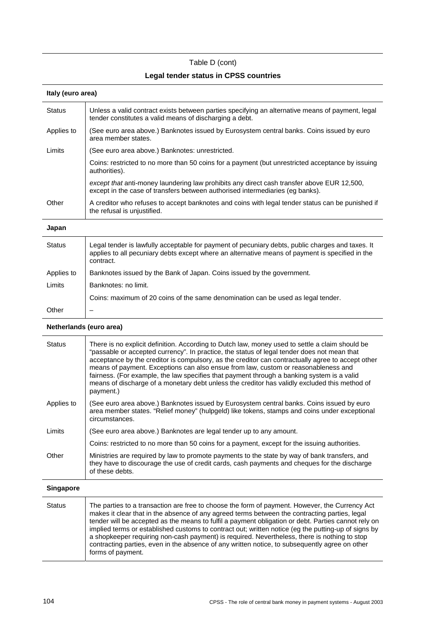### **Legal tender status in CPSS countries**

| Italy (euro area) |                                                                                                                                                                                                                  |  |
|-------------------|------------------------------------------------------------------------------------------------------------------------------------------------------------------------------------------------------------------|--|
| <b>Status</b>     | Unless a valid contract exists between parties specifying an alternative means of payment, legal<br>tender constitutes a valid means of discharging a debt.                                                      |  |
| Applies to        | (See euro area above.) Banknotes issued by Eurosystem central banks. Coins issued by euro<br>area member states.                                                                                                 |  |
| Limits            | (See euro area above.) Banknotes: unrestricted.                                                                                                                                                                  |  |
|                   | Coins: restricted to no more than 50 coins for a payment (but unrestricted acceptance by issuing<br>authorities).                                                                                                |  |
|                   | except that anti-money laundering law prohibits any direct cash transfer above EUR 12,500,<br>except in the case of transfers between authorised intermediaries (eg banks).                                      |  |
| Other             | A creditor who refuses to accept banknotes and coins with legal tender status can be punished if<br>the refusal is unjustified.                                                                                  |  |
| Japan             |                                                                                                                                                                                                                  |  |
| <b>Status</b>     | Legal tender is lawfully acceptable for payment of pecuniary debts, public charges and taxes. It<br>applies to all pecuniary debts except where an alternative means of payment is specified in the<br>contract. |  |
| Applies to        | Banknotes issued by the Bank of Japan. Coins issued by the government.                                                                                                                                           |  |
| Limits            | Banknotes: no limit.                                                                                                                                                                                             |  |
|                   | Coins: maximum of 20 coins of the same denomination can be used as legal tender.                                                                                                                                 |  |
| Other             |                                                                                                                                                                                                                  |  |

#### **Netherlands (euro area)**

forms of payment.

| <b>Status</b>    | There is no explicit definition. According to Dutch law, money used to settle a claim should be<br>"passable or accepted currency". In practice, the status of legal tender does not mean that<br>acceptance by the creditor is compulsory, as the creditor can contractually agree to accept other<br>means of payment. Exceptions can also ensue from law, custom or reasonableness and<br>fairness. (For example, the law specifies that payment through a banking system is a valid<br>means of discharge of a monetary debt unless the creditor has validly excluded this method of<br>payment.) |  |
|------------------|-------------------------------------------------------------------------------------------------------------------------------------------------------------------------------------------------------------------------------------------------------------------------------------------------------------------------------------------------------------------------------------------------------------------------------------------------------------------------------------------------------------------------------------------------------------------------------------------------------|--|
| Applies to       | (See euro area above.) Banknotes issued by Eurosystem central banks. Coins issued by euro<br>area member states. "Relief money" (hulpgeld) like tokens, stamps and coins under exceptional<br>circumstances.                                                                                                                                                                                                                                                                                                                                                                                          |  |
| Limits           | (See euro area above.) Banknotes are legal tender up to any amount.                                                                                                                                                                                                                                                                                                                                                                                                                                                                                                                                   |  |
|                  | Coins: restricted to no more than 50 coins for a payment, except for the issuing authorities.                                                                                                                                                                                                                                                                                                                                                                                                                                                                                                         |  |
| Other            | Ministries are required by law to promote payments to the state by way of bank transfers, and<br>they have to discourage the use of credit cards, cash payments and cheques for the discharge<br>of these debts.                                                                                                                                                                                                                                                                                                                                                                                      |  |
| <b>Singapore</b> |                                                                                                                                                                                                                                                                                                                                                                                                                                                                                                                                                                                                       |  |
| <b>Status</b>    | The parties to a transaction are free to choose the form of payment. However, the Currency Act<br>makes it clear that in the absence of any agreed terms between the contracting parties, legal<br>tender will be accepted as the means to fulfil a payment obligation or debt. Parties cannot rely on<br>implied terms or established customs to contract out; written notice (eg the putting-up of signs by                                                                                                                                                                                         |  |

a shopkeeper requiring non-cash payment) is required. Nevertheless, there is nothing to stop contracting parties, even in the absence of any written notice, to subsequently agree on other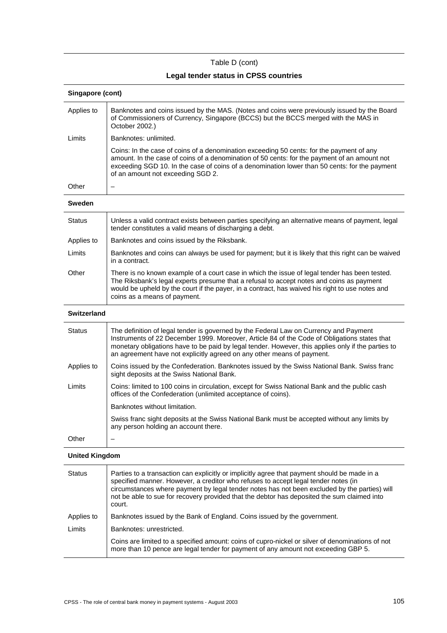# **Legal tender status in CPSS countries**

| Singapore (cont)   |                                                                                                                                                                                                                                                                                                                                                                       |  |
|--------------------|-----------------------------------------------------------------------------------------------------------------------------------------------------------------------------------------------------------------------------------------------------------------------------------------------------------------------------------------------------------------------|--|
| Applies to         | Banknotes and coins issued by the MAS. (Notes and coins were previously issued by the Board<br>of Commissioners of Currency, Singapore (BCCS) but the BCCS merged with the MAS in<br>October 2002.)                                                                                                                                                                   |  |
| Limits             | Banknotes: unlimited.                                                                                                                                                                                                                                                                                                                                                 |  |
|                    | Coins: In the case of coins of a denomination exceeding 50 cents: for the payment of any<br>amount. In the case of coins of a denomination of 50 cents: for the payment of an amount not<br>exceeding SGD 10. In the case of coins of a denomination lower than 50 cents: for the payment<br>of an amount not exceeding SGD 2.                                        |  |
| Other              |                                                                                                                                                                                                                                                                                                                                                                       |  |
| <b>Sweden</b>      |                                                                                                                                                                                                                                                                                                                                                                       |  |
| <b>Status</b>      | Unless a valid contract exists between parties specifying an alternative means of payment, legal<br>tender constitutes a valid means of discharging a debt.                                                                                                                                                                                                           |  |
| Applies to         | Banknotes and coins issued by the Riksbank.                                                                                                                                                                                                                                                                                                                           |  |
| Limits             | Banknotes and coins can always be used for payment; but it is likely that this right can be waived<br>in a contract.                                                                                                                                                                                                                                                  |  |
| Other              | There is no known example of a court case in which the issue of legal tender has been tested.<br>The Riksbank's legal experts presume that a refusal to accept notes and coins as payment<br>would be upheld by the court if the payer, in a contract, has waived his right to use notes and<br>coins as a means of payment.                                          |  |
| <b>Switzerland</b> |                                                                                                                                                                                                                                                                                                                                                                       |  |
| <b>Status</b>      | The definition of legal tender is governed by the Federal Law on Currency and Payment<br>Instruments of 22 December 1999. Moreover, Article 84 of the Code of Obligations states that<br>monetary obligations have to be paid by legal tender. However, this applies only if the parties to<br>an agreement have not explicitly agreed on any other means of payment. |  |
| Applies to         | Coins issued by the Confederation. Banknotes issued by the Swiss National Bank. Swiss franc<br>sight deposits at the Swiss National Bank.                                                                                                                                                                                                                             |  |
| Limits             | Coins: limited to 100 coins in circulation, except for Swiss National Bank and the public cash<br>offices of the Confederation (unlimited acceptance of coins).                                                                                                                                                                                                       |  |
|                    | Banknotes without limitation.                                                                                                                                                                                                                                                                                                                                         |  |
|                    | Swiss franc sight deposits at the Swiss National Bank must be accepted without any limits by<br>any person holding an account there.                                                                                                                                                                                                                                  |  |

### Other  $\vert -$

## **United Kingdom**

| <b>Status</b> | Parties to a transaction can explicitly or implicitly agree that payment should be made in a<br>specified manner. However, a creditor who refuses to accept legal tender notes (in<br>circumstances where payment by legal tender notes has not been excluded by the parties) will<br>not be able to sue for recovery provided that the debtor has deposited the sum claimed into<br>court. |
|---------------|---------------------------------------------------------------------------------------------------------------------------------------------------------------------------------------------------------------------------------------------------------------------------------------------------------------------------------------------------------------------------------------------|
| Applies to    | Banknotes issued by the Bank of England. Coins issued by the government.                                                                                                                                                                                                                                                                                                                    |
| Limits        | Banknotes: unrestricted.                                                                                                                                                                                                                                                                                                                                                                    |
|               | Coins are limited to a specified amount: coins of cupro-nickel or silver of denominations of not<br>more than 10 pence are legal tender for payment of any amount not exceeding GBP 5.                                                                                                                                                                                                      |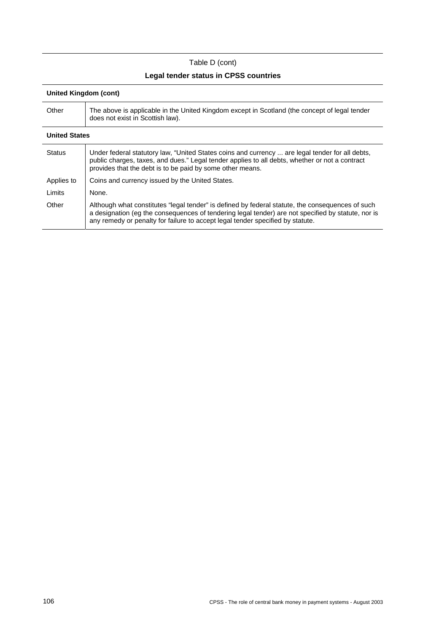# **Legal tender status in CPSS countries**

| United Kingdom (cont) |                                                                                                                                                                                                                                                                                          |  |
|-----------------------|------------------------------------------------------------------------------------------------------------------------------------------------------------------------------------------------------------------------------------------------------------------------------------------|--|
| Other                 | The above is applicable in the United Kingdom except in Scotland (the concept of legal tender<br>does not exist in Scottish law).                                                                                                                                                        |  |
| <b>United States</b>  |                                                                                                                                                                                                                                                                                          |  |
| <b>Status</b>         | Under federal statutory law, "United States coins and currency  are legal tender for all debts,<br>public charges, taxes, and dues." Legal tender applies to all debts, whether or not a contract<br>provides that the debt is to be paid by some other means.                           |  |
| Applies to            | Coins and currency issued by the United States.                                                                                                                                                                                                                                          |  |
| Limits                | None.                                                                                                                                                                                                                                                                                    |  |
| Other                 | Although what constitutes "legal tender" is defined by federal statute, the consequences of such<br>a designation (eg the consequences of tendering legal tender) are not specified by statute, nor is<br>any remedy or penalty for failure to accept legal tender specified by statute. |  |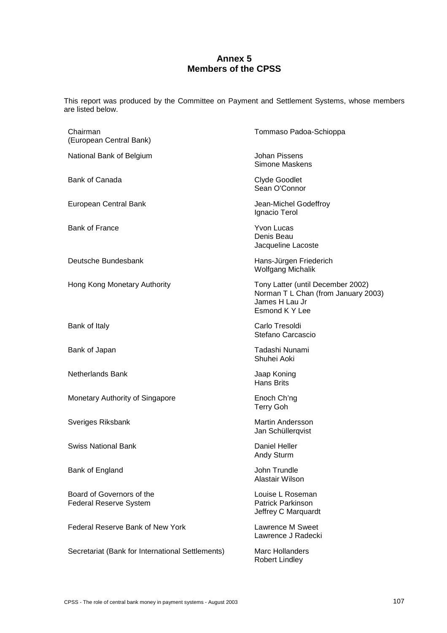# **Annex 5 Members of the CPSS**

This report was produced by the Committee on Payment and Settlement Systems, whose members are listed below.

| Chairman<br>(European Central Bank)                        | Tommaso Padoa-Schioppa                                                                                       |
|------------------------------------------------------------|--------------------------------------------------------------------------------------------------------------|
| National Bank of Belgium                                   | Johan Pissens<br>Simone Maskens                                                                              |
| <b>Bank of Canada</b>                                      | <b>Clyde Goodlet</b><br>Sean O'Connor                                                                        |
| European Central Bank                                      | Jean-Michel Godeffroy<br>Ignacio Terol                                                                       |
| <b>Bank of France</b>                                      | <b>Yvon Lucas</b><br>Denis Beau<br>Jacqueline Lacoste                                                        |
| Deutsche Bundesbank                                        | Hans-Jürgen Friederich<br>Wolfgang Michalik                                                                  |
| Hong Kong Monetary Authority                               | Tony Latter (until December 2002)<br>Norman T L Chan (from January 2003)<br>James H Lau Jr<br>Esmond K Y Lee |
| Bank of Italy                                              | Carlo Tresoldi<br>Stefano Carcascio                                                                          |
| Bank of Japan                                              | Tadashi Nunami<br>Shuhei Aoki                                                                                |
| <b>Netherlands Bank</b>                                    | Jaap Koning<br>Hans Brits                                                                                    |
| Monetary Authority of Singapore                            | Enoch Ch'ng<br><b>Terry Goh</b>                                                                              |
| Sveriges Riksbank                                          | <b>Martin Andersson</b><br>Jan Schüllerqvist                                                                 |
| <b>Swiss National Bank</b>                                 | <b>Daniel Heller</b><br>Andy Sturm                                                                           |
| Bank of England                                            | John Trundle<br>Alastair Wilson                                                                              |
| Board of Governors of the<br><b>Federal Reserve System</b> | Louise L Roseman<br><b>Patrick Parkinson</b><br>Jeffrey C Marquardt                                          |
| <b>Federal Reserve Bank of New York</b>                    | Lawrence M Sweet<br>Lawrence J Radecki                                                                       |
| Secretariat (Bank for International Settlements)           | <b>Marc Hollanders</b><br><b>Robert Lindley</b>                                                              |